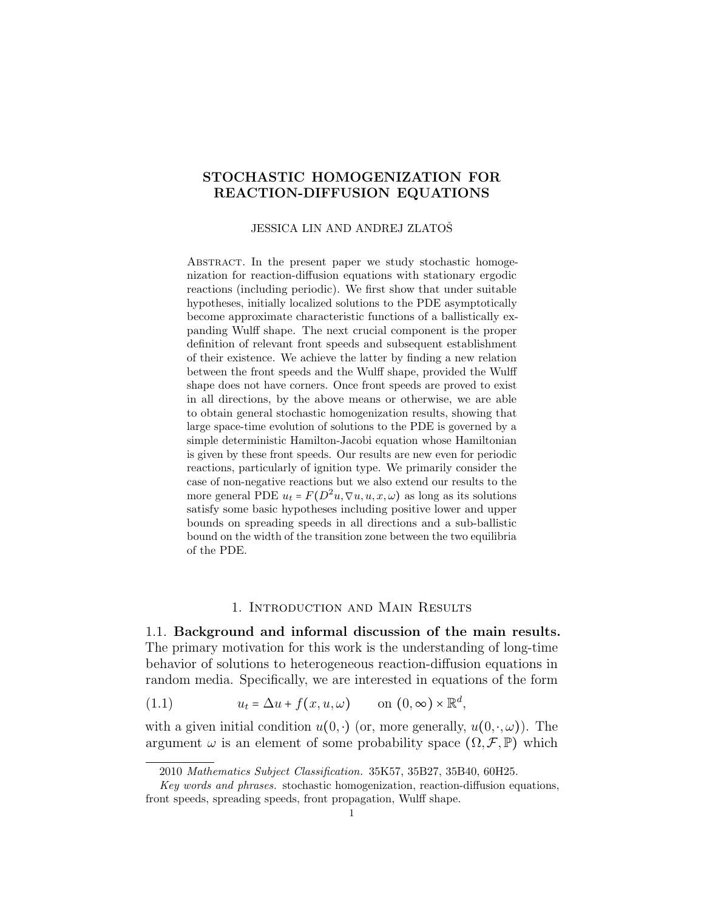## STOCHASTIC HOMOGENIZATION FOR REACTION-DIFFUSION EQUATIONS

#### JESSICA LIN AND ANDREJ ZLATOŠ

ABSTRACT. In the present paper we study stochastic homogenization for reaction-diffusion equations with stationary ergodic reactions (including periodic). We first show that under suitable hypotheses, initially localized solutions to the PDE asymptotically become approximate characteristic functions of a ballistically expanding Wulff shape. The next crucial component is the proper definition of relevant front speeds and subsequent establishment of their existence. We achieve the latter by finding a new relation between the front speeds and the Wulff shape, provided the Wulff shape does not have corners. Once front speeds are proved to exist in all directions, by the above means or otherwise, we are able to obtain general stochastic homogenization results, showing that large space-time evolution of solutions to the PDE is governed by a simple deterministic Hamilton-Jacobi equation whose Hamiltonian is given by these front speeds. Our results are new even for periodic reactions, particularly of ignition type. We primarily consider the case of non-negative reactions but we also extend our results to the more general PDE  $u_t = F(D^2u, \nabla u, u, x, \omega)$  as long as its solutions satisfy some basic hypotheses including positive lower and upper bounds on spreading speeds in all directions and a sub-ballistic bound on the width of the transition zone between the two equilibria of the PDE.

#### <span id="page-0-0"></span>1. Introduction and Main Results

1.1. Background and informal discussion of the main results. The primary motivation for this work is the understanding of long-time behavior of solutions to heterogeneous reaction-diffusion equations in random media. Specifically, we are interested in equations of the form

(1.1) 
$$
u_t = \Delta u + f(x, u, \omega) \quad \text{on } (0, \infty) \times \mathbb{R}^d,
$$

with a given initial condition  $u(0, \cdot)$  (or, more generally,  $u(0, \cdot, \omega)$ ). The argument  $\omega$  is an element of some probability space  $(\Omega, \mathcal{F}, \mathbb{P})$  which

<sup>2010</sup> Mathematics Subject Classification. 35K57, 35B27, 35B40, 60H25.

Key words and phrases. stochastic homogenization, reaction-diffusion equations, front speeds, spreading speeds, front propagation, Wulff shape.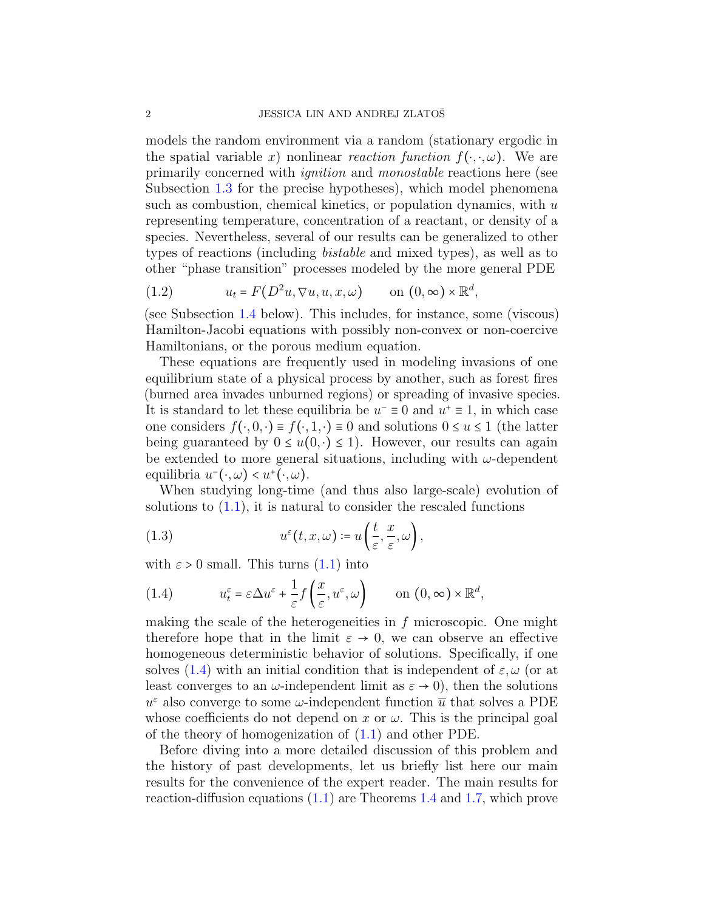models the random environment via a random (stationary ergodic in the spatial variable x) nonlinear reaction function  $f(\cdot, \cdot, \omega)$ . We are primarily concerned with ignition and monostable reactions here (see Subsection [1.3](#page-12-0) for the precise hypotheses), which model phenomena such as combustion, chemical kinetics, or population dynamics, with  $u$ representing temperature, concentration of a reactant, or density of a species. Nevertheless, several of our results can be generalized to other types of reactions (including bistable and mixed types), as well as to other "phase transition" processes modeled by the more general PDE

<span id="page-1-1"></span>(1.2) 
$$
u_t = F(D^2u, \nabla u, u, x, \omega) \quad \text{on } (0, \infty) \times \mathbb{R}^d,
$$

(see Subsection [1.4](#page-21-0) below). This includes, for instance, some (viscous) Hamilton-Jacobi equations with possibly non-convex or non-coercive Hamiltonians, or the porous medium equation.

These equations are frequently used in modeling invasions of one equilibrium state of a physical process by another, such as forest fires (burned area invades unburned regions) or spreading of invasive species. It is standard to let these equilibria be  $u^- \equiv 0$  and  $u^+ \equiv 1$ , in which case one considers  $f(\cdot, 0, \cdot) \equiv f(\cdot, 1, \cdot) \equiv 0$  and solutions  $0 \le u \le 1$  (the latter being guaranteed by  $0 \leq u(0, \cdot) \leq 1$ . However, our results can again be extended to more general situations, including with  $\omega$ -dependent equilibria  $u^-(\cdot,\omega) < u^+(\cdot,\omega)$ .

When studying long-time (and thus also large-scale) evolution of solutions to  $(1.1)$ , it is natural to consider the rescaled functions

<span id="page-1-2"></span>(1.3) 
$$
u^{\varepsilon}(t,x,\omega) \coloneqq u\left(\frac{t}{\varepsilon},\frac{x}{\varepsilon},\omega\right),
$$

with  $\varepsilon > 0$  small. This turns  $(1.1)$  into

<span id="page-1-0"></span>(1.4) 
$$
u_t^{\varepsilon} = \varepsilon \Delta u^{\varepsilon} + \frac{1}{\varepsilon} f\left(\frac{x}{\varepsilon}, u^{\varepsilon}, \omega\right) \qquad \text{on } (0, \infty) \times \mathbb{R}^d,
$$

making the scale of the heterogeneities in  $f$  microscopic. One might therefore hope that in the limit  $\varepsilon \to 0$ , we can observe an effective homogeneous deterministic behavior of solutions. Specifically, if one solves [\(1.4\)](#page-1-0) with an initial condition that is independent of  $\varepsilon, \omega$  (or at least converges to an  $\omega$ -independent limit as  $\varepsilon \to 0$ , then the solutions  $u^{\varepsilon}$  also converge to some  $\omega$ -independent function  $\overline{u}$  that solves a PDE whose coefficients do not depend on x or  $\omega$ . This is the principal goal of the theory of homogenization of [\(1.1\)](#page-0-0) and other PDE.

Before diving into a more detailed discussion of this problem and the history of past developments, let us briefly list here our main results for the convenience of the expert reader. The main results for reaction-diffusion equations [\(1.1\)](#page-0-0) are Theorems [1.4](#page-17-0) and [1.7,](#page-19-0) which prove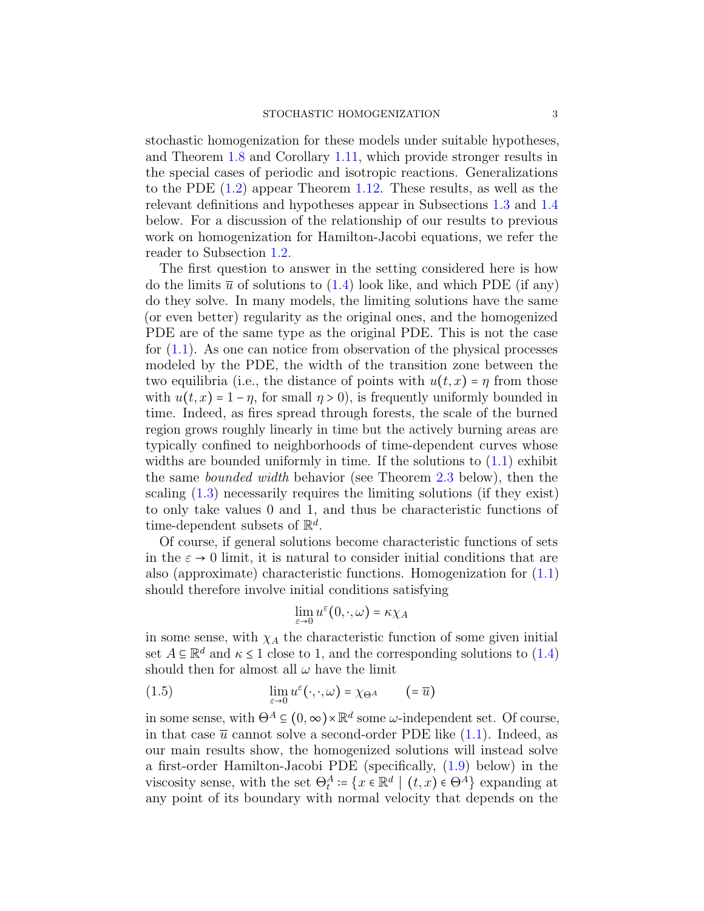stochastic homogenization for these models under suitable hypotheses, and Theorem [1.8](#page-19-1) and Corollary [1.11,](#page-21-1) which provide stronger results in the special cases of periodic and isotropic reactions. Generalizations to the PDE [\(1.2\)](#page-1-1) appear Theorem [1.12.](#page-22-0) These results, as well as the relevant definitions and hypotheses appear in Subsections [1.3](#page-12-0) and [1.4](#page-21-0) below. For a discussion of the relationship of our results to previous work on homogenization for Hamilton-Jacobi equations, we refer the reader to Subsection [1.2.](#page-9-0)

The first question to answer in the setting considered here is how do the limits  $\bar{u}$  of solutions to [\(1.4\)](#page-1-0) look like, and which PDE (if any) do they solve. In many models, the limiting solutions have the same (or even better) regularity as the original ones, and the homogenized PDE are of the same type as the original PDE. This is not the case for [\(1.1\)](#page-0-0). As one can notice from observation of the physical processes modeled by the PDE, the width of the transition zone between the two equilibria (i.e., the distance of points with  $u(t, x) = \eta$  from those with  $u(t, x) = 1 - \eta$ , for small  $\eta > 0$ ), is frequently uniformly bounded in time. Indeed, as fires spread through forests, the scale of the burned region grows roughly linearly in time but the actively burning areas are typically confined to neighborhoods of time-dependent curves whose widths are bounded uniformly in time. If the solutions to  $(1.1)$  exhibit the same bounded width behavior (see Theorem [2.3](#page-25-0) below), then the scaling [\(1.3\)](#page-1-2) necessarily requires the limiting solutions (if they exist) to only take values 0 and 1, and thus be characteristic functions of time-dependent subsets of  $\mathbb{R}^d$ .

Of course, if general solutions become characteristic functions of sets in the  $\varepsilon \to 0$  limit, it is natural to consider initial conditions that are also (approximate) characteristic functions. Homogenization for [\(1.1\)](#page-0-0) should therefore involve initial conditions satisfying

$$
\lim_{\varepsilon \to 0} u^{\varepsilon}(0,\cdot,\omega) = \kappa \chi_A
$$

in some sense, with  $\chi_A$  the characteristic function of some given initial set  $A \subseteq \mathbb{R}^d$  and  $\kappa \leq 1$  close to 1, and the corresponding solutions to  $(1.4)$ should then for almost all  $\omega$  have the limit

(1.5) 
$$
\lim_{\varepsilon \to 0} u^{\varepsilon}(\cdot, \cdot, \omega) = \chi_{\Theta^A} \qquad (=\overline{u})
$$

in some sense, with  $\Theta^A \subseteq (0, \infty) \times \mathbb{R}^d$  some  $\omega$ -independent set. Of course, in that case  $\bar{u}$  cannot solve a second-order PDE like  $(1.1)$ . Indeed, as our main results show, the homogenized solutions will instead solve a first-order Hamilton-Jacobi PDE (specifically, [\(1.9\)](#page-8-0) below) in the viscosity sense, with the set  $\Theta_t^A = \{x \in \mathbb{R}^d \mid (t, x) \in \Theta^A\}$  expanding at any point of its boundary with normal velocity that depends on the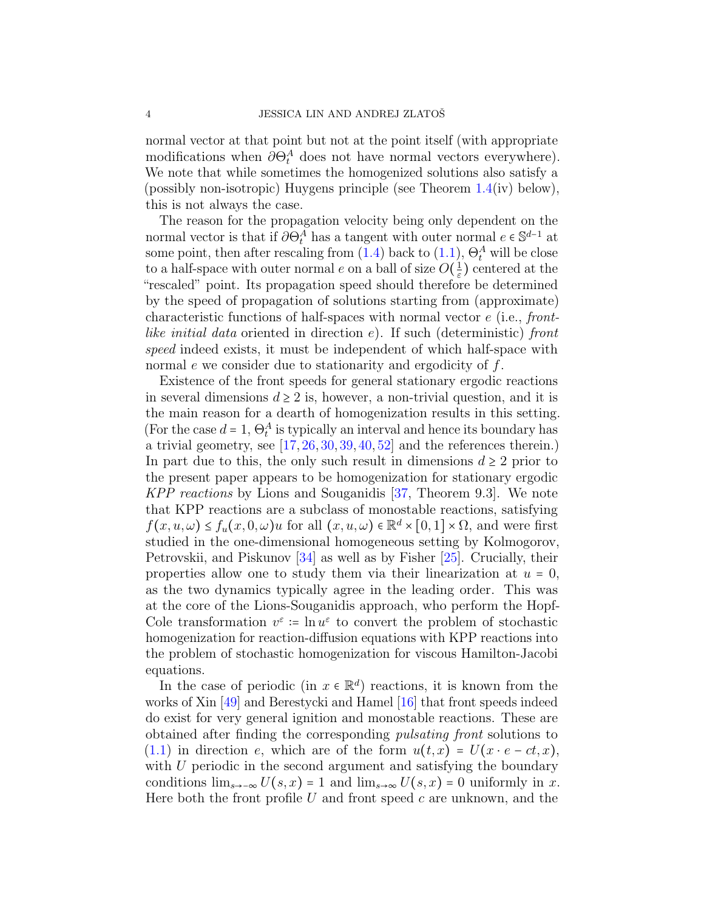normal vector at that point but not at the point itself (with appropriate modifications when  $\partial \Theta_t^A$  does not have normal vectors everywhere). We note that while sometimes the homogenized solutions also satisfy a (possibly non-isotropic) Huygens principle (see Theorem [1.4\(](#page-17-0)iv) below), this is not always the case.

The reason for the propagation velocity being only dependent on the normal vector is that if  $\partial \Theta_t^A$  has a tangent with outer normal  $e \in \mathbb{S}^{d-1}$  at some point, then after rescaling from  $(1.4)$  back to  $(1.1)$ ,  $\Theta_t^A$  will be close to a half-space with outer normal e on a ball of size  $O(\frac{1}{\varepsilon})$  $\frac{1}{\varepsilon}$ ) centered at the "rescaled" point. Its propagation speed should therefore be determined by the speed of propagation of solutions starting from (approximate) characteristic functions of half-spaces with normal vector e (i.e., frontlike initial data oriented in direction  $e$ ). If such (deterministic) front speed indeed exists, it must be independent of which half-space with normal e we consider due to stationarity and ergodicity of f.

Existence of the front speeds for general stationary ergodic reactions in several dimensions  $d \geq 2$  is, however, a non-trivial question, and it is the main reason for a dearth of homogenization results in this setting. (For the case  $d = 1$ ,  $\Theta_t^A$  is typically an interval and hence its boundary has a trivial geometry, see  $[17, 26, 30, 39, 40, 52]$  $[17, 26, 30, 39, 40, 52]$  $[17, 26, 30, 39, 40, 52]$  $[17, 26, 30, 39, 40, 52]$  $[17, 26, 30, 39, 40, 52]$  $[17, 26, 30, 39, 40, 52]$  $[17, 26, 30, 39, 40, 52]$  $[17, 26, 30, 39, 40, 52]$  $[17, 26, 30, 39, 40, 52]$  $[17, 26, 30, 39, 40, 52]$  and the references therein.) In part due to this, the only such result in dimensions  $d \geq 2$  prior to the present paper appears to be homogenization for stationary ergodic KPP reactions by Lions and Souganidis [\[37,](#page-62-3) Theorem 9.3]. We note that KPP reactions are a subclass of monostable reactions, satisfying  $f(x, u, \omega) \le f_u(x, 0, \omega)u$  for all  $(x, u, \omega) \in \mathbb{R}^d \times [0, 1] \times \Omega$ , and were first studied in the one-dimensional homogeneous setting by Kolmogorov, Petrovskii, and Piskunov [\[34\]](#page-62-4) as well as by Fisher [\[25\]](#page-62-5). Crucially, their properties allow one to study them via their linearization at  $u = 0$ , as the two dynamics typically agree in the leading order. This was at the core of the Lions-Souganidis approach, who perform the Hopf-Cole transformation  $v^{\varepsilon}$  :=  $\ln u^{\varepsilon}$  to convert the problem of stochastic homogenization for reaction-diffusion equations with KPP reactions into the problem of stochastic homogenization for viscous Hamilton-Jacobi equations.

In the case of periodic (in  $x \in \mathbb{R}^d$ ) reactions, it is known from the works of Xin [\[49\]](#page-63-2) and Berestycki and Hamel [\[16\]](#page-61-1) that front speeds indeed do exist for very general ignition and monostable reactions. These are obtained after finding the corresponding pulsating front solutions to  $(1.1)$  in direction e, which are of the form  $u(t,x) = U(x \cdot e - ct, x)$ , with U periodic in the second argument and satisfying the boundary conditions  $\lim_{s\to\infty} U(s,x) = 1$  and  $\lim_{s\to\infty} U(s,x) = 0$  uniformly in x. Here both the front profile U and front speed c are unknown, and the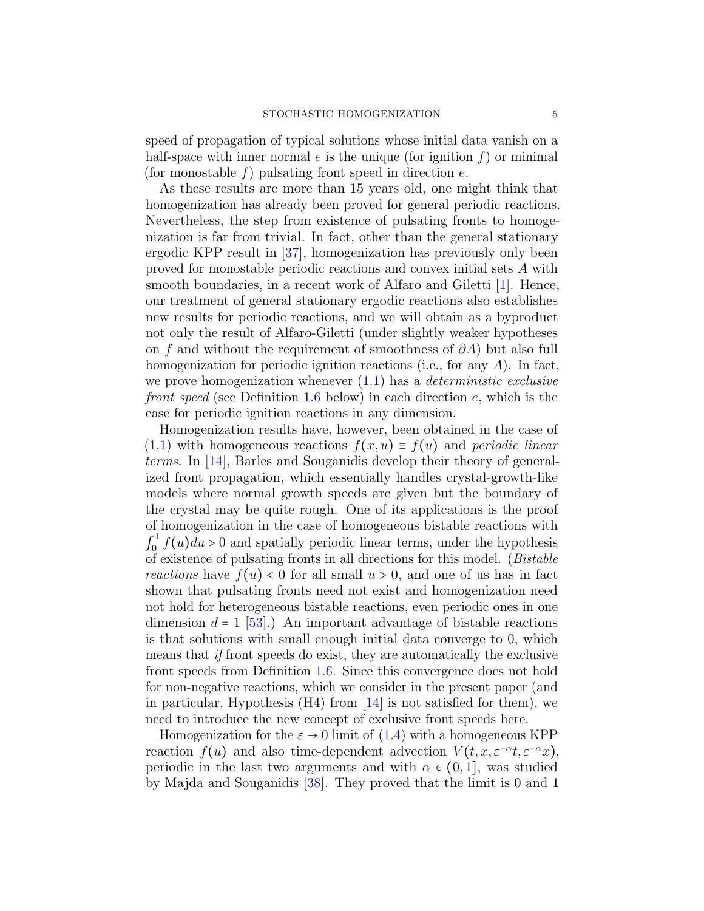speed of propagation of typical solutions whose initial data vanish on a half-space with inner normal  $e$  is the unique (for ignition  $f$ ) or minimal (for monostable f) pulsating front speed in direction  $e$ .

As these results are more than 15 years old, one might think that homogenization has already been proved for general periodic reactions. Nevertheless, the step from existence of pulsating fronts to homogenization is far from trivial. In fact, other than the general stationary ergodic KPP result in [\[37\]](#page-62-3), homogenization has previously only been proved for monostable periodic reactions and convex initial sets A with smooth boundaries, in a recent work of Alfaro and Giletti [\[1\]](#page-60-0). Hence, our treatment of general stationary ergodic reactions also establishes new results for periodic reactions, and we will obtain as a byproduct not only the result of Alfaro-Giletti (under slightly weaker hypotheses on f and without the requirement of smoothness of  $\partial A$ ) but also full homogenization for periodic ignition reactions (i.e., for any A). In fact, we prove homogenization whenever  $(1.1)$  has a *deterministic exclusive* front speed (see Definition [1.6](#page-18-0) below) in each direction  $e$ , which is the case for periodic ignition reactions in any dimension.

Homogenization results have, however, been obtained in the case of  $(1.1)$  with homogeneous reactions  $f(x, u) \equiv f(u)$  and periodic linear terms. In [\[14\]](#page-61-2), Barles and Souganidis develop their theory of generalized front propagation, which essentially handles crystal-growth-like models where normal growth speeds are given but the boundary of the crystal may be quite rough. One of its applications is the proof of homogenization in the case of homogeneous bistable reactions with  $\int_0^1$  $\int_0^1 f(u) du > 0$  and spatially periodic linear terms, under the hypothesis of existence of pulsating fronts in all directions for this model. (Bistable reactions have  $f(u) < 0$  for all small  $u > 0$ , and one of us has in fact shown that pulsating fronts need not exist and homogenization need not hold for heterogeneous bistable reactions, even periodic ones in one dimension  $d = 1$  [\[53\]](#page-63-3).) An important advantage of bistable reactions is that solutions with small enough initial data converge to 0, which means that if front speeds do exist, they are automatically the exclusive front speeds from Definition [1.6.](#page-18-0) Since this convergence does not hold for non-negative reactions, which we consider in the present paper (and in particular, Hypothesis  $(H4)$  from [\[14\]](#page-61-2) is not satisfied for them), we need to introduce the new concept of exclusive front speeds here.

Homogenization for the  $\varepsilon \to 0$  limit of [\(1.4\)](#page-1-0) with a homogeneous KPP reaction  $f(u)$  and also time-dependent advection  $V(t, x, \varepsilon^{-\alpha}t, \varepsilon^{-\alpha}x)$ , periodic in the last two arguments and with  $\alpha \in (0,1]$ , was studied by Majda and Souganidis [\[38\]](#page-62-6). They proved that the limit is 0 and 1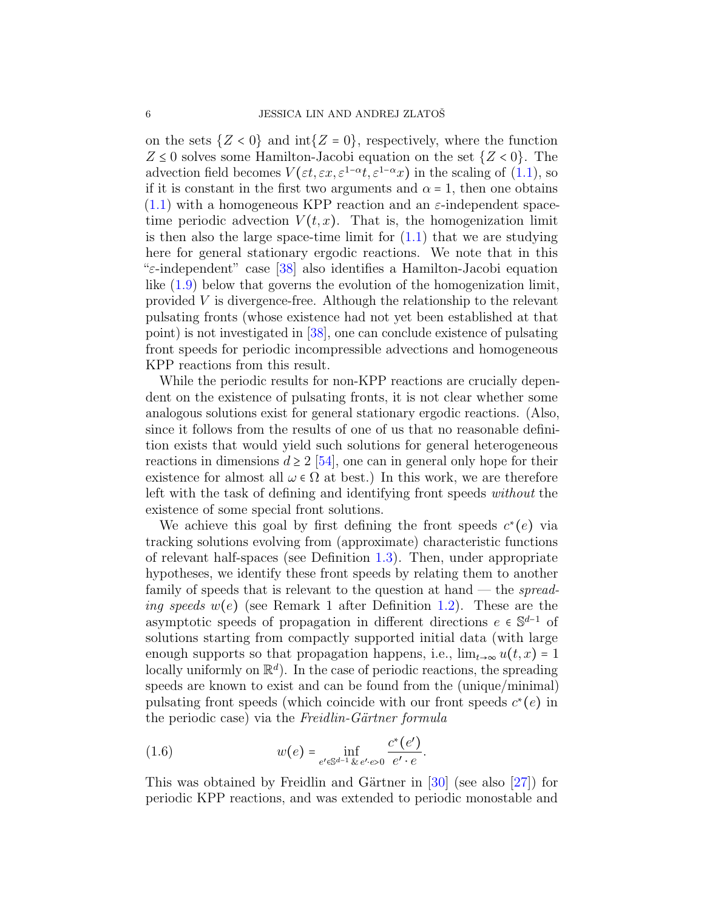on the sets  $\{Z < 0\}$  and  $int\{Z = 0\}$ , respectively, where the function  $Z \leq 0$  solves some Hamilton-Jacobi equation on the set  $\{Z < 0\}$ . The advection field becomes  $V(\varepsilon t, \varepsilon x, \varepsilon^{1-\alpha}t, \varepsilon^{1-\alpha}x)$  in the scaling of [\(1.1\)](#page-0-0), so if it is constant in the first two arguments and  $\alpha = 1$ , then one obtains  $(1.1)$  with a homogeneous KPP reaction and an  $\varepsilon$ -independent spacetime periodic advection  $V(t, x)$ . That is, the homogenization limit is then also the large space-time limit for  $(1.1)$  that we are studying here for general stationary ergodic reactions. We note that in this "ε-independent" case [\[38\]](#page-62-6) also identifies a Hamilton-Jacobi equation like [\(1.9\)](#page-8-0) below that governs the evolution of the homogenization limit, provided V is divergence-free. Although the relationship to the relevant pulsating fronts (whose existence had not yet been established at that point) is not investigated in [\[38\]](#page-62-6), one can conclude existence of pulsating front speeds for periodic incompressible advections and homogeneous KPP reactions from this result.

While the periodic results for non-KPP reactions are crucially dependent on the existence of pulsating fronts, it is not clear whether some analogous solutions exist for general stationary ergodic reactions. (Also, since it follows from the results of one of us that no reasonable definition exists that would yield such solutions for general heterogeneous reactions in dimensions  $d \geq 2$  [\[54\]](#page-63-4), one can in general only hope for their existence for almost all  $\omega \in \Omega$  at best.) In this work, we are therefore left with the task of defining and identifying front speeds without the existence of some special front solutions.

We achieve this goal by first defining the front speeds  $c^*(e)$  via tracking solutions evolving from (approximate) characteristic functions of relevant half-spaces (see Definition [1.3\)](#page-15-0). Then, under appropriate hypotheses, we identify these front speeds by relating them to another family of speeds that is relevant to the question at hand — the *spreading speeds*  $w(e)$  (see Remark 1 after Definition [1.2\)](#page-14-0). These are the asymptotic speeds of propagation in different directions  $e \in \mathbb{S}^{d-1}$  of solutions starting from compactly supported initial data (with large enough supports so that propagation happens, i.e.,  $\lim_{t\to\infty} u(t,x) = 1$ locally uniformly on  $\mathbb{R}^d$ ). In the case of periodic reactions, the spreading speeds are known to exist and can be found from the (unique/minimal) pulsating front speeds (which coincide with our front speeds  $c^*(e)$  in the periodic case) via the Freidlin-Gärtner formula

<span id="page-5-0"></span>(1.6) 
$$
w(e) = \inf_{e' \in \mathbb{S}^{d-1}} \inf_{\& e' \cdot e > 0} \frac{c^*(e')}{e' \cdot e}.
$$

This was obtained by Freidlin and Gärtner in  $[30]$  (see also  $[27]$ ) for periodic KPP reactions, and was extended to periodic monostable and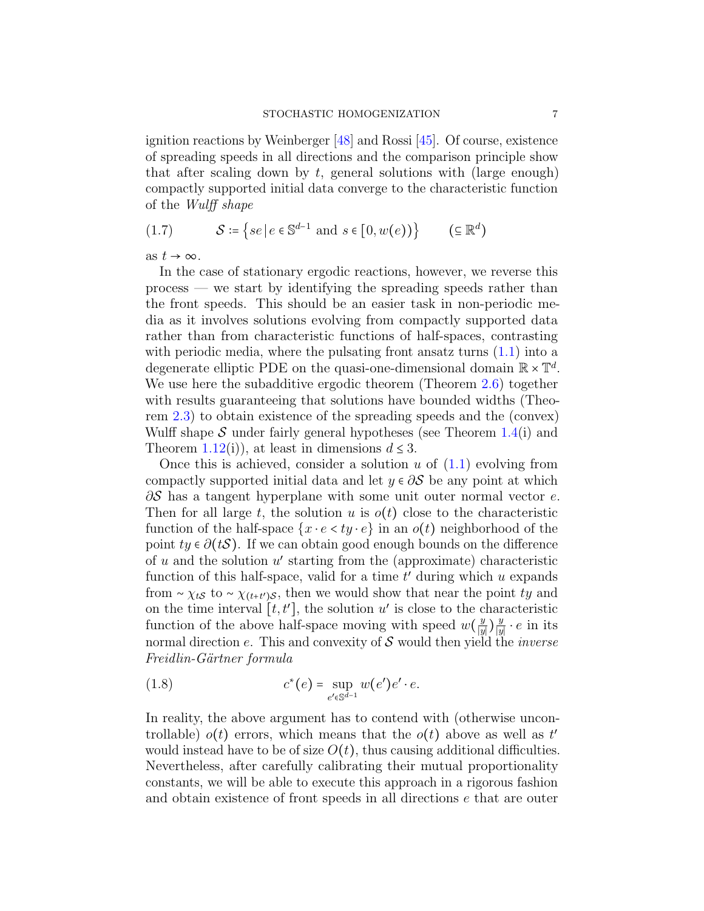ignition reactions by Weinberger [\[48\]](#page-63-5) and Rossi [\[45\]](#page-63-6). Of course, existence of spreading speeds in all directions and the comparison principle show that after scaling down by  $t$ , general solutions with (large enough) compactly supported initial data converge to the characteristic function of the Wulff shape

<span id="page-6-1"></span>
$$
(1.7) \tS := \{ se \mid e \in \mathbb{S}^{d-1} \text{ and } s \in [0, w(e)) \} \t(\subseteq \mathbb{R}^d)
$$

as  $t \to \infty$ .

In the case of stationary ergodic reactions, however, we reverse this process — we start by identifying the spreading speeds rather than the front speeds. This should be an easier task in non-periodic media as it involves solutions evolving from compactly supported data rather than from characteristic functions of half-spaces, contrasting with periodic media, where the pulsating front ansatz turns  $(1.1)$  into a degenerate elliptic PDE on the quasi-one-dimensional domain  $\mathbb{R} \times \mathbb{T}^d$ . We use here the subadditive ergodic theorem (Theorem [2.6\)](#page-27-0) together with results guaranteeing that solutions have bounded widths (Theorem [2.3\)](#page-25-0) to obtain existence of the spreading speeds and the (convex) Wulff shape S under fairly general hypotheses (see Theorem  $1.4(i)$  $1.4(i)$  and Theorem [1.12\(](#page-22-0)i)), at least in dimensions  $d \leq 3$ .

Once this is achieved, consider a solution u of  $(1.1)$  evolving from compactly supported initial data and let  $y \in \partial S$  be any point at which  $\partial S$  has a tangent hyperplane with some unit outer normal vector e. Then for all large t, the solution u is  $o(t)$  close to the characteristic function of the half-space  $\{x \cdot e \le ty \cdot e\}$  in an  $o(t)$  neighborhood of the point  $ty \in \partial(tS)$ . If we can obtain good enough bounds on the difference of  $u$  and the solution  $u'$  starting from the (approximate) characteristic function of this half-space, valid for a time  $t'$  during which  $u$  expands from ~  $\chi_{tS}$  to ~  $\chi_{(t+t')S}$ , then we would show that near the point ty and on the time interval  $[t, t']$ , the solution u' is close to the characteristic function of the above half-space moving with speed  $w(\frac{y}{w})$  $\frac{y}{|y|}$ ) $\frac{y}{|y|}$  $\frac{y}{|y|} \cdot e$  in its normal direction  $e$ . This and convexity of  $S$  would then yield the *inverse* Freidlin-Gärtner formula

<span id="page-6-0"></span>(1.8) 
$$
c^*(e) = \sup_{e' \in \mathbb{S}^{d-1}} w(e')e' \cdot e.
$$

In reality, the above argument has to contend with (otherwise uncontrollable)  $o(t)$  errors, which means that the  $o(t)$  above as well as  $t'$ would instead have to be of size  $O(t)$ , thus causing additional difficulties. Nevertheless, after carefully calibrating their mutual proportionality constants, we will be able to execute this approach in a rigorous fashion and obtain existence of front speeds in all directions e that are outer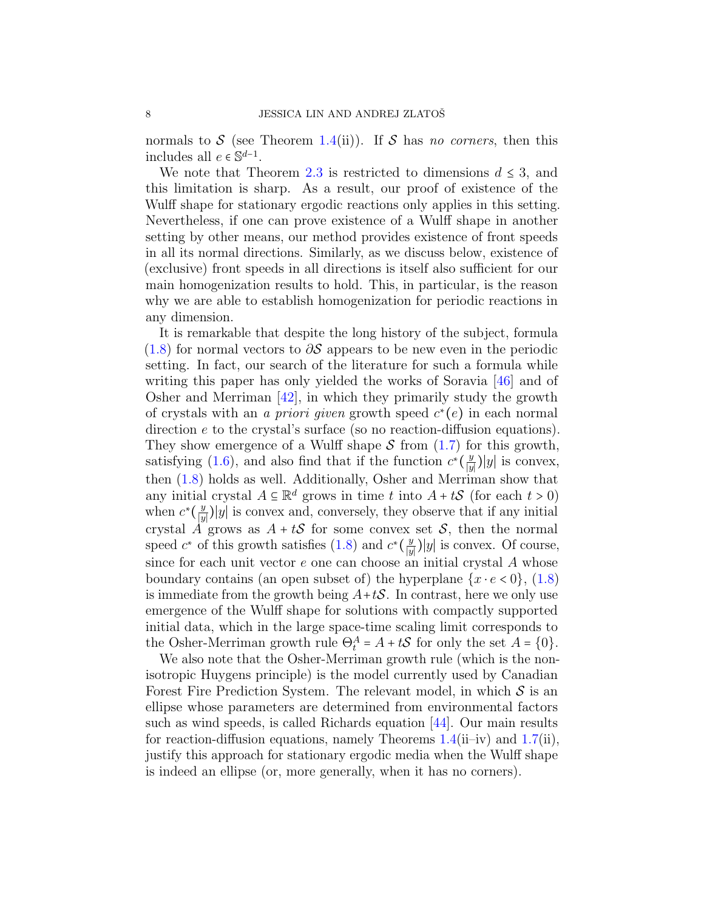normals to S (see Theorem [1.4\(](#page-17-0)ii)). If S has no corners, then this includes all  $e \in \mathbb{S}^{d-1}$ .

We note that Theorem [2.3](#page-25-0) is restricted to dimensions  $d \leq 3$ , and this limitation is sharp. As a result, our proof of existence of the Wulff shape for stationary ergodic reactions only applies in this setting. Nevertheless, if one can prove existence of a Wulff shape in another setting by other means, our method provides existence of front speeds in all its normal directions. Similarly, as we discuss below, existence of (exclusive) front speeds in all directions is itself also sufficient for our main homogenization results to hold. This, in particular, is the reason why we are able to establish homogenization for periodic reactions in any dimension.

It is remarkable that despite the long history of the subject, formula  $(1.8)$  for normal vectors to  $\partial S$  appears to be new even in the periodic setting. In fact, our search of the literature for such a formula while writing this paper has only yielded the works of Soravia [\[46\]](#page-63-7) and of Osher and Merriman [\[42\]](#page-63-8), in which they primarily study the growth of crystals with an *a priori given* growth speed  $c^*(e)$  in each normal direction e to the crystal's surface (so no reaction-diffusion equations). They show emergence of a Wulff shape  $S$  from [\(1.7\)](#page-6-1) for this growth, satisfying [\(1.6\)](#page-5-0), and also find that if the function  $c^*(\frac{y}{w})$  $\frac{y}{|y|}$ )|y| is convex, then [\(1.8\)](#page-6-0) holds as well. Additionally, Osher and Merriman show that any initial crystal  $A \subseteq \mathbb{R}^d$  grows in time t into  $A + tS$  (for each  $t > 0$ ) when  $c^*\left(\frac{y}{y}\right)$  $\frac{y}{|y|}$ |y| is convex and, conversely, they observe that if any initial crystal A grows as  $A + tS$  for some convex set S, then the normal speed  $c^*$  of this growth satisfies [\(1.8\)](#page-6-0) and  $c^*(\frac{y}{w})$  $\frac{y}{|y|}$ |y| is convex. Of course, since for each unit vector  $e$  one can choose an initial crystal  $A$  whose boundary contains (an open subset of) the hyperplane  $\{x \cdot e < 0\}$ , [\(1.8\)](#page-6-0) is immediate from the growth being  $A+tS$ . In contrast, here we only use emergence of the Wulff shape for solutions with compactly supported initial data, which in the large space-time scaling limit corresponds to the Osher-Merriman growth rule  $\Theta_t^A = A + tS$  for only the set  $A = \{0\}.$ 

We also note that the Osher-Merriman growth rule (which is the nonisotropic Huygens principle) is the model currently used by Canadian Forest Fire Prediction System. The relevant model, in which  $S$  is an ellipse whose parameters are determined from environmental factors such as wind speeds, is called Richards equation [\[44\]](#page-63-9). Our main results for reaction-diffusion equations, namely Theorems  $1.4(i$  $1.4(i$ i–iv) and  $1.7(ii)$  $1.7(ii)$ , justify this approach for stationary ergodic media when the Wulff shape is indeed an ellipse (or, more generally, when it has no corners).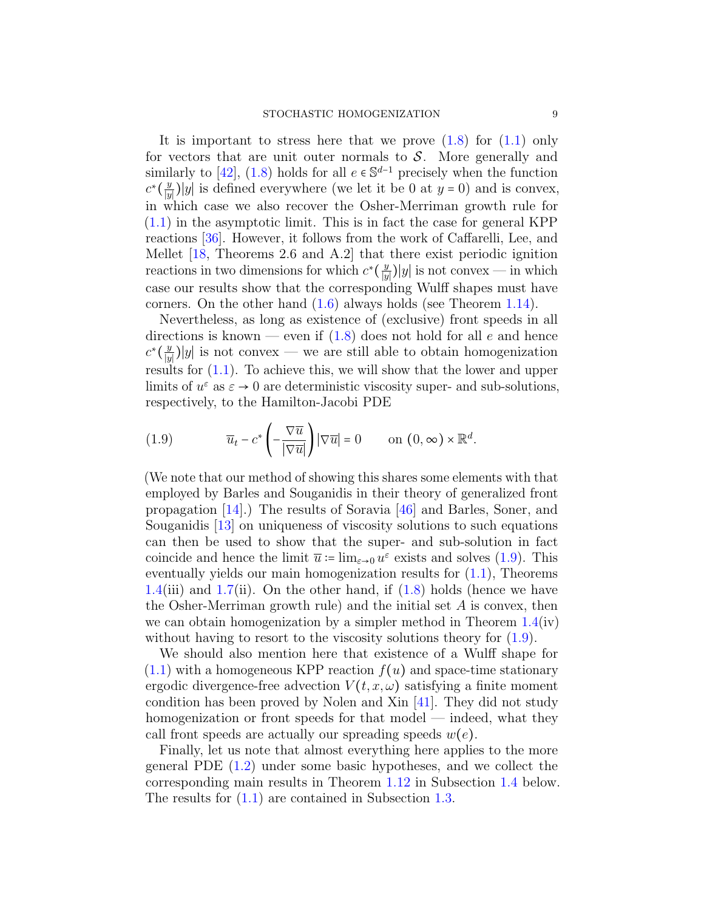It is important to stress here that we prove  $(1.8)$  for  $(1.1)$  only for vectors that are unit outer normals to  $S$ . More generally and similarly to [\[42\]](#page-63-8), [\(1.8\)](#page-6-0) holds for all  $e \in \mathbb{S}^{d-1}$  precisely when the function  $c^*\left(\frac{y}{|y|}\right)$  $\frac{y}{|y|}$ |y| is defined everywhere (we let it be 0 at y = 0) and is convex, in which case we also recover the Osher-Merriman growth rule for [\(1.1\)](#page-0-0) in the asymptotic limit. This is in fact the case for general KPP reactions [\[36\]](#page-62-8). However, it follows from the work of Caffarelli, Lee, and Mellet [\[18,](#page-61-3) Theorems 2.6 and A.2] that there exist periodic ignition reactions in two dimensions for which  $c^*(\frac{y}{w})$  $\frac{y}{|y|}$ |y| is not convex — in which case our results show that the corresponding Wulff shapes must have corners. On the other hand [\(1.6\)](#page-5-0) always holds (see Theorem [1.14\)](#page-23-0).

Nevertheless, as long as existence of (exclusive) front speeds in all directions is known — even if  $(1.8)$  does not hold for all e and hence  $c^*\left(\frac{y}{|y|}\right)$  $\frac{y}{|y|}$ |y| is not convex — we are still able to obtain homogenization results for [\(1.1\)](#page-0-0). To achieve this, we will show that the lower and upper limits of  $u^{\varepsilon}$  as  $\varepsilon \to 0$  are deterministic viscosity super- and sub-solutions, respectively, to the Hamilton-Jacobi PDE

<span id="page-8-0"></span>(1.9) 
$$
\overline{u}_t - c^* \left( -\frac{\nabla \overline{u}}{|\nabla \overline{u}|} \right) |\nabla \overline{u}| = 0 \quad \text{on } (0, \infty) \times \mathbb{R}^d.
$$

(We note that our method of showing this shares some elements with that employed by Barles and Souganidis in their theory of generalized front propagation [\[14\]](#page-61-2).) The results of Soravia [\[46\]](#page-63-7) and Barles, Soner, and Souganidis [\[13\]](#page-61-4) on uniqueness of viscosity solutions to such equations can then be used to show that the super- and sub-solution in fact coincide and hence the limit  $\bar{u}$  := lim<sub> $\varepsilon \to 0$ </sub>  $u^{\varepsilon}$  exists and solves [\(1.9\)](#page-8-0). This eventually yields our main homogenization results for [\(1.1\)](#page-0-0), Theorems [1.4\(](#page-17-0)iii) and [1.7\(](#page-19-0)ii). On the other hand, if  $(1.8)$  holds (hence we have the Osher-Merriman growth rule) and the initial set  $A$  is convex, then we can obtain homogenization by a simpler method in Theorem  $1.4(iv)$  $1.4(iv)$ without having to resort to the viscosity solutions theory for  $(1.9)$ .

We should also mention here that existence of a Wulff shape for  $(1.1)$  with a homogeneous KPP reaction  $f(u)$  and space-time stationary ergodic divergence-free advection  $V(t, x, \omega)$  satisfying a finite moment condition has been proved by Nolen and Xin [\[41\]](#page-63-10). They did not study homogenization or front speeds for that model — indeed, what they call front speeds are actually our spreading speeds  $w(e)$ .

Finally, let us note that almost everything here applies to the more general PDE [\(1.2\)](#page-1-1) under some basic hypotheses, and we collect the corresponding main results in Theorem [1.12](#page-22-0) in Subsection [1.4](#page-21-0) below. The results for [\(1.1\)](#page-0-0) are contained in Subsection [1.3.](#page-12-0)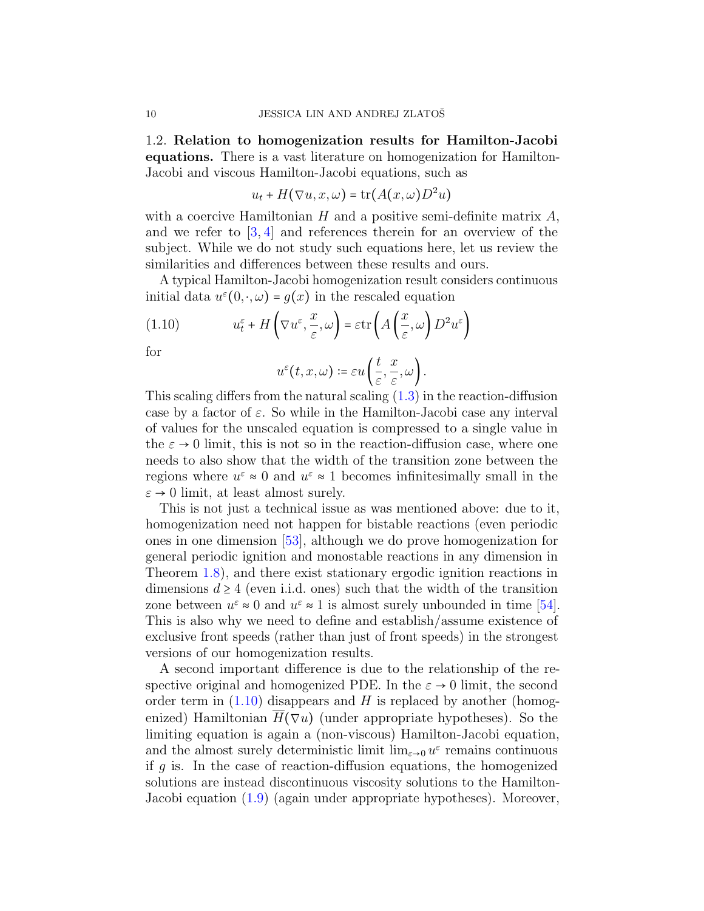<span id="page-9-0"></span>1.2. Relation to homogenization results for Hamilton-Jacobi equations. There is a vast literature on homogenization for Hamilton-Jacobi and viscous Hamilton-Jacobi equations, such as

$$
u_t + H(\nabla u, x, \omega) = \text{tr}(A(x, \omega)D^2u)
$$

with a coercive Hamiltonian  $H$  and a positive semi-definite matrix  $A$ , and we refer to [\[3,](#page-60-1) [4\]](#page-60-2) and references therein for an overview of the subject. While we do not study such equations here, let us review the similarities and differences between these results and ours.

A typical Hamilton-Jacobi homogenization result considers continuous initial data  $u^{\varepsilon}(0, \cdot, \omega) = g(x)$  in the rescaled equation

(1.10) 
$$
u_t^{\varepsilon} + H\left(\nabla u^{\varepsilon}, \frac{x}{\varepsilon}, \omega\right) = \varepsilon \operatorname{tr}\left(A\left(\frac{x}{\varepsilon}, \omega\right) D^2 u^{\varepsilon}\right)
$$

for

<span id="page-9-1"></span>
$$
u^{\varepsilon}(t,x,\omega)\coloneqq \varepsilon u\left(\frac{t}{\varepsilon},\frac{x}{\varepsilon},\omega\right).
$$

This scaling differs from the natural scaling [\(1.3\)](#page-1-2) in the reaction-diffusion case by a factor of  $\varepsilon$ . So while in the Hamilton-Jacobi case any interval of values for the unscaled equation is compressed to a single value in the  $\varepsilon \to 0$  limit, this is not so in the reaction-diffusion case, where one needs to also show that the width of the transition zone between the regions where  $u^{\varepsilon} \approx 0$  and  $u^{\varepsilon} \approx 1$  becomes infinitesimally small in the  $\varepsilon \to 0$  limit, at least almost surely.

This is not just a technical issue as was mentioned above: due to it, homogenization need not happen for bistable reactions (even periodic ones in one dimension [\[53\]](#page-63-3), although we do prove homogenization for general periodic ignition and monostable reactions in any dimension in Theorem [1.8\)](#page-19-1), and there exist stationary ergodic ignition reactions in dimensions  $d \geq 4$  (even i.i.d. ones) such that the width of the transition zone between  $u^{\varepsilon} \approx 0$  and  $u^{\varepsilon} \approx 1$  is almost surely unbounded in time [\[54\]](#page-63-4). This is also why we need to define and establish/assume existence of exclusive front speeds (rather than just of front speeds) in the strongest versions of our homogenization results.

A second important difference is due to the relationship of the respective original and homogenized PDE. In the  $\varepsilon \to 0$  limit, the second order term in  $(1.10)$  disappears and H is replaced by another (homogenized) Hamiltonian  $H(\nabla u)$  (under appropriate hypotheses). So the limiting equation is again a (non-viscous) Hamilton-Jacobi equation, and the almost surely deterministic limit  $\lim_{\varepsilon \to 0} u^{\varepsilon}$  remains continuous if q is. In the case of reaction-diffusion equations, the homogenized solutions are instead discontinuous viscosity solutions to the Hamilton-Jacobi equation [\(1.9\)](#page-8-0) (again under appropriate hypotheses). Moreover,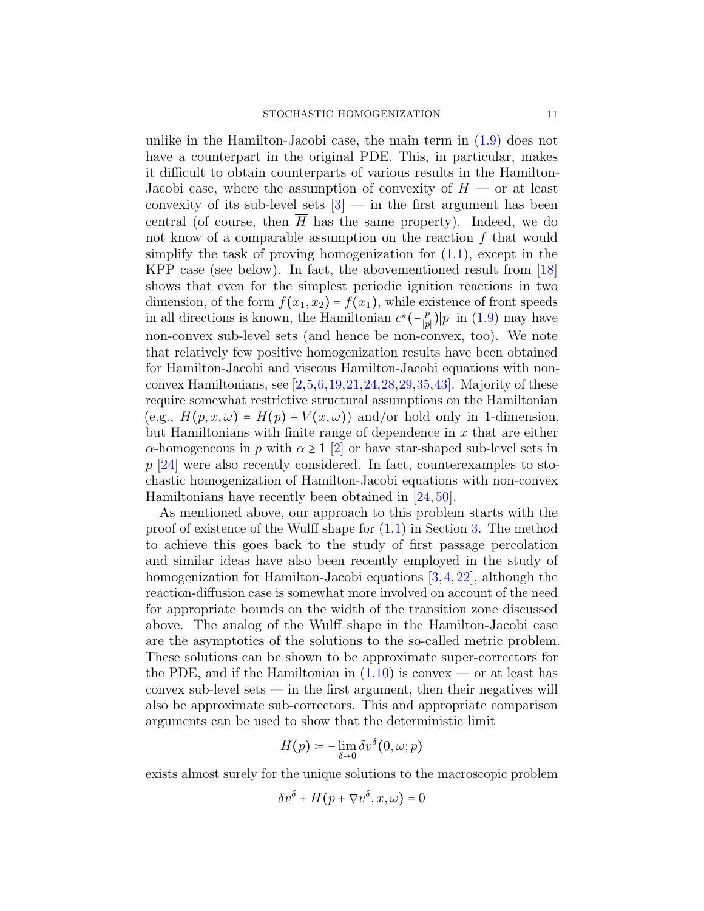unlike in the Hamilton-Jacobi case, the main term in [\(1.9\)](#page-8-0) does not have a counterpart in the original PDE. This, in particular, makes it difficult to obtain counterparts of various results in the Hamilton-Jacobi case, where the assumption of convexity of  $H$  — or at least convexity of its sub-level sets  $[3]$  — in the first argument has been central (of course, then  $\overline{H}$  has the same property). Indeed, we do not know of a comparable assumption on the reaction  $f$  that would simplify the task of proving homogenization for  $(1.1)$ , except in the KPP case (see below). In fact, the abovementioned result from [\[18\]](#page-61-3) shows that even for the simplest periodic ignition reactions in two dimension, of the form  $f(x_1, x_2) = f(x_1)$ , while existence of front speeds in all directions is known, the Hamiltonian  $c^*(-\frac{p}{p})$  $\frac{p}{|p|}$ )|p| in [\(1.9\)](#page-8-0) may have non-convex sub-level sets (and hence be non-convex, too). We note that relatively few positive homogenization results have been obtained for Hamilton-Jacobi and viscous Hamilton-Jacobi equations with nonconvex Hamiltonians, see  $[2,5,6,19,21,24,28,29,35,43]$  $[2,5,6,19,21,24,28,29,35,43]$  $[2,5,6,19,21,24,28,29,35,43]$  $[2,5,6,19,21,24,28,29,35,43]$  $[2,5,6,19,21,24,28,29,35,43]$  $[2,5,6,19,21,24,28,29,35,43]$  $[2,5,6,19,21,24,28,29,35,43]$  $[2,5,6,19,21,24,28,29,35,43]$  $[2,5,6,19,21,24,28,29,35,43]$  $[2,5,6,19,21,24,28,29,35,43]$ . Majority of these require somewhat restrictive structural assumptions on the Hamiltonian (e.g.,  $H(p, x, \omega) = H(p) + V(x, \omega)$ ) and/or hold only in 1-dimension, but Hamiltonians with finite range of dependence in  $x$  that are either  $\alpha$ -homogeneous in p with  $\alpha \geq 1$  [\[2\]](#page-60-3) or have star-shaped sub-level sets in  $p$  [\[24\]](#page-62-9) were also recently considered. In fact, counterexamples to stochastic homogenization of Hamilton-Jacobi equations with non-convex Hamiltonians have recently been obtained in [\[24,](#page-62-9) [50\]](#page-63-12).

As mentioned above, our approach to this problem starts with the proof of existence of the Wulff shape for [\(1.1\)](#page-0-0) in Section [3.](#page-29-0) The method to achieve this goes back to the study of first passage percolation and similar ideas have also been recently employed in the study of homogenization for Hamilton-Jacobi equations [\[3,](#page-60-1) [4,](#page-60-2) [22\]](#page-62-13), although the reaction-diffusion case is somewhat more involved on account of the need for appropriate bounds on the width of the transition zone discussed above. The analog of the Wulff shape in the Hamilton-Jacobi case are the asymptotics of the solutions to the so-called metric problem. These solutions can be shown to be approximate super-correctors for the PDE, and if the Hamiltonian in  $(1.10)$  is convex — or at least has  $convex sub-level sets — in the first argument, then their negatives will$ also be approximate sub-correctors. This and appropriate comparison arguments can be used to show that the deterministic limit

$$
\overline{H}(p) \coloneqq -\lim_{\delta \to 0} \delta v^{\delta}(0, \omega; p)
$$

exists almost surely for the unique solutions to the macroscopic problem

$$
\delta v^{\delta} + H(p + \nabla v^{\delta}, x, \omega) = 0
$$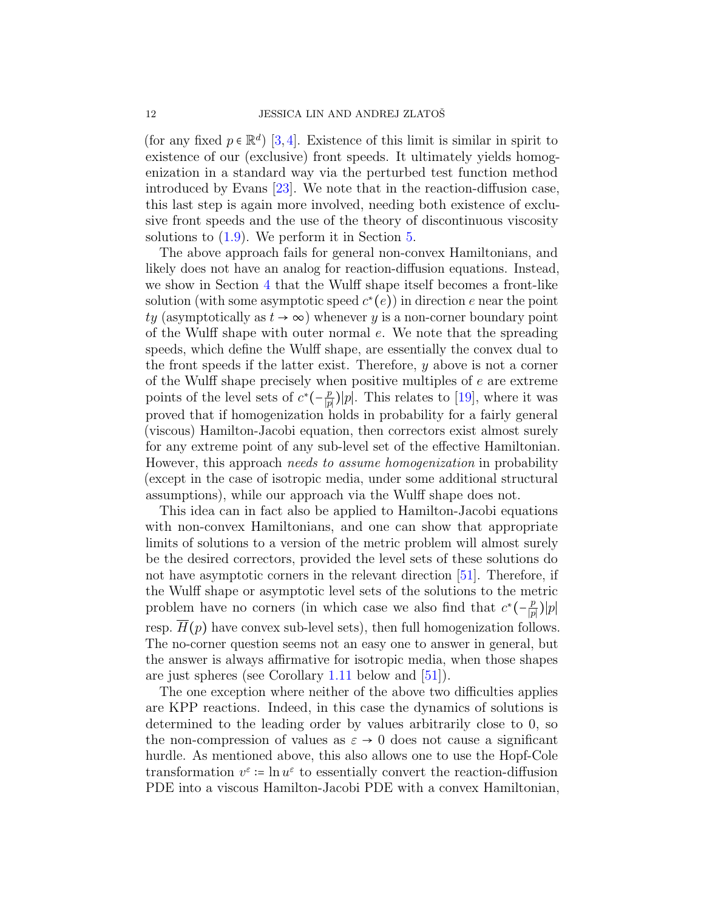(for any fixed  $p \in \mathbb{R}^d$ ) [\[3,](#page-60-1)[4\]](#page-60-2). Existence of this limit is similar in spirit to existence of our (exclusive) front speeds. It ultimately yields homogenization in a standard way via the perturbed test function method introduced by Evans [\[23\]](#page-62-14). We note that in the reaction-diffusion case, this last step is again more involved, needing both existence of exclusive front speeds and the use of the theory of discontinuous viscosity solutions to [\(1.9\)](#page-8-0). We perform it in Section [5.](#page-52-0)

The above approach fails for general non-convex Hamiltonians, and likely does not have an analog for reaction-diffusion equations. Instead, we show in Section [4](#page-37-0) that the Wulff shape itself becomes a front-like solution (with some asymptotic speed  $c^*(e)$ ) in direction e near the point ty (asymptotically as  $t \to \infty$ ) whenever y is a non-corner boundary point of the Wulff shape with outer normal e. We note that the spreading speeds, which define the Wulff shape, are essentially the convex dual to the front speeds if the latter exist. Therefore,  $y$  above is not a corner of the Wulff shape precisely when positive multiples of  $e$  are extreme points of the level sets of  $c^*(-\frac{p}{p})$  $\frac{p}{|p|}$ |p|. This relates to [\[19\]](#page-61-7), where it was proved that if homogenization holds in probability for a fairly general (viscous) Hamilton-Jacobi equation, then correctors exist almost surely for any extreme point of any sub-level set of the effective Hamiltonian. However, this approach needs to assume homogenization in probability (except in the case of isotropic media, under some additional structural assumptions), while our approach via the Wulff shape does not.

This idea can in fact also be applied to Hamilton-Jacobi equations with non-convex Hamiltonians, and one can show that appropriate limits of solutions to a version of the metric problem will almost surely be the desired correctors, provided the level sets of these solutions do not have asymptotic corners in the relevant direction [\[51\]](#page-63-13). Therefore, if the Wulff shape or asymptotic level sets of the solutions to the metric problem have no corners (in which case we also find that  $c^*(-\frac{p}{p})$  $\frac{p}{|p|}$ ) $|p|$ resp.  $H(p)$  have convex sub-level sets), then full homogenization follows. The no-corner question seems not an easy one to answer in general, but the answer is always affirmative for isotropic media, when those shapes are just spheres (see Corollary [1.11](#page-21-1) below and [\[51\]](#page-63-13)).

The one exception where neither of the above two difficulties applies are KPP reactions. Indeed, in this case the dynamics of solutions is determined to the leading order by values arbitrarily close to 0, so the non-compression of values as  $\varepsilon \to 0$  does not cause a significant hurdle. As mentioned above, this also allows one to use the Hopf-Cole transformation  $v^{\varepsilon}$  :=  $\ln u^{\varepsilon}$  to essentially convert the reaction-diffusion PDE into a viscous Hamilton-Jacobi PDE with a convex Hamiltonian,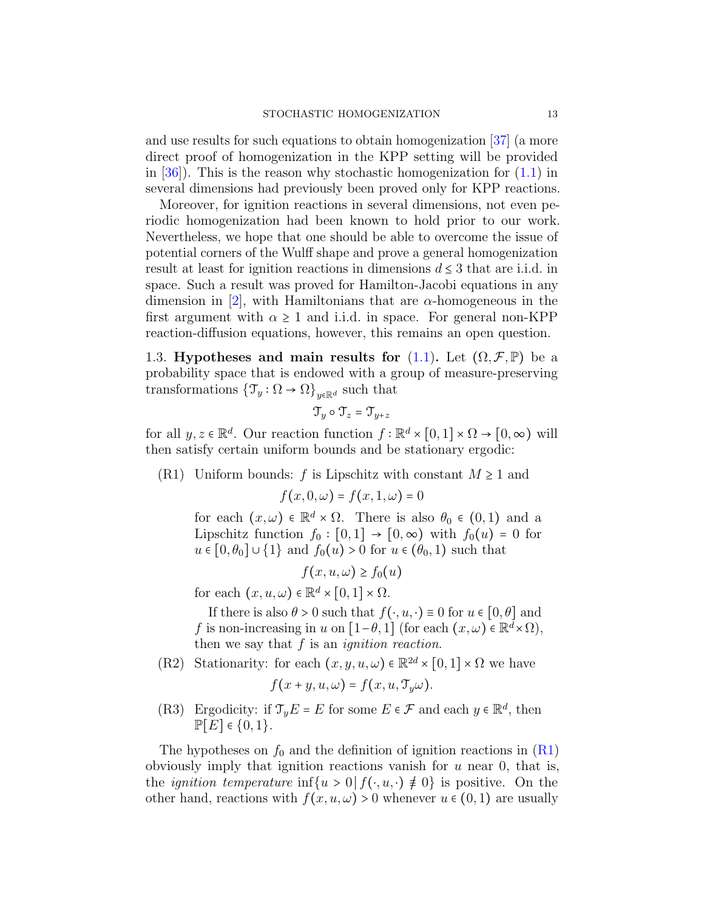and use results for such equations to obtain homogenization [\[37\]](#page-62-3) (a more direct proof of homogenization in the KPP setting will be provided in  $|36|$ ). This is the reason why stochastic homogenization for  $(1.1)$  in several dimensions had previously been proved only for KPP reactions.

Moreover, for ignition reactions in several dimensions, not even periodic homogenization had been known to hold prior to our work. Nevertheless, we hope that one should be able to overcome the issue of potential corners of the Wulff shape and prove a general homogenization result at least for ignition reactions in dimensions  $d \leq 3$  that are i.i.d. in space. Such a result was proved for Hamilton-Jacobi equations in any dimension in [\[2\]](#page-60-3), with Hamiltonians that are  $\alpha$ -homogeneous in the first argument with  $\alpha \geq 1$  and i.i.d. in space. For general non-KPP reaction-diffusion equations, however, this remains an open question.

<span id="page-12-0"></span>1.3. Hypotheses and main results for [\(1.1\)](#page-0-0). Let  $(\Omega, \mathcal{F}, \mathbb{P})$  be a probability space that is endowed with a group of measure-preserving transformations  $\{\mathcal{T}_y : \Omega \to \Omega\}_{y \in \mathbb{R}^d}$  such that

$$
\mathfrak{T}_y\circ \mathfrak{T}_z=\mathfrak{T}_{y+z}
$$

for all  $y, z \in \mathbb{R}^d$ . Our reaction function  $f : \mathbb{R}^d \times [0,1] \times \Omega \to [0,\infty)$  will then satisfy certain uniform bounds and be stationary ergodic:

<span id="page-12-1"></span>(R1) Uniform bounds: f is Lipschitz with constant  $M \geq 1$  and

$$
f(x,0,\omega) = f(x,1,\omega) = 0
$$

for each  $(x, \omega) \in \mathbb{R}^d \times \Omega$ . There is also  $\theta_0 \in (0, 1)$  and a Lipschitz function  $f_0 : [0,1] \rightarrow [0,\infty)$  with  $f_0(u) = 0$  for  $u \in [0, \theta_0] \cup \{1\}$  and  $f_0(u) > 0$  for  $u \in (\theta_0, 1)$  such that

$$
f(x, u, \omega) \ge f_0(u)
$$

for each  $(x, u, \omega) \in \mathbb{R}^d \times [0, 1] \times \Omega$ .

If there is also  $\theta > 0$  such that  $f(\cdot, u, \cdot) \equiv 0$  for  $u \in [0, \theta]$  and f is non-increasing in u on  $[1-\theta, 1]$  (for each  $(x, \omega) \in \mathbb{R}^d \times \Omega$ ), then we say that  $f$  is an *ignition reaction*.

<span id="page-12-3"></span>(R2) Stationarity: for each  $(x, y, u, \omega) \in \mathbb{R}^{2d} \times [0, 1] \times \Omega$  we have

$$
f(x + y, u, \omega) = f(x, u, \mathfrak{T}_y \omega).
$$

<span id="page-12-2"></span>(R3) Ergodicity: if  $\mathcal{T}_y E = E$  for some  $E \in \mathcal{F}$  and each  $y \in \mathbb{R}^d$ , then  $\mathbb{P}[E] \in \{0,1\}.$ 

The hypotheses on  $f_0$  and the definition of ignition reactions in  $(R1)$ obviously imply that ignition reactions vanish for  $u$  near 0, that is, the *ignition temperature* inf{u > 0 |  $f(\cdot, u, \cdot) \neq 0$ } is positive. On the other hand, reactions with  $f(x, u, \omega) > 0$  whenever  $u \in (0, 1)$  are usually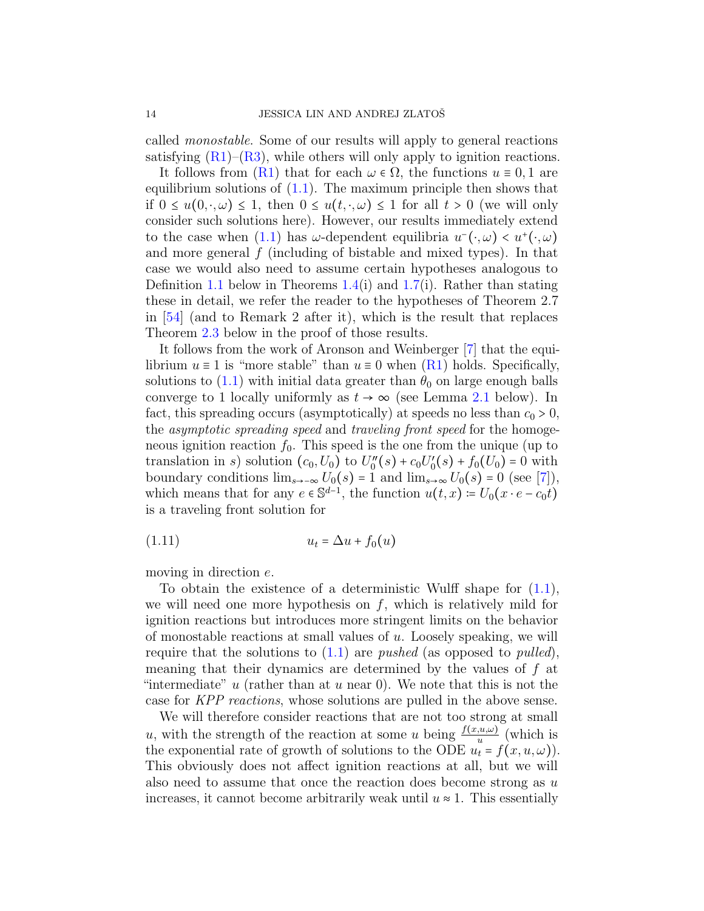called monostable. Some of our results will apply to general reactions satisfying  $(R1)$ – $(R3)$ , while others will only apply to ignition reactions.

It follows from  $(R1)$  that for each  $\omega \in \Omega$ , the functions  $u \equiv 0, 1$  are equilibrium solutions of  $(1.1)$ . The maximum principle then shows that if  $0 \leq u(0, \cdot, \omega) \leq 1$ , then  $0 \leq u(t, \cdot, \omega) \leq 1$  for all  $t > 0$  (we will only consider such solutions here). However, our results immediately extend to the case when [\(1.1\)](#page-0-0) has  $\omega$ -dependent equilibria  $u^-(\cdot,\omega) < u^+(\cdot,\omega)$ and more general  $f$  (including of bistable and mixed types). In that case we would also need to assume certain hypotheses analogous to Definition [1.1](#page-14-1) below in Theorems [1.4\(](#page-17-0)i) and [1.7\(](#page-19-0)i). Rather than stating these in detail, we refer the reader to the hypotheses of Theorem 2.7 in [\[54\]](#page-63-4) (and to Remark 2 after it), which is the result that replaces Theorem [2.3](#page-25-0) below in the proof of those results.

It follows from the work of Aronson and Weinberger [\[7\]](#page-61-9) that the equilibrium  $u \equiv 1$  is "more stable" than  $u \equiv 0$  when  $(R1)$  holds. Specifically, solutions to  $(1.1)$  with initial data greater than  $\theta_0$  on large enough balls converge to 1 locally uniformly as  $t \to \infty$  (see Lemma [2.1](#page-24-0) below). In fact, this spreading occurs (asymptotically) at speeds no less than  $c_0 > 0$ , the asymptotic spreading speed and traveling front speed for the homogeneous ignition reaction  $f_0$ . This speed is the one from the unique (up to translation in s) solution  $(c_0, U_0)$  to  $U''_0(s) + c_0 U'_0(s) + f_0(U_0) = 0$  with boundary conditions  $\lim_{s\to\infty} U_0(s) = 1$  and  $\lim_{s\to\infty} U_0(s) = 0$  (see [\[7\]](#page-61-9)), which means that for any  $e \in \mathbb{S}^{d-1}$ , the function  $u(t,x) = U_0(x \cdot e - c_0 t)$ is a traveling front solution for

<span id="page-13-0"></span>
$$
(1.11) \t\t u_t = \Delta u + f_0(u)
$$

moving in direction e.

To obtain the existence of a deterministic Wulff shape for  $(1.1)$ , we will need one more hypothesis on  $f$ , which is relatively mild for ignition reactions but introduces more stringent limits on the behavior of monostable reactions at small values of  $u$ . Loosely speaking, we will require that the solutions to  $(1.1)$  are *pushed* (as opposed to *pulled*), meaning that their dynamics are determined by the values of f at "intermediate" u (rather than at u near 0). We note that this is not the case for KPP reactions, whose solutions are pulled in the above sense.

We will therefore consider reactions that are not too strong at small u, with the strength of the reaction at some u being  $\frac{f(x, u, \omega)}{u}$  (which is the exponential rate of growth of solutions to the ODE  $u_t = f(x, u, \omega)$ . This obviously does not affect ignition reactions at all, but we will also need to assume that once the reaction does become strong as  $u$ increases, it cannot become arbitrarily weak until  $u \approx 1$ . This essentially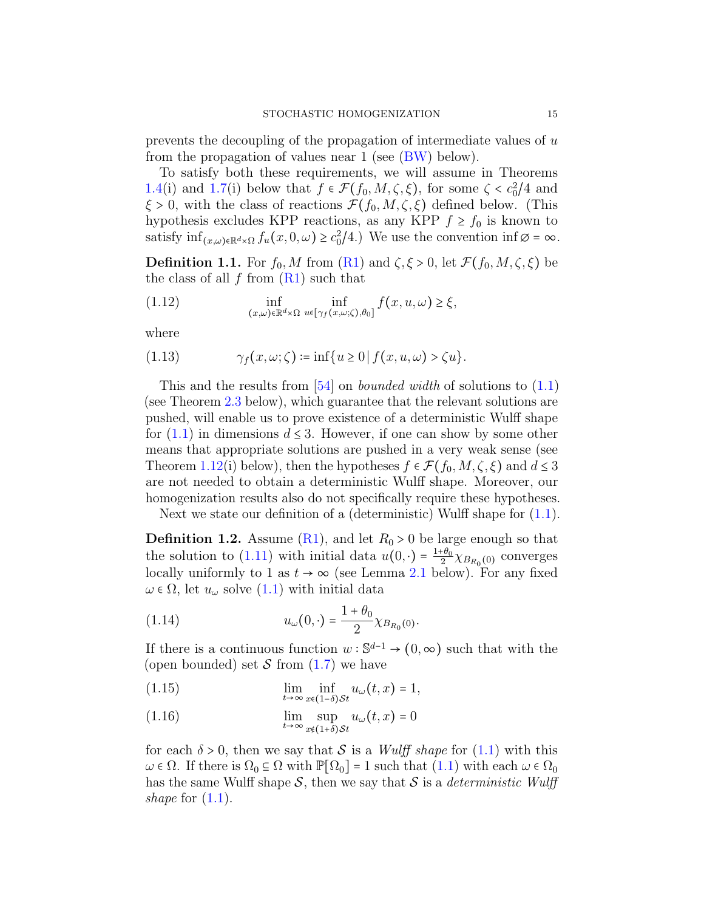prevents the decoupling of the propagation of intermediate values of  $u$ from the propagation of values near 1 (see [\(BW\)](#page-25-1) below).

To satisfy both these requirements, we will assume in Theorems [1.4\(](#page-17-0)i) and [1.7\(](#page-19-0)i) below that  $f \in \mathcal{F}(f_0, M, \zeta, \xi)$ , for some  $\zeta < c_0^2/4$  and  $\xi > 0$ , with the class of reactions  $\mathcal{F}(f_0, M, \zeta, \xi)$  defined below. (This hypothesis excludes KPP reactions, as any KPP  $f \ge f_0$  is known to satisfy  $\inf_{(x,\omega)\in\mathbb{R}^d\times\Omega} f_u(x,0,\omega) \geq c_0^2/4$ .) We use the convention  $\inf \emptyset = \infty$ .

<span id="page-14-1"></span>**Definition 1.1.** For  $f_0, M$  from  $(R1)$  and  $\zeta, \xi > 0$ , let  $\mathcal{F}(f_0, M, \zeta, \xi)$  be the class of all  $f$  from  $(R1)$  such that

(1.12) 
$$
\inf_{(x,\omega)\in\mathbb{R}^d\times\Omega} \inf_{u\in[\gamma_f(x,\omega;\zeta),\theta_0]} f(x,u,\omega) \geq \xi,
$$

where

$$
(1.13) \qquad \gamma_f(x,\omega;\zeta) \coloneqq \inf\{u \ge 0 \,|\, f(x,u,\omega) > \zeta u\}.
$$

This and the results from  $[54]$  on *bounded width* of solutions to  $(1.1)$ (see Theorem [2.3](#page-25-0) below), which guarantee that the relevant solutions are pushed, will enable us to prove existence of a deterministic Wulff shape for  $(1.1)$  in dimensions  $d \leq 3$ . However, if one can show by some other means that appropriate solutions are pushed in a very weak sense (see Theorem [1.12\(](#page-22-0)i) below), then the hypotheses  $f \in \mathcal{F}(f_0, M, \zeta, \xi)$  and  $d \leq 3$ are not needed to obtain a deterministic Wulff shape. Moreover, our homogenization results also do not specifically require these hypotheses.

Next we state our definition of a (deterministic) Wulff shape for  $(1.1)$ .

<span id="page-14-0"></span>**Definition 1.2.** Assume [\(R1\)](#page-12-1), and let  $R_0 > 0$  be large enough so that the solution to [\(1.11\)](#page-13-0) with initial data  $u(0, \cdot) = \frac{1+\theta_0}{2}$  $\frac{1}{2} \chi_{B_{R_0}(0)}$  converges locally uniformly to 1 as  $t \to \infty$  (see Lemma [2.1](#page-24-0) below). For any fixed  $\omega \in \Omega$ , let  $u_{\omega}$  solve  $(1.1)$  with initial data

<span id="page-14-4"></span>(1.14) 
$$
u_{\omega}(0, \cdot) = \frac{1 + \theta_0}{2} \chi_{B_{R_0}(0)}.
$$

If there is a continuous function  $w : \mathbb{S}^{d-1} \to (0, \infty)$  such that with the (open bounded) set  $S$  from  $(1.7)$  we have

<span id="page-14-2"></span>(1.15)  $\lim_{t \to \infty} \inf_{x \in (1-\delta)St} u_\omega(t, x) = 1,$ 

<span id="page-14-3"></span>(1.16) 
$$
\lim_{t \to \infty} \sup_{x \notin (1+\delta) \mathcal{S}t} u_{\omega}(t,x) = 0
$$

for each  $\delta > 0$ , then we say that S is a *Wulff shape* for [\(1.1\)](#page-0-0) with this  $\omega \in \Omega$ . If there is  $\Omega_0 \subseteq \Omega$  with  $\mathbb{P}[\Omega_0] = 1$  such that  $(1.1)$  with each  $\omega \in \Omega_0$ has the same Wulff shape  $S$ , then we say that S is a *deterministic Wulff* shape for  $(1.1)$ .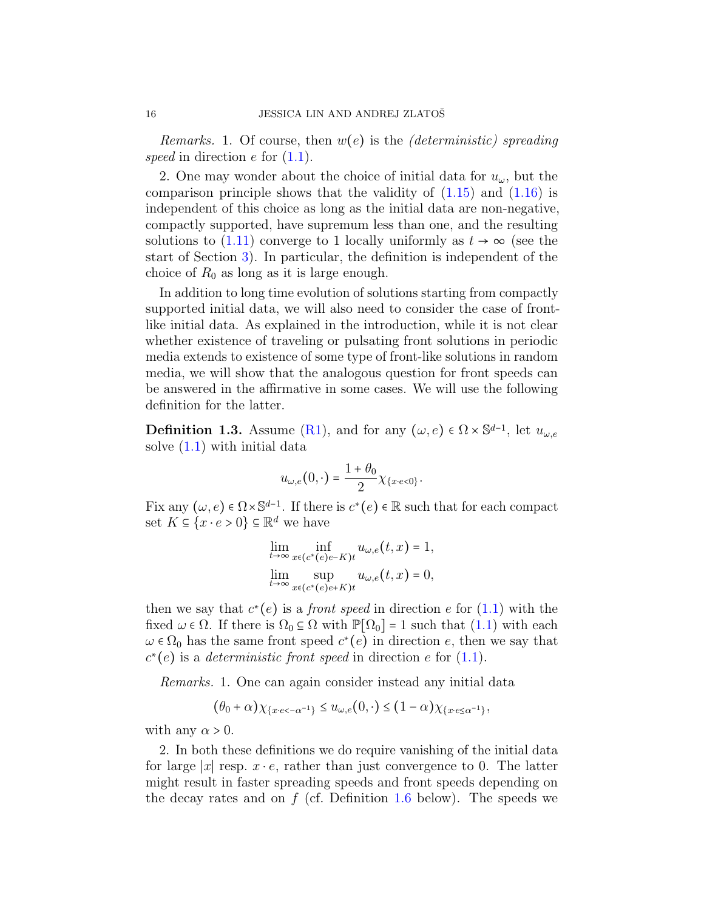*Remarks.* 1. Of course, then  $w(e)$  is the *(deterministic)* spreading speed in direction  $e$  for  $(1.1)$ .

2. One may wonder about the choice of initial data for  $u_{\omega}$ , but the comparison principle shows that the validity of  $(1.15)$  and  $(1.16)$  is independent of this choice as long as the initial data are non-negative, compactly supported, have supremum less than one, and the resulting solutions to  $(1.11)$  converge to 1 locally uniformly as  $t \to \infty$  (see the start of Section [3\)](#page-29-0). In particular, the definition is independent of the choice of  $R_0$  as long as it is large enough.

In addition to long time evolution of solutions starting from compactly supported initial data, we will also need to consider the case of frontlike initial data. As explained in the introduction, while it is not clear whether existence of traveling or pulsating front solutions in periodic media extends to existence of some type of front-like solutions in random media, we will show that the analogous question for front speeds can be answered in the affirmative in some cases. We will use the following definition for the latter.

<span id="page-15-0"></span>**Definition 1.3.** Assume [\(R1\)](#page-12-1), and for any  $(\omega, e) \in \Omega \times \mathbb{S}^{d-1}$ , let  $u_{\omega, e}$ solve [\(1.1\)](#page-0-0) with initial data

$$
u_{\omega,e}(0,\cdot)=\frac{1+\theta_0}{2}\chi_{\{x\cdot e<0\}}.
$$

Fix any  $(\omega, e) \in \Omega \times \mathbb{S}^{d-1}$ . If there is  $c^*(e) \in \mathbb{R}$  such that for each compact set  $K \subseteq \{x \cdot e > 0\} \subseteq \mathbb{R}^d$  we have

$$
\lim_{t \to \infty} \inf_{x \in (c^*(e)e-K)t} u_{\omega,e}(t,x) = 1,
$$
  
\n
$$
\lim_{t \to \infty} \sup_{x \in (c^*(e)e+K)t} u_{\omega,e}(t,x) = 0,
$$

then we say that  $c^*(e)$  is a *front speed* in direction e for  $(1.1)$  with the fixed  $\omega \in \Omega$ . If there is  $\Omega_0 \subseteq \Omega$  with  $\mathbb{P}[\Omega_0] = 1$  such that  $(1.1)$  with each  $\omega \in \Omega_0$  has the same front speed  $c^*(e)$  in direction e, then we say that  $c^*(e)$  is a *deterministic front speed* in direction e for  $(1.1)$ .

Remarks. 1. One can again consider instead any initial data

$$
(\theta_0 + \alpha) \chi_{\{x \cdot \epsilon < -\alpha^{-1}\}} \le u_{\omega,\epsilon}(0,\cdot) \le (1 - \alpha) \chi_{\{x \cdot \epsilon \le \alpha^{-1}\}},
$$

with any  $\alpha > 0$ .

2. In both these definitions we do require vanishing of the initial data for large |x| resp.  $x \cdot e$ , rather than just convergence to 0. The latter might result in faster spreading speeds and front speeds depending on the decay rates and on  $f$  (cf. Definition [1.6](#page-18-0) below). The speeds we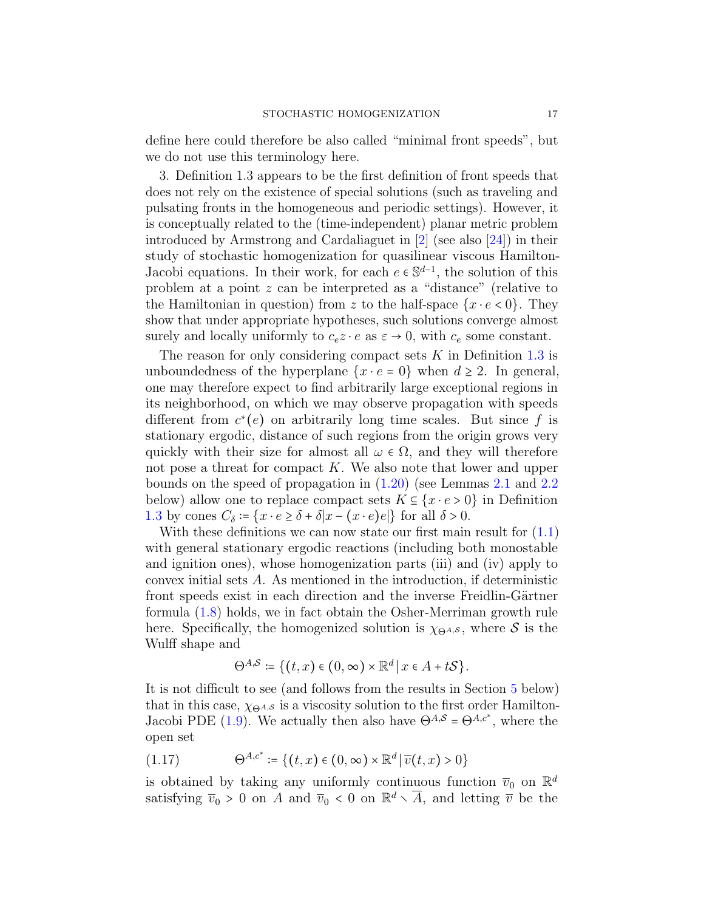define here could therefore be also called "minimal front speeds", but we do not use this terminology here.

3. Definition 1.3 appears to be the first definition of front speeds that does not rely on the existence of special solutions (such as traveling and pulsating fronts in the homogeneous and periodic settings). However, it is conceptually related to the (time-independent) planar metric problem introduced by Armstrong and Cardaliaguet in [\[2\]](#page-60-3) (see also [\[24\]](#page-62-9)) in their study of stochastic homogenization for quasilinear viscous Hamilton-Jacobi equations. In their work, for each  $e \in \mathbb{S}^{d-1}$ , the solution of this problem at a point z can be interpreted as a "distance" (relative to the Hamiltonian in question) from z to the half-space  $\{x \cdot e < 0\}$ . They show that under appropriate hypotheses, such solutions converge almost surely and locally uniformly to  $c_e z \cdot e$  as  $\varepsilon \to 0$ , with  $c_e$  some constant.

The reason for only considering compact sets  $K$  in Definition [1.3](#page-15-0) is unboundedness of the hyperplane  $\{x \cdot e = 0\}$  when  $d \ge 2$ . In general, one may therefore expect to find arbitrarily large exceptional regions in its neighborhood, on which we may observe propagation with speeds different from  $c^*(e)$  on arbitrarily long time scales. But since f is stationary ergodic, distance of such regions from the origin grows very quickly with their size for almost all  $\omega \in \Omega$ , and they will therefore not pose a threat for compact  $K$ . We also note that lower and upper bounds on the speed of propagation in [\(1.20\)](#page-19-2) (see Lemmas [2.1](#page-24-0) and [2.2](#page-24-1) below) allow one to replace compact sets  $K \subseteq \{x \cdot e > 0\}$  in Definition [1.3](#page-15-0) by cones  $C_{\delta}$  := { $x \cdot e \ge \delta + \delta |x - (x \cdot e)e|$ } for all  $\delta > 0$ .

With these definitions we can now state our first main result for  $(1.1)$ with general stationary ergodic reactions (including both monostable and ignition ones), whose homogenization parts (iii) and (iv) apply to convex initial sets A. As mentioned in the introduction, if deterministic front speeds exist in each direction and the inverse Freidlin-Gärtner formula [\(1.8\)](#page-6-0) holds, we in fact obtain the Osher-Merriman growth rule here. Specifically, the homogenized solution is  $\chi_{\Theta^{A,S}}$ , where S is the Wulff shape and

$$
\Theta^{A,S} \coloneqq \{ (t,x) \in (0,\infty) \times \mathbb{R}^d \, \middle| \, x \in A + tS \}.
$$

It is not difficult to see (and follows from the results in Section [5](#page-52-0) below) that in this case,  $\chi_{\Theta^{A,S}}$  is a viscosity solution to the first order Hamilton-Jacobi PDE [\(1.9\)](#page-8-0). We actually then also have  $\Theta^{A,S} = \Theta^{A,c^*}$ , where the open set

<span id="page-16-0"></span>
$$
(1.17) \qquad \qquad \Theta^{A,c^*} \coloneqq \{(t,x) \in (0,\infty) \times \mathbb{R}^d \, | \, \overline{v}(t,x) > 0\}
$$

is obtained by taking any uniformly continuous function  $\overline{v}_0$  on  $\mathbb{R}^d$ satisfying  $\overline{v}_0 > 0$  on A and  $\overline{v}_0 < 0$  on  $\mathbb{R}^d \setminus \overline{A}$ , and letting  $\overline{v}$  be the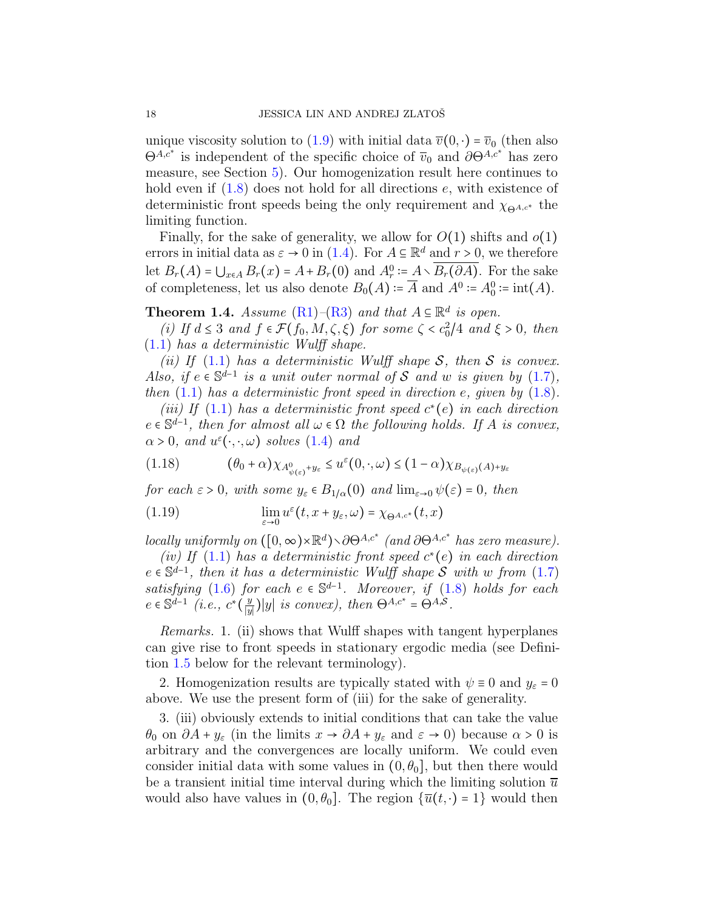unique viscosity solution to [\(1.9\)](#page-8-0) with initial data  $\overline{v}(0, \cdot) = \overline{v}_0$  (then also  $\Theta^{A,c^*}$  is independent of the specific choice of  $\overline{v}_0$  and  $\partial \Theta^{A,c^*}$  has zero measure, see Section [5\)](#page-52-0). Our homogenization result here continues to hold even if  $(1.8)$  does not hold for all directions e, with existence of deterministic front speeds being the only requirement and  $\chi_{\Theta^{A,c^*}}$  the limiting function.

Finally, for the sake of generality, we allow for  $O(1)$  shifts and  $o(1)$ errors in initial data as  $\varepsilon \to 0$  in [\(1.4\)](#page-1-0). For  $A \subseteq \mathbb{R}^d$  and  $r > 0$ , we therefore let  $B_r(A) = \bigcup_{x \in A} B_r(x) = A + B_r(0)$  and  $A_r^0 = A \setminus B_r(\partial A)$ . For the sake of completeness, let us also denote  $B_0(A) = \overline{A}$  and  $A^0 = A_0^0 = \text{int}(A)$ .

<span id="page-17-0"></span>**Theorem 1.4.** Assume  $(R1)$ – $(R3)$  and that  $A \subseteq \mathbb{R}^d$  is open.

(i) If  $d \leq 3$  and  $f \in \mathcal{F}(f_0, M, \zeta, \xi)$  for some  $\zeta < c_0^2/4$  and  $\xi > 0$ , then  $(1.1)$  has a deterministic Wulff shape.

(ii) If [\(1.1\)](#page-0-0) has a deterministic Wulff shape S, then S is convex. Also, if  $e \in \mathbb{S}^{d-1}$  is a unit outer normal of S and w is given by [\(1.7\)](#page-6-1), then  $(1.1)$  has a deterministic front speed in direction e, given by  $(1.8)$ .

(iii) If [\(1.1\)](#page-0-0) has a deterministic front speed  $c^*(e)$  in each direction  $e \in \mathbb{S}^{d-1}$ , then for almost all  $\omega \in \Omega$  the following holds. If A is convex,  $\alpha > 0$ , and  $u^{\varepsilon}(\cdot, \cdot, \omega)$  solves  $(1.4)$  and

<span id="page-17-1"></span>
$$
(1.18) \qquad (\theta_0 + \alpha) \chi_{A^0_{\psi(\varepsilon)} + y_\varepsilon} \le u^\varepsilon(0, \cdot, \omega) \le (1 - \alpha) \chi_{B_{\psi(\varepsilon)}(A) + y_\varepsilon}
$$

for each  $\varepsilon > 0$ , with some  $y_{\varepsilon} \in B_{1/\alpha}(0)$  and  $\lim_{\varepsilon \to 0} \psi(\varepsilon) = 0$ , then

<span id="page-17-2"></span>(1.19) 
$$
\lim_{\varepsilon \to 0} u^{\varepsilon}(t, x + y_{\varepsilon}, \omega) = \chi_{\Theta^{A, c^*}}(t, x)
$$

locally uniformly on  $([0, \infty) \times \mathbb{R}^d) \setminus \partial \Theta^{A,c^*}$  (and  $\partial \Theta^{A,c^*}$  has zero measure).

(iv) If  $(1.1)$  has a deterministic front speed  $c^*(e)$  in each direction  $e \in \mathbb{S}^{d-1}$ , then it has a deterministic Wulff shape S with w from [\(1.7\)](#page-6-1) satisfying [\(1.6\)](#page-5-0) for each  $e \in \mathbb{S}^{d-1}$ . Moreover, if [\(1.8\)](#page-6-0) holds for each  $e \in \mathbb{S}^{d-1}$  (*i.e.*,  $c^*(\frac{y}{|y|})$  $\frac{y}{|y|}$ |y| is convex), then  $\Theta^{A,c^*} = \Theta^{A,\mathcal{S}}$ .

Remarks. 1. (ii) shows that Wulff shapes with tangent hyperplanes can give rise to front speeds in stationary ergodic media (see Definition [1.5](#page-18-1) below for the relevant terminology).

2. Homogenization results are typically stated with  $\psi \equiv 0$  and  $y_{\varepsilon} = 0$ above. We use the present form of (iii) for the sake of generality.

3. (iii) obviously extends to initial conditions that can take the value  $\theta_0$  on  $\partial A + y_\varepsilon$  (in the limits  $x \to \partial A + y_\varepsilon$  and  $\varepsilon \to 0$ ) because  $\alpha > 0$  is arbitrary and the convergences are locally uniform. We could even consider initial data with some values in  $(0, \theta_0]$ , but then there would be a transient initial time interval during which the limiting solution  $\bar{u}$ would also have values in  $(0, \theta_0]$ . The region  $\{\overline{u}(t, \cdot) = 1\}$  would then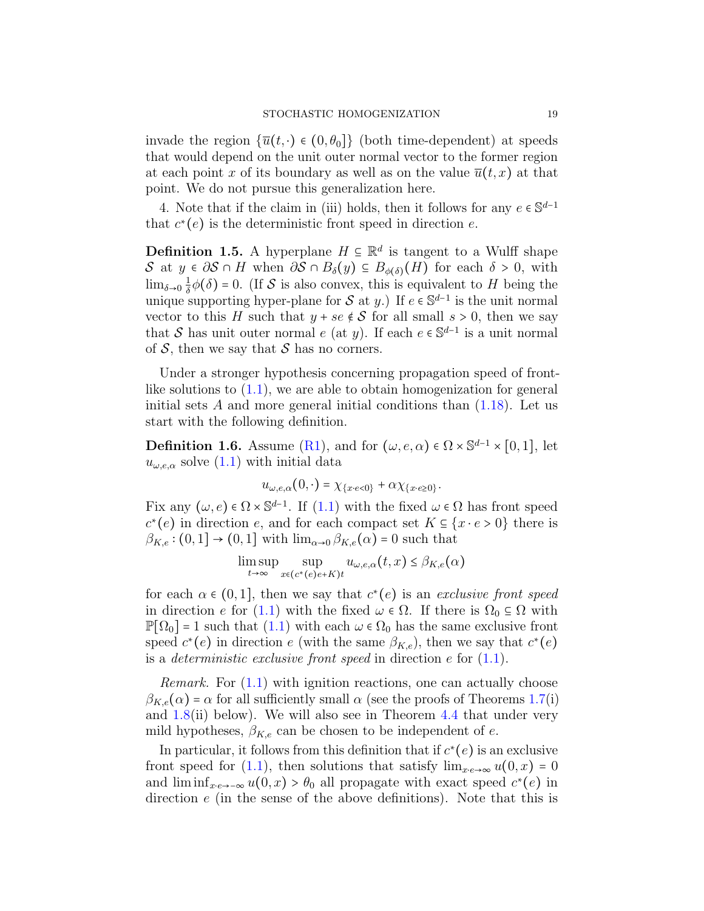invade the region  $\{\overline{u}(t, \cdot) \in (0, \theta_0]\}$  (both time-dependent) at speeds that would depend on the unit outer normal vector to the former region at each point x of its boundary as well as on the value  $\overline{u}(t, x)$  at that point. We do not pursue this generalization here.

4. Note that if the claim in (iii) holds, then it follows for any  $e \in \mathbb{S}^{d-1}$ that  $c^*(e)$  is the deterministic front speed in direction e.

<span id="page-18-1"></span>**Definition 1.5.** A hyperplane  $H \subseteq \mathbb{R}^d$  is tangent to a Wulff shape S at  $y \in \partial S \cap H$  when  $\partial S \cap B_{\delta}(y) \subseteq B_{\phi(\delta)}(H)$  for each  $\delta > 0$ , with  $\lim_{\delta \to 0} \frac{1}{\delta}$  $\frac{1}{\delta}\phi(\delta) = 0$ . (If S is also convex, this is equivalent to H being the unique supporting hyper-plane for S at y.) If  $e \in \mathbb{S}^{d-1}$  is the unit normal vector to this H such that  $y + se \notin S$  for all small  $s > 0$ , then we say that S has unit outer normal e (at y). If each  $e \in \mathbb{S}^{d-1}$  is a unit normal of  $S$ , then we say that  $S$  has no corners.

Under a stronger hypothesis concerning propagation speed of frontlike solutions to  $(1.1)$ , we are able to obtain homogenization for general initial sets  $A$  and more general initial conditions than  $(1.18)$ . Let us start with the following definition.

<span id="page-18-0"></span>**Definition 1.6.** Assume [\(R1\)](#page-12-1), and for  $(\omega, e, \alpha) \in \Omega \times \mathbb{S}^{d-1} \times [0, 1]$ , let  $u_{\omega,e,\alpha}$  solve  $(1.1)$  with initial data

$$
u_{\omega,e,\alpha}(0,\cdot)=\chi_{\{x\cdot e<0\}}+\alpha\chi_{\{x\cdot e\geq 0\}}.
$$

Fix any  $(\omega, e) \in \Omega \times \mathbb{S}^{d-1}$ . If  $(1.1)$  with the fixed  $\omega \in \Omega$  has front speed  $c^*(e)$  in direction e, and for each compact set  $K \subseteq \{x \cdot e > 0\}$  there is  $\beta_{K,e}$ :  $(0,1] \rightarrow (0,1]$  with  $\lim_{\alpha\to 0} \beta_{K,e}(\alpha) = 0$  such that

$$
\limsup_{t \to \infty} \sup_{x \in (c^*(e)e+K)t} u_{\omega,e,\alpha}(t,x) \leq \beta_{K,e}(\alpha)
$$

for each  $\alpha \in (0,1]$ , then we say that  $c^*(e)$  is an exclusive front speed in direction e for [\(1.1\)](#page-0-0) with the fixed  $\omega \in \Omega$ . If there is  $\Omega_0 \subseteq \Omega$  with  $\mathbb{P}[\Omega_0] = 1$  such that  $(1.1)$  with each  $\omega \in \Omega_0$  has the same exclusive front speed  $c^*(e)$  in direction e (with the same  $\beta_{K,e}$ ), then we say that  $c^*(e)$ is a *deterministic exclusive front speed* in direction  $e$  for  $(1.1)$ .

Remark. For [\(1.1\)](#page-0-0) with ignition reactions, one can actually choose  $\beta_{K,e}(\alpha) = \alpha$  for all sufficiently small  $\alpha$  (see the proofs of Theorems [1.7\(](#page-19-0)i) and  $1.8$ (ii) below). We will also see in Theorem  $4.4$  that under very mild hypotheses,  $\beta_{K,e}$  can be chosen to be independent of e.

In particular, it follows from this definition that if  $c^*(e)$  is an exclusive front speed for [\(1.1\)](#page-0-0), then solutions that satisfy  $\lim_{x \to \infty} u(0, x) = 0$ and  $\liminf_{x \to \infty} u(0, x) > \theta_0$  all propagate with exact speed  $c^*(e)$  in direction e (in the sense of the above definitions). Note that this is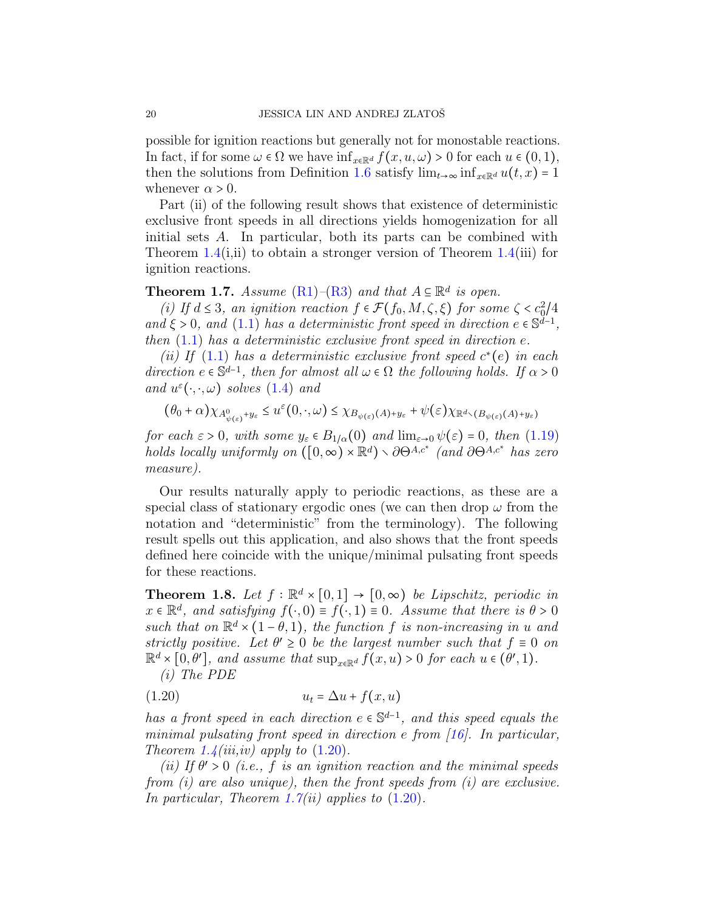possible for ignition reactions but generally not for monostable reactions. In fact, if for some  $\omega \in \Omega$  we have  $\inf_{x \in \mathbb{R}^d} f(x, u, \omega) > 0$  for each  $u \in (0, 1)$ , then the solutions from Definition [1.6](#page-18-0) satisfy  $\lim_{t\to\infty} \inf_{x\in\mathbb{R}^d} u(t,x) = 1$ whenever  $\alpha > 0$ .

Part (ii) of the following result shows that existence of deterministic exclusive front speeds in all directions yields homogenization for all initial sets A. In particular, both its parts can be combined with Theorem [1.4\(](#page-17-0)i,ii) to obtain a stronger version of Theorem 1.4(iii) for ignition reactions.

# <span id="page-19-0"></span>**Theorem 1.7.** Assume  $(R1)$ – $(R3)$  and that  $A \subseteq \mathbb{R}^d$  is open.

(i) If  $d \leq 3$ , an ignition reaction  $f \in \mathcal{F}(f_0, M, \zeta, \xi)$  for some  $\zeta < c_0^2/4$ and  $\xi > 0$ , and [\(1.1\)](#page-0-0) has a deterministic front speed in direction  $e \in \mathbb{S}^{d-1}$ , then  $(1.1)$  has a deterministic exclusive front speed in direction e.

(ii) If  $(1.1)$  has a deterministic exclusive front speed  $c^*(e)$  in each direction  $e \in \mathbb{S}^{d-1}$ , then for almost all  $\omega \in \Omega$  the following holds. If  $\alpha > 0$ and  $u^{\varepsilon}(\cdot,\cdot,\omega)$  solves  $(1.4)$  and

$$
(\theta_0 + \alpha) \chi_{A^0_{\psi(\varepsilon)} + y_{\varepsilon}} \le u^{\varepsilon}(0, \cdot, \omega) \le \chi_{B_{\psi(\varepsilon)}(A) + y_{\varepsilon}} + \psi(\varepsilon) \chi_{\mathbb{R}^d \setminus (B_{\psi(\varepsilon)}(A) + y_{\varepsilon})}
$$

for each  $\varepsilon > 0$ , with some  $y_{\varepsilon} \in B_{1/\alpha}(0)$  and  $\lim_{\varepsilon \to 0} \psi(\varepsilon) = 0$ , then [\(1.19\)](#page-17-2) holds locally uniformly on  $([0, \infty) \times \mathbb{R}^d) \setminus \partial \Theta^{A, c^*}$  (and  $\partial \Theta^{A, c^*}$  has zero measure).

Our results naturally apply to periodic reactions, as these are a special class of stationary ergodic ones (we can then drop  $\omega$  from the notation and "deterministic" from the terminology). The following result spells out this application, and also shows that the front speeds defined here coincide with the unique/minimal pulsating front speeds for these reactions.

<span id="page-19-1"></span>**Theorem 1.8.** Let  $f : \mathbb{R}^d \times [0,1] \rightarrow [0,\infty)$  be Lipschitz, periodic in  $x \in \mathbb{R}^d$ , and satisfying  $f(\cdot, 0) \equiv f(\cdot, 1) \equiv 0$ . Assume that there is  $\theta > 0$ such that on  $\mathbb{R}^d \times (1-\theta,1)$ , the function f is non-increasing in u and strictly positive. Let  $\theta' \geq 0$  be the largest number such that  $f \equiv 0$  on  $\mathbb{R}^d \times [0,\theta'],$  and assume that  $\sup_{x \in \mathbb{R}^d} f(x,u) > 0$  for each  $u \in (\theta', 1)$ .

<span id="page-19-2"></span>(i) The PDE

$$
(1.20) \t\t u_t = \Delta u + f(x, u)
$$

has a front speed in each direction  $e \in \mathbb{S}^{d-1}$ , and this speed equals the minimal pulsating front speed in direction e from [\[16\]](#page-61-1). In particular, Theorem [1.4\(](#page-17-0)iii,iv) apply to  $(1.20)$ .

(ii) If  $\theta' > 0$  (i.e., f is an ignition reaction and the minimal speeds from  $(i)$  are also unique), then the front speeds from  $(i)$  are exclusive. In particular, Theorem [1.7\(](#page-19-0)*ii*) applies to  $(1.20)$ .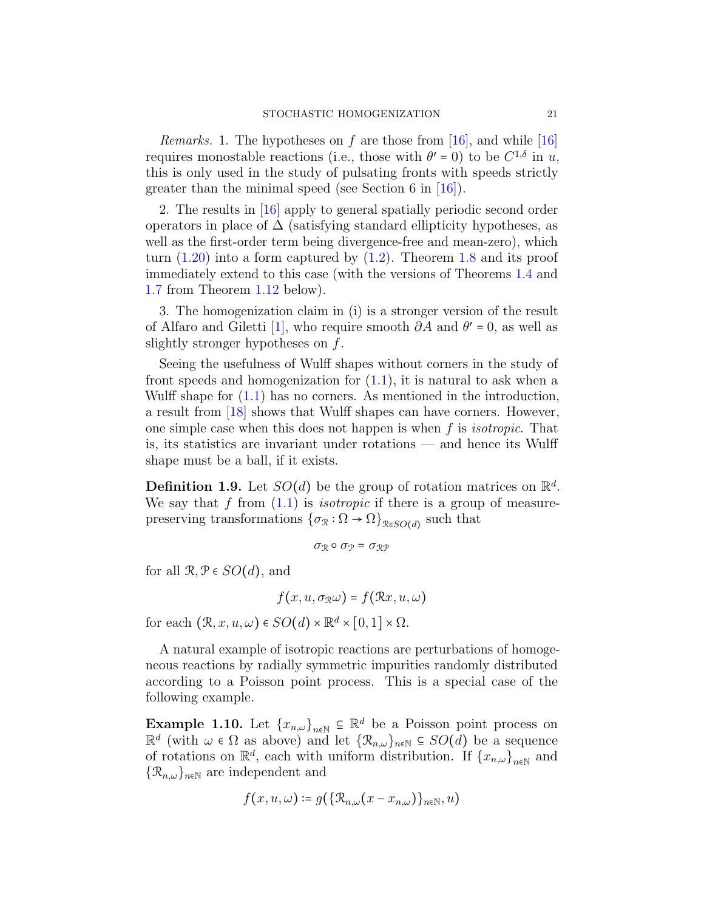*Remarks.* 1. The hypotheses on f are those from [\[16\]](#page-61-1), and while [16] requires monostable reactions (i.e., those with  $\theta' = 0$ ) to be  $C^{1,\delta}$  in u, this is only used in the study of pulsating fronts with speeds strictly greater than the minimal speed (see Section 6 in [\[16\]](#page-61-1)).

2. The results in [\[16\]](#page-61-1) apply to general spatially periodic second order operators in place of  $\Delta$  (satisfying standard ellipticity hypotheses, as well as the first-order term being divergence-free and mean-zero), which turn  $(1.20)$  into a form captured by  $(1.2)$ . Theorem [1.8](#page-19-1) and its proof immediately extend to this case (with the versions of Theorems [1.4](#page-17-0) and [1.7](#page-19-0) from Theorem [1.12](#page-22-0) below).

3. The homogenization claim in (i) is a stronger version of the result of Alfaro and Giletti [\[1\]](#page-60-0), who require smooth  $\partial A$  and  $\theta' = 0$ , as well as slightly stronger hypotheses on f.

Seeing the usefulness of Wulff shapes without corners in the study of front speeds and homogenization for  $(1.1)$ , it is natural to ask when a Wulff shape for [\(1.1\)](#page-0-0) has no corners. As mentioned in the introduction, a result from [\[18\]](#page-61-3) shows that Wulff shapes can have corners. However, one simple case when this does not happen is when  $f$  is *isotropic*. That is, its statistics are invariant under rotations — and hence its Wulff shape must be a ball, if it exists.

<span id="page-20-0"></span>**Definition 1.9.** Let  $SO(d)$  be the group of rotation matrices on  $\mathbb{R}^d$ . We say that f from  $(1.1)$  is *isotropic* if there is a group of measurepreserving transformations  $\{\sigma_{\mathcal{R}} : \Omega \to \Omega\}_{\mathcal{R} \in SO(d)}$  such that

$$
\sigma_{\mathcal{R}}\circ\sigma_{\mathcal{P}}=\sigma_{\mathcal{RP}}
$$

for all  $\mathcal{R}, \mathcal{P} \in SO(d)$ , and

$$
f(x, u, \sigma_{\mathcal{R}}\omega) = f(\mathcal{R}x, u, \omega)
$$

for each  $(\mathcal{R}, x, u, \omega) \in SO(d) \times \mathbb{R}^d \times [0, 1] \times \Omega$ .

A natural example of isotropic reactions are perturbations of homogeneous reactions by radially symmetric impurities randomly distributed according to a Poisson point process. This is a special case of the following example.

**Example 1.10.** Let  $\{x_{n,\omega}\}_{{n\in\mathbb{N}}} \subseteq \mathbb{R}^d$  be a Poisson point process on  $\mathbb{R}^d$  (with  $\omega \in \Omega$  as above) and let  $\{\mathcal{R}_{n,\omega}\}_{n\in\mathbb{N}} \subseteq SO(d)$  be a sequence of rotations on  $\mathbb{R}^d$ , each with uniform distribution. If  $\{x_{n,\omega}\}_{{n\in\mathbb{N}}}$  and  $\{\mathcal{R}_{n,\omega}\}\eta\in\mathbb{N}$  are independent and

$$
f(x, u, \omega) \coloneqq g(\{\mathcal{R}_{n, \omega}(x - x_{n, \omega})\}_{n \in \mathbb{N}}, u)
$$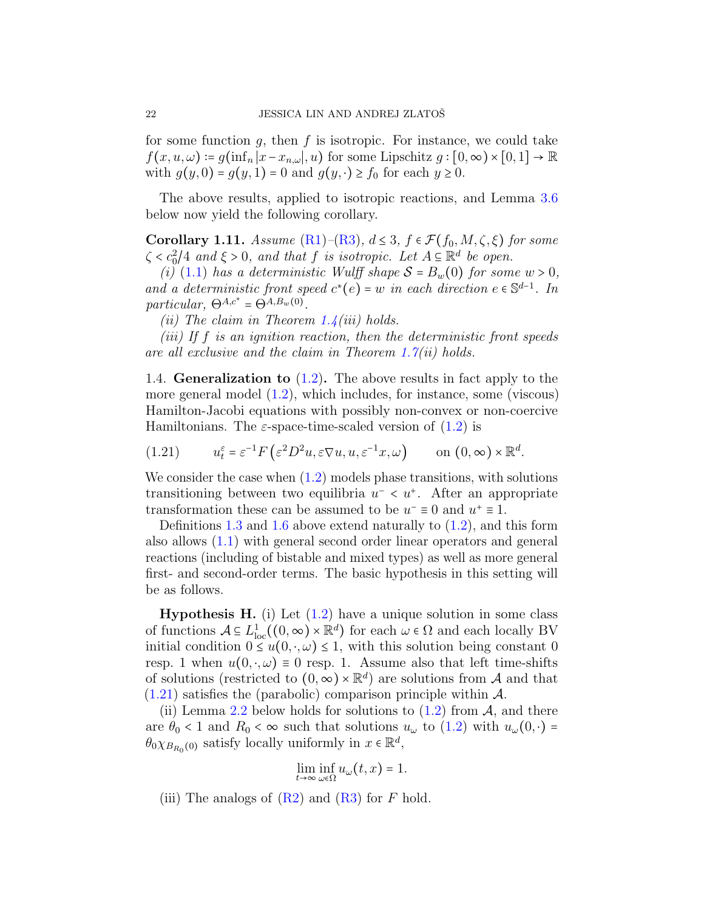for some function  $g$ , then  $f$  is isotropic. For instance, we could take  $f(x, u, \omega) \coloneqq g(\inf_n |x-x_{n,\omega}|, u)$  for some Lipschitz  $g : [0, \infty) \times [0, 1] \to \mathbb{R}$ with  $g(y, 0) = g(y, 1) = 0$  and  $g(y, \cdot) \ge f_0$  for each  $y \ge 0$ .

The above results, applied to isotropic reactions, and Lemma [3.6](#page-37-1) below now yield the following corollary.

<span id="page-21-1"></span>Corollary 1.11. Assume [\(R1\)](#page-12-1)–[\(R3\)](#page-12-2),  $d \leq 3$ ,  $f \in \mathcal{F}(f_0, M, \zeta, \xi)$  for some  $\zeta < c_0^2/4$  and  $\xi > 0$ , and that f is isotropic. Let  $A \subseteq \mathbb{R}^d$  be open.

(i) [\(1.1\)](#page-0-0) has a deterministic Wulff shape  $S = B_w(0)$  for some  $w > 0$ , and a deterministic front speed  $c^*(e) = w$  in each direction  $e \in \mathbb{S}^{d-1}$ . In particular,  $\Theta^{A,c^*} = \Theta^{A,B_w(0)}$ .

(*ii*) The claim in Theorem [1.4\(](#page-17-0)*iii*) holds.

(iii) If f is an ignition reaction, then the deterministic front speeds are all exclusive and the claim in Theorem [1.7\(](#page-19-0)ii) holds.

<span id="page-21-0"></span>1.4. **Generalization to**  $(1.2)$ . The above results in fact apply to the more general model [\(1.2\)](#page-1-1), which includes, for instance, some (viscous) Hamilton-Jacobi equations with possibly non-convex or non-coercive Hamiltonians. The  $\varepsilon$ -space-time-scaled version of  $(1.2)$  is

<span id="page-21-2"></span>
$$
(1.21) \t u_t^{\varepsilon} = \varepsilon^{-1} F\left(\varepsilon^2 D^2 u, \varepsilon \nabla u, u, \varepsilon^{-1} x, \omega\right) \t on (0, \infty) \times \mathbb{R}^d.
$$

We consider the case when  $(1.2)$  models phase transitions, with solutions transitioning between two equilibria  $u^- < u^+$ . After an appropriate transformation these can be assumed to be  $u^- \equiv 0$  and  $u^+ \equiv 1$ .

Definitions [1.3](#page-15-0) and [1.6](#page-18-0) above extend naturally to  $(1.2)$ , and this form also allows [\(1.1\)](#page-0-0) with general second order linear operators and general reactions (including of bistable and mixed types) as well as more general first- and second-order terms. The basic hypothesis in this setting will be as follows.

**Hypothesis H.** (i) Let  $(1.2)$  have a unique solution in some class of functions  $A \subseteq L^1_{loc}((0, \infty) \times \mathbb{R}^d)$  for each  $\omega \in \Omega$  and each locally BV initial condition  $0 \le u(0, \cdot, \omega) \le 1$ , with this solution being constant 0 resp. 1 when  $u(0, \cdot, \omega) \equiv 0$  resp. 1. Assume also that left time-shifts of solutions (restricted to  $(0, \infty) \times \mathbb{R}^d$ ) are solutions from A and that  $(1.21)$  satisfies the (parabolic) comparison principle within A.

(ii) Lemma [2.2](#page-24-1) below holds for solutions to  $(1.2)$  from A, and there are  $\theta_0 < 1$  and  $R_0 < \infty$  such that solutions  $u_\omega$  to  $(1.2)$  with  $u_\omega(0, \cdot) =$  $\theta_{0}\chi_{B_{R_0}(0)}$  satisfy locally uniformly in  $x \in \mathbb{R}^d$ ,

$$
\lim_{t\to\infty}\inf_{\omega\in\Omega}u_{\omega}(t,x)=1.
$$

(iii) The analogs of  $(R2)$  and  $(R3)$  for F hold.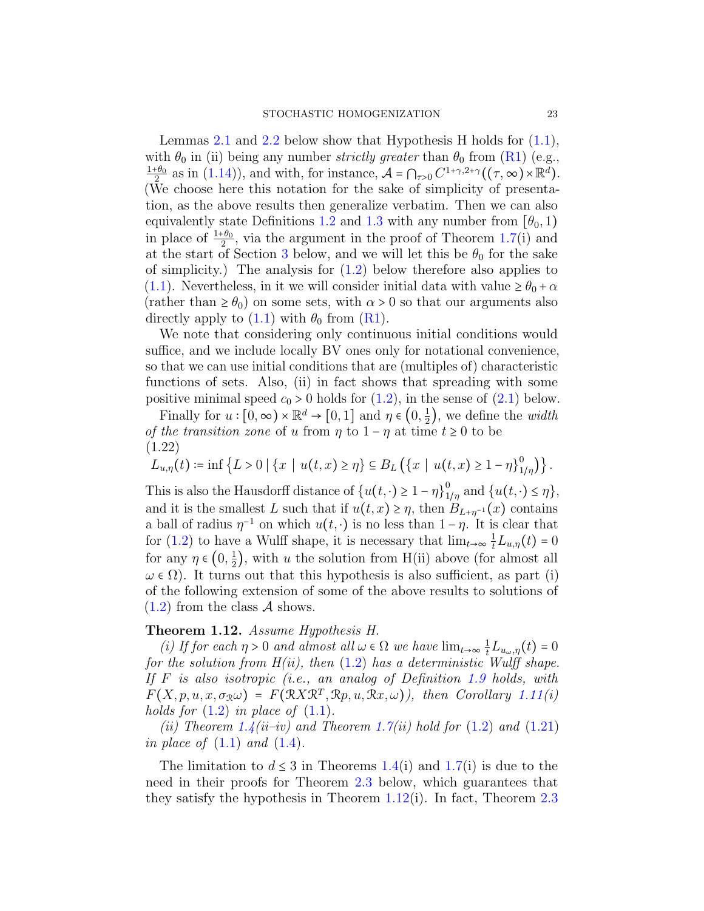Lemmas [2.1](#page-24-0) and [2.2](#page-24-1) below show that Hypothesis H holds for  $(1.1)$ , with  $\theta_0$  in (ii) being any number *strictly greater* than  $\theta_0$  from [\(R1\)](#page-12-1) (e.g.,  $1+\theta_0$  $\frac{1}{2}$  as in [\(1.14\)](#page-14-4)), and with, for instance,  $\mathcal{A} = \bigcap_{\tau>0} C^{1+\gamma,2+\gamma}((\tau,\infty) \times \mathbb{R}^d)$ . (We choose here this notation for the sake of simplicity of presentation, as the above results then generalize verbatim. Then we can also equivalently state Definitions [1.2](#page-14-0) and [1.3](#page-15-0) with any number from  $[\theta_0, 1)$ in place of  $\frac{1+\theta_0}{2}$ , via the argument in the proof of Theorem [1.7\(](#page-19-0)i) and at the start of Section [3](#page-29-0) below, and we will let this be  $\theta_0$  for the sake of simplicity.) The analysis for  $(1.2)$  below therefore also applies to [\(1.1\)](#page-0-0). Nevertheless, in it we will consider initial data with value  $\geq \theta_0 + \alpha$ (rather than  $\geq \theta_0$ ) on some sets, with  $\alpha > 0$  so that our arguments also directly apply to  $(1.1)$  with  $\theta_0$  from  $(R1)$ .

We note that considering only continuous initial conditions would suffice, and we include locally BV ones only for notational convenience, so that we can use initial conditions that are (multiples of) characteristic functions of sets. Also, (ii) in fact shows that spreading with some positive minimal speed  $c_0 > 0$  holds for  $(1.2)$ , in the sense of  $(2.1)$  below.

Finally for  $u : [0, \infty) \times \mathbb{R}^d \to [0, 1]$  and  $\eta \in (0, \frac{1}{2})$  $(\frac{1}{2})$ , we define the *width* of the transition zone of u from  $\eta$  to  $1 - \eta$  at time  $t \geq 0$  to be (1.22)

<span id="page-22-1"></span>
$$
L_{u,\eta}(t) := \inf \left\{ L > 0 \mid \{x \mid u(t,x) \geq \eta \} \subseteq B_L \left( \{ x \mid u(t,x) \geq 1 - \eta \}_{1/\eta}^0 \right) \right\}.
$$

This is also the Hausdorff distance of  $\{u(t, \cdot) \geq 1 - \eta\}^0_1$  $\int_{1/\eta}^{0}$  and  $\{u(t,\cdot)\leq \eta\},$ and it is the smallest L such that if  $u(t, x) \geq \eta$ , then  $B_{L+\eta^{-1}}(x)$  contains a ball of radius  $\eta^{-1}$  on which  $u(t, \cdot)$  is no less than  $1 - \eta$ . It is clear that for [\(1.2\)](#page-1-1) to have a Wulff shape, it is necessary that  $\lim_{t\to\infty} \frac{1}{t}L_{u,\eta}(t) = 0$ for any  $\eta \in \left(0, \frac{1}{2}\right)$  $(\frac{1}{2})$ , with u the solution from H(ii) above (for almost all  $\omega \in \Omega$ ). It turns out that this hypothesis is also sufficient, as part (i) of the following extension of some of the above results to solutions of  $(1.2)$  from the class A shows.

#### <span id="page-22-0"></span>Theorem 1.12. Assume Hypothesis H.

(i) If for each  $\eta > 0$  and almost all  $\omega \in \Omega$  we have  $\lim_{t \to \infty} \frac{1}{t} L_{u_{\omega},\eta}(t) = 0$ for the solution from  $H(ii)$ , then  $(1.2)$  has a deterministic Wulff shape. If F is also isotropic (i.e., an analog of Definition [1.9](#page-20-0) holds, with  $F(X, p, u, x, \sigma_{\mathbb{R}}\omega) = F(\mathbb{R}X\mathbb{R}^T, \mathbb{R}p, u, \mathbb{R}x, \omega)$ , then Corollary [1.11\(](#page-21-1)i) holds for  $(1.2)$  in place of  $(1.1)$ .

(ii) Theorem [1.4\(](#page-17-0)ii–iv) and Theorem [1.7\(](#page-19-0)ii) hold for  $(1.2)$  and  $(1.21)$ in place of  $(1.1)$  and  $(1.4)$ .

The limitation to  $d \leq 3$  in Theorems [1.4\(](#page-17-0)i) and [1.7\(](#page-19-0)i) is due to the need in their proofs for Theorem [2.3](#page-25-0) below, which guarantees that they satisfy the hypothesis in Theorem [1.12\(](#page-22-0)i). In fact, Theorem [2.3](#page-25-0)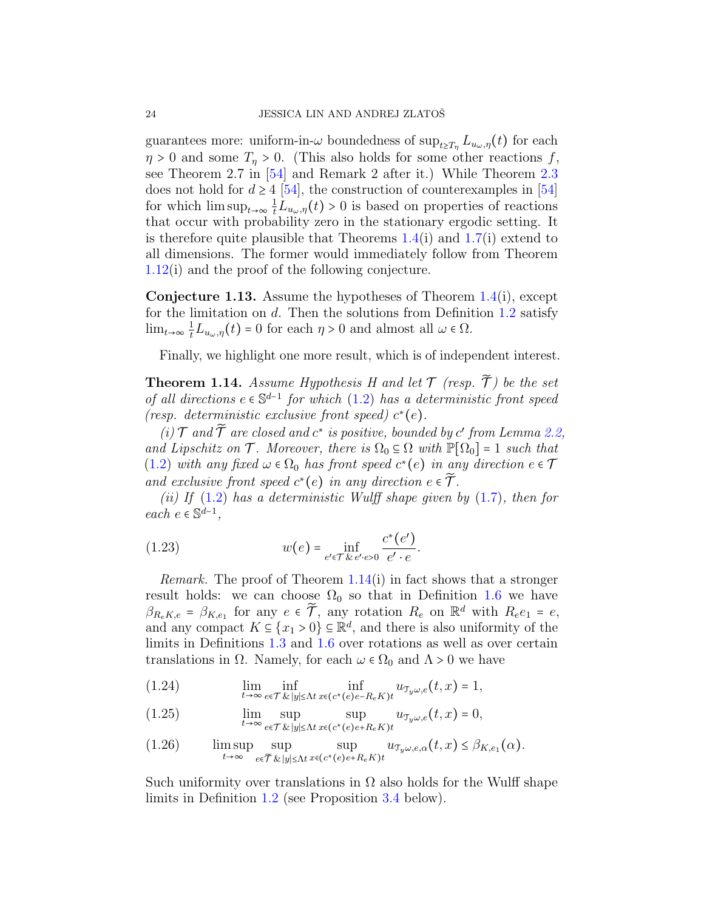guarantees more: uniform-in- $\omega$  boundedness of  $\sup_{t\geq T_n} L_{u_\omega,\eta}(t)$  for each  $\eta > 0$  and some  $T_{\eta} > 0$ . (This also holds for some other reactions f, see Theorem 2.7 in [\[54\]](#page-63-4) and Remark 2 after it.) While Theorem [2.3](#page-25-0) does not hold for  $d \geq 4$  [\[54\]](#page-63-4), the construction of counterexamples in [54] for which  $\limsup_{t\to\infty}\frac{1}{t}L_{u_\omega,\eta}(t)>0$  is based on properties of reactions that occur with probability zero in the stationary ergodic setting. It is therefore quite plausible that Theorems  $1.4(i)$  $1.4(i)$  and  $1.7(i)$  $1.7(i)$  extend to all dimensions. The former would immediately follow from Theorem [1.12\(](#page-22-0)i) and the proof of the following conjecture.

<span id="page-23-1"></span>Conjecture 1.13. Assume the hypotheses of Theorem [1.4\(](#page-17-0)i), except for the limitation on  $d$ . Then the solutions from Definition [1.2](#page-14-0) satisfy  $\lim_{t\to\infty}\frac{1}{t}L_{u_{\omega,\eta}}(t)=0$  for each  $\eta>0$  and almost all  $\omega\in\Omega$ .

Finally, we highlight one more result, which is of independent interest.

<span id="page-23-0"></span>**Theorem 1.14.** Assume Hypothesis H and let  $\mathcal T$  (resp.  $\widetilde{\mathcal T}$ ) be the set of all directions  $e \in \mathbb{S}^{d-1}$  for which [\(1.2\)](#page-1-1) has a deterministic front speed (resp. deterministic exclusive front speed)  $c^*(e)$ .

(i)  $\mathcal T$  and  $\widetilde{\mathcal T}$  are closed and  $c^*$  is positive, bounded by  $c'$  from Lemma [2.2,](#page-24-1) and Lipschitz on  $\mathcal T$ . Moreover, there is  $\Omega_0 \subseteq \Omega$  with  $\mathbb P[\Omega_0] = 1$  such that [\(1.2\)](#page-1-1) with any fixed  $\omega \in \Omega_0$  has front speed  $c^*(e)$  in any direction  $e \in \mathcal{T}$ and exclusive front speed  $c^*(e)$  in any direction  $e \in \widetilde{\mathcal{T}}$ .

(ii) If  $(1.2)$  has a deterministic Wulff shape given by  $(1.7)$ , then for  $each \ e \in \mathbb{S}^{d-1},$ 

<span id="page-23-5"></span>(1.23) 
$$
w(e) = \inf_{e' \in \mathcal{T}} \underbrace{c^*(e')}_{e' \cdot e}.
$$

Remark. The proof of Theorem [1.14\(](#page-23-0)i) in fact shows that a stronger result holds: we can choose  $\Omega_0$  so that in Definition [1.6](#page-18-0) we have  $\beta_{R_e K,e} = \beta_{K,e_1}$  for any  $e \in \tilde{\mathcal{T}}$ , any rotation  $R_e$  on  $\mathbb{R}^d$  with  $R_e e_1 = e$ , and any compact  $K \subseteq \{x_1 > 0\} \subseteq \mathbb{R}^d$ , and there is also uniformity of the limits in Definitions [1.3](#page-15-0) and [1.6](#page-18-0) over rotations as well as over certain translations in  $\Omega$ . Namely, for each  $\omega \in \Omega_0$  and  $\Lambda > 0$  we have

<span id="page-23-2"></span>(1.24)  $\lim_{t\to\infty}\inf_{e\in\mathcal{T}}\inf_{\mathcal{X}}\inf_{|y|\leq\Lambda t}\inf_{x\in(c^*(e)e-R_eK)t}u_{\mathcal{T}_y\omega,e}(t,x)=1,$ 

<span id="page-23-3"></span>(1.25) 
$$
\lim_{t \to \infty} \sup_{e \in \mathcal{T}} \sup_{\mathcal{R} |y| \le \Lambda t} \sup_{x \in (c^*(e)e + R_e K)t} u_{\mathcal{T}_y \omega, e}(t, x) = 0,
$$

<span id="page-23-4"></span>(1.26) 
$$
\limsup_{t\to\infty}\sup_{e\in\widetilde{\mathcal{T}}}\sup_{\&\|y\|\leq\Lambda t}\sup_{x\in(c^*(e)e+R_eK)t}u_{\mathcal{T}_y\omega,e,\alpha}(t,x)\leq\beta_{K,e_1}(\alpha).
$$

Such uniformity over translations in  $\Omega$  also holds for the Wulff shape limits in Definition [1.2](#page-14-0) (see Proposition [3.4](#page-34-0) below).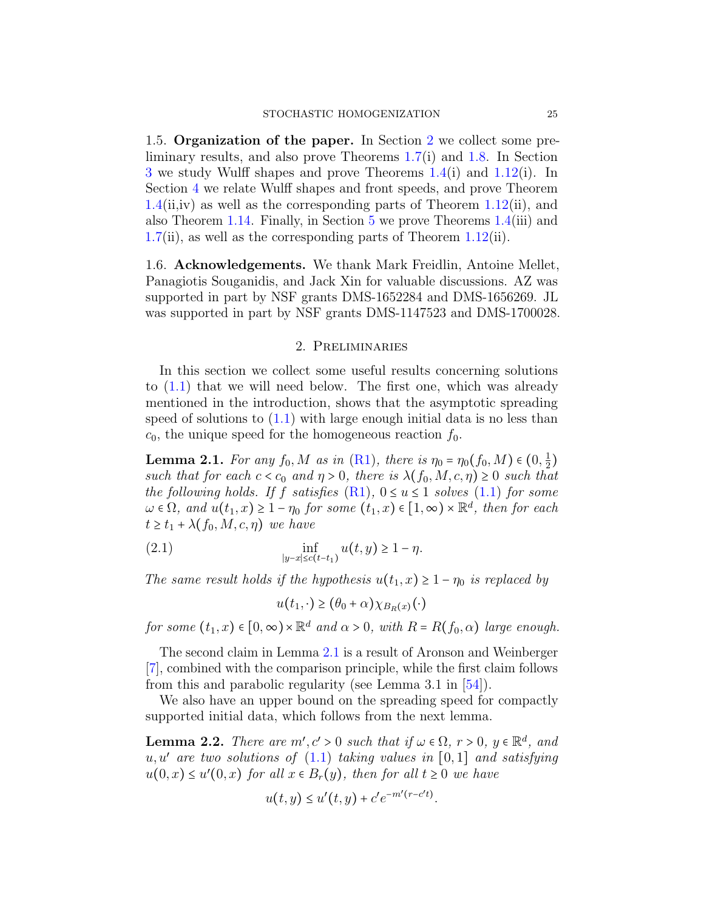1.5. Organization of the paper. In Section [2](#page-24-3) we collect some preliminary results, and also prove Theorems [1.7\(](#page-19-0)i) and [1.8.](#page-19-1) In Section [3](#page-29-0) we study Wulff shapes and prove Theorems [1.4\(](#page-17-0)i) and [1.12\(](#page-22-0)i). In Section [4](#page-37-0) we relate Wulff shapes and front speeds, and prove Theorem  $1.4(ii,iv)$  $1.4(ii,iv)$  as well as the corresponding parts of Theorem  $1.12(ii)$  $1.12(ii)$ , and also Theorem [1.14.](#page-23-0) Finally, in Section [5](#page-52-0) we prove Theorems [1.4\(](#page-17-0)iii) and [1.7\(](#page-19-0)ii), as well as the corresponding parts of Theorem [1.12\(](#page-22-0)ii).

1.6. Acknowledgements. We thank Mark Freidlin, Antoine Mellet, Panagiotis Souganidis, and Jack Xin for valuable discussions. AZ was supported in part by NSF grants DMS-1652284 and DMS-1656269. JL was supported in part by NSF grants DMS-1147523 and DMS-1700028.

#### 2. Preliminaries

<span id="page-24-3"></span>In this section we collect some useful results concerning solutions to [\(1.1\)](#page-0-0) that we will need below. The first one, which was already mentioned in the introduction, shows that the asymptotic spreading speed of solutions to  $(1.1)$  with large enough initial data is no less than  $c_0$ , the unique speed for the homogeneous reaction  $f_0$ .

<span id="page-24-0"></span>**Lemma 2.1.** For any  $f_0, M$  as in [\(R1\)](#page-12-1), there is  $\eta_0 = \eta_0(f_0, M) \in (0, \frac{1}{2})$  $\frac{1}{2}$ such that for each  $c < c_0$  and  $\eta > 0$ , there is  $\lambda(f_0, M, c, \eta) \geq 0$  such that the following holds. If f satisfies  $(R1)$ ,  $0 \le u \le 1$  solves  $(1.1)$  for some  $\omega \in \Omega$ , and  $u(t_1, x) \geq 1 - \eta_0$  for some  $(t_1, x) \in [1, \infty) \times \mathbb{R}^d$ , then for each  $t \geq t_1 + \lambda(f_0, M, c, \eta)$  we have

(2.1) 
$$
\inf_{|y-x| \le c(t-t_1)} u(t,y) \ge 1 - \eta.
$$

The same result holds if the hypothesis  $u(t_1, x) \geq 1 - \eta_0$  is replaced by

<span id="page-24-2"></span>
$$
u(t_1, \cdot) \ge (\theta_0 + \alpha) \chi_{B_R(x)}(\cdot)
$$

for some  $(t_1, x) \in [0, \infty) \times \mathbb{R}^d$  and  $\alpha > 0$ , with  $R = R(f_0, \alpha)$  large enough.

The second claim in Lemma [2.1](#page-24-0) is a result of Aronson and Weinberger [\[7\]](#page-61-9), combined with the comparison principle, while the first claim follows from this and parabolic regularity (see Lemma 3.1 in [\[54\]](#page-63-4)).

We also have an upper bound on the spreading speed for compactly supported initial data, which follows from the next lemma.

<span id="page-24-1"></span>**Lemma 2.2.** There are  $m', c' > 0$  such that if  $\omega \in \Omega$ ,  $r > 0$ ,  $y \in \mathbb{R}^d$ , and  $u, u'$  are two solutions of  $(1.1)$  taking values in  $[0, 1]$  and satisfying  $u(0, x) \le u'(0, x)$  for all  $x \in B_r(y)$ , then for all  $t \ge 0$  we have

$$
u(t, y) \le u'(t, y) + c' e^{-m'(r - c't)}.
$$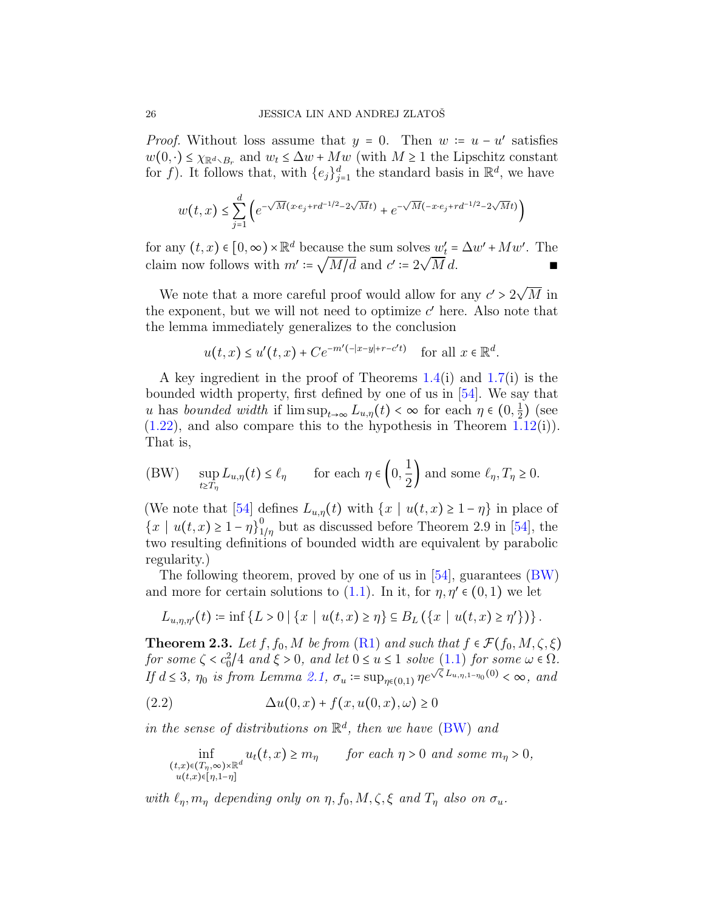*Proof.* Without loss assume that  $y = 0$ . Then  $w := u - u'$  satisfies  $w(0, \cdot) \leq \chi_{\mathbb{R}^d \setminus B_r}$  and  $w_t \leq \Delta w + Mw$  (with  $M \geq 1$  the Lipschitz constant for f). It follows that, with  $\{e_j\}_{j=1}^d$  the standard basis in  $\mathbb{R}^d$ , we have

$$
w(t,x) \le \sum_{j=1}^d \left( e^{-\sqrt{M}(x \cdot e_j + rd^{-1/2} - 2\sqrt{M}t)} + e^{-\sqrt{M}(-x \cdot e_j + rd^{-1/2} - 2\sqrt{M}t)} \right)
$$

for any  $(t, x) \in [0, \infty) \times \mathbb{R}^d$  because the sum solves  $w'_t = \Delta w' + Mw'$ . The claim now follows with  $m'$ := اαر<br>ا  $M/d$  and  $c' \coloneqq 2$ √  $M d.$ 

We note that a more careful proof would allow for any  $c'>2\surd$ M in the exponent, but we will not need to optimize  $c'$  here. Also note that the lemma immediately generalizes to the conclusion

$$
u(t,x) \le u'(t,x) + Ce^{-m'(-|x-y|+r-c't)} \quad \text{for all } x \in \mathbb{R}^d.
$$

A key ingredient in the proof of Theorems [1.4\(](#page-17-0)i) and [1.7\(](#page-19-0)i) is the bounded width property, first defined by one of us in [\[54\]](#page-63-4). We say that u has bounded width if  $\limsup_{t\to\infty} L_{u,\eta}(t) < \infty$  for each  $\eta \in (0, \frac{1}{2})$  $(\frac{1}{2})$  (see  $(1.22)$ , and also compare this to the hypothesis in Theorem [1.12\(](#page-22-0)i)). That is,

<span id="page-25-2"></span><span id="page-25-1"></span>(BW) 
$$
\sup_{t \geq T_\eta} L_{u,\eta}(t) \leq \ell_\eta \qquad \text{for each } \eta \in \left(0,\frac{1}{2}\right) \text{ and some } \ell_\eta, T_\eta \geq 0.
$$

(We note that [\[54\]](#page-63-4) defines  $L_{u,\eta}(t)$  with  $\{x \mid u(t,x) \geq 1-\eta\}$  in place of  ${x \mid u(t,x) \geq 1-\eta}_{1}^{0}$  $\frac{1}{1/\eta}$  but as discussed before Theorem 2.9 in [\[54\]](#page-63-4), the two resulting definitions of bounded width are equivalent by parabolic regularity.)

The following theorem, proved by one of us in [\[54\]](#page-63-4), guarantees [\(BW\)](#page-25-1) and more for certain solutions to [\(1.1\)](#page-0-0). In it, for  $\eta, \eta' \in (0,1)$  we let

$$
L_{u,\eta,\eta'}(t) \coloneqq \inf \{ L > 0 \mid \{x \mid u(t,x) \geq \eta \} \subseteq B_L \left( \{x \mid u(t,x) \geq \eta' \} \right) \}.
$$

<span id="page-25-0"></span>**Theorem 2.3.** Let  $f, f_0, M$  be from  $(R1)$  and such that  $f \in \mathcal{F}(f_0, M, \zeta, \xi)$ for some  $\zeta < c_0^2/4$  and  $\xi > 0$ , and let  $0 \le u \le 1$  solve  $(1.1)$  for some  $\omega \in \Omega$ . If  $d \leq 3$ ,  $\eta_0$  is from Lemma [2.1,](#page-24-0)  $\sigma_u := \sup_{\eta \in (0,1)} \eta e^{\sqrt{\zeta} L_{u,\eta,1-\eta_0}(0)} < \infty$ , and

$$
(2.2) \qquad \qquad \Delta u(0,x) + f(x, u(0,x), \omega) \ge 0
$$

in the sense of distributions on  $\mathbb{R}^d$ , then we have [\(BW\)](#page-25-1) and

$$
\inf_{\substack{(t,x)\in (T_\eta,\infty)\times \mathbb{R}^d\\u(t,x)\in [\eta,1-\eta]}} u_t(t,x) \ge m_\eta \quad \text{for each } \eta > 0 \text{ and some } m_\eta > 0,
$$

with  $\ell_n, m_n$  depending only on  $\eta, f_0, M, \zeta, \xi$  and  $T_n$  also on  $\sigma_u$ .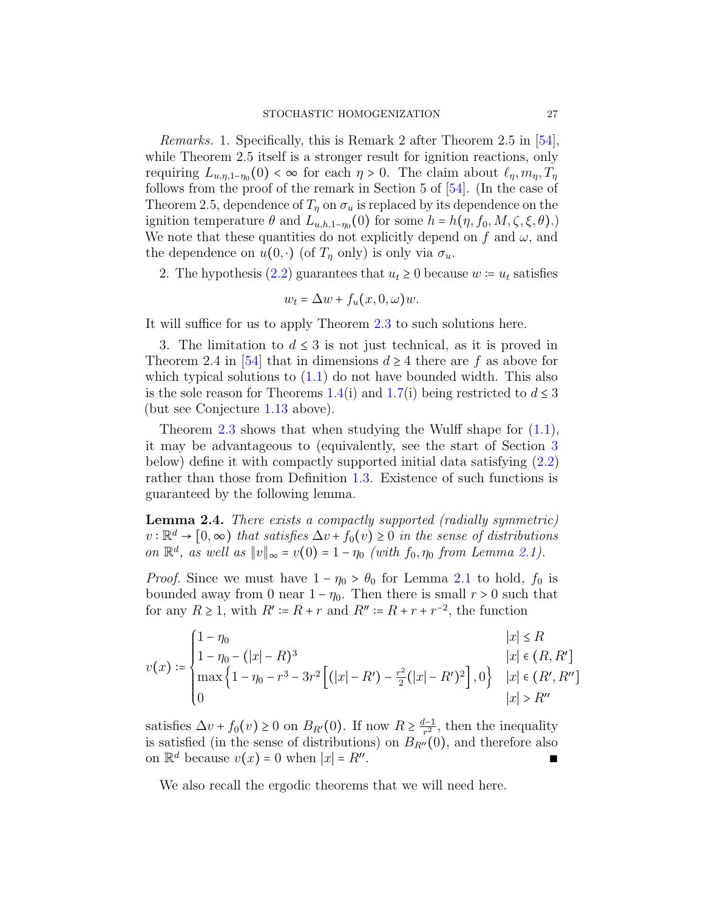Remarks. 1. Specifically, this is Remark 2 after Theorem 2.5 in [\[54\]](#page-63-4), while Theorem 2.5 itself is a stronger result for ignition reactions, only requiring  $L_{u,\eta,1-\eta_0}(0) < \infty$  for each  $\eta > 0$ . The claim about  $\ell_{\eta}, m_{\eta}, T_{\eta}$ follows from the proof of the remark in Section 5 of [\[54\]](#page-63-4). (In the case of Theorem 2.5, dependence of  $T_{\eta}$  on  $\sigma_u$  is replaced by its dependence on the ignition temperature  $\theta$  and  $L_{u,h,1-\eta_0}(0)$  for some  $h = h(\eta, f_0, M, \zeta, \xi, \theta)$ .) We note that these quantities do not explicitly depend on f and  $\omega$ , and the dependence on  $u(0, \cdot)$  (of  $T_{\eta}$  only) is only via  $\sigma_u$ .

2. The hypothesis [\(2.2\)](#page-25-2) guarantees that  $u_t \geq 0$  because  $w = u_t$  satisfies

$$
w_t = \Delta w + f_u(x, 0, \omega)w.
$$

It will suffice for us to apply Theorem [2.3](#page-25-0) to such solutions here.

3. The limitation to  $d \leq 3$  is not just technical, as it is proved in Theorem 2.4 in [\[54\]](#page-63-4) that in dimensions  $d \geq 4$  there are f as above for which typical solutions to  $(1.1)$  do not have bounded width. This also is the sole reason for Theorems [1.4\(](#page-17-0)i) and [1.7\(](#page-19-0)i) being restricted to  $d \leq 3$ (but see Conjecture [1.13](#page-23-1) above).

Theorem [2.3](#page-25-0) shows that when studying the Wulff shape for  $(1.1)$ , it may be advantageous to (equivalently, see the start of Section [3](#page-29-0) below) define it with compactly supported initial data satisfying [\(2.2\)](#page-25-2) rather than those from Definition [1.3.](#page-15-0) Existence of such functions is guaranteed by the following lemma.

<span id="page-26-0"></span>Lemma 2.4. There exists a compactly supported (radially symmetric)  $v : \mathbb{R}^d \to [0, \infty)$  that satisfies  $\Delta v + f_0(v) \geq 0$  in the sense of distributions on  $\mathbb{R}^d$ , as well as  $||v||_{\infty} = v(0) = 1 - \eta_0$  (with  $f_0, \eta_0$  from Lemma [2.1\)](#page-24-0).

*Proof.* Since we must have  $1 - \eta_0 > \theta_0$  for Lemma [2.1](#page-24-0) to hold,  $f_0$  is bounded away from 0 near  $1 - \eta_0$ . Then there is small  $r > 0$  such that for any  $R \ge 1$ , with  $R' \coloneqq R + r$  and  $R'' \coloneqq R + r + r^{-2}$ , the function

$$
v(x) := \begin{cases} 1 - \eta_0 & |x| \le R \\ 1 - \eta_0 - (|x| - R)^3 & |x| \in (R, R'] \\ \max\left\{1 - \eta_0 - r^3 - 3r^2 \left[ (|x| - R') - \frac{r^2}{2} (|x| - R')^2 \right], 0 \right\} & |x| \in (R', R''] \\ 0 & |x| > R'' \end{cases}
$$

satisfies  $\Delta v + f_0(v) \ge 0$  on  $B_{R'}(0)$ . If now  $R \ge \frac{d-1}{r^2}$  $\frac{l-1}{r^2}$ , then the inequality is satisfied (in the sense of distributions) on  $B_{R''}(0)$ , and therefore also on  $\mathbb{R}^d$  because  $v(x) = 0$  when  $|x| = R''$ . . ∎ ∎ ∎ ∎ ∎ ∎ ∎ ∎ ∎ ∎ ∎ ∎ ∎ ∎ ∎ ∎ ∎ ∎

We also recall the ergodic theorems that we will need here.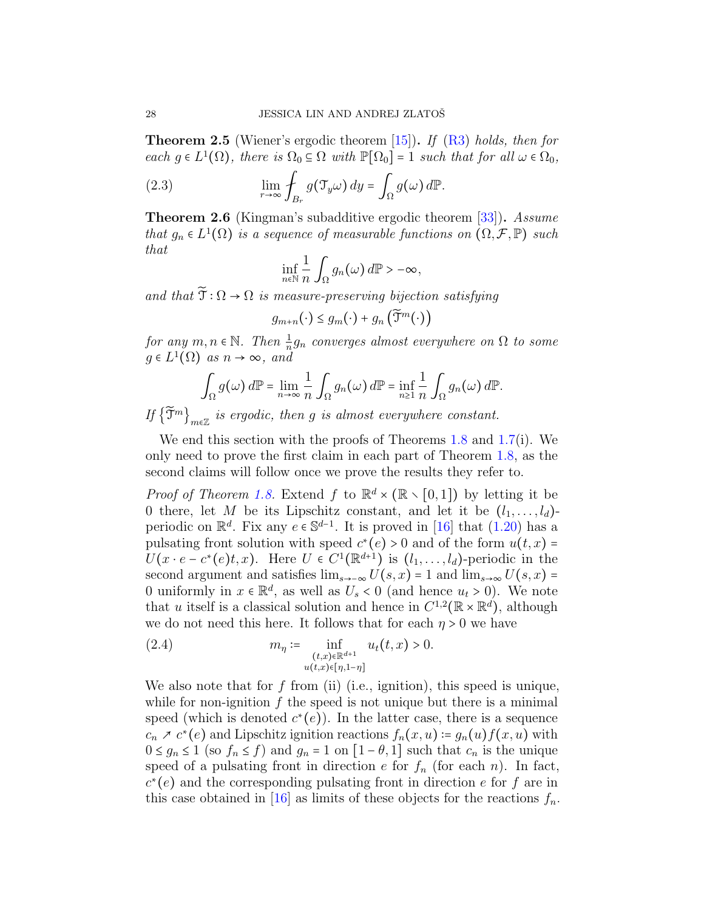<span id="page-27-2"></span>**Theorem 2.5** (Wiener's ergodic theorem  $[15]$ ). If  $(R3)$  holds, then for each  $g \in L^1(\Omega)$ , there is  $\Omega_0 \subseteq \Omega$  with  $\mathbb{P}[\Omega_0] = 1$  such that for all  $\omega \in \Omega_0$ ,

(2.3) 
$$
\lim_{r \to \infty} \oint_{B_r} g(\mathcal{T}_y \omega) dy = \int_{\Omega} g(\omega) d\mathbb{P}.
$$

<span id="page-27-0"></span>**Theorem 2.6** (Kingman's subadditive ergodic theorem [\[33\]](#page-62-15)). Assume that  $g_n \in L^1(\Omega)$  is a sequence of measurable functions on  $(\Omega, \mathcal{F}, \mathbb{P})$  such that

$$
\inf_{n\in\mathbb{N}}\frac{1}{n}\int_{\Omega}g_n(\omega)\,d\mathbb{P}>-\infty,
$$

and that  $\widetilde{\mathfrak{T}} : \Omega \to \Omega$  is measure-preserving bijection satisfying

$$
g_{m+n}(\cdot) \leq g_m(\cdot) + g_n\left(\widetilde{\mathfrak{I}}^m(\cdot)\right)
$$

for any  $m, n \in \mathbb{N}$ . Then  $\frac{1}{n}g_n$  converges almost everywhere on  $\Omega$  to some  $q \in L^1(\Omega)$  as  $n \to \infty$ , and

$$
\int_{\Omega} g(\omega) d\mathbb{P} = \lim_{n \to \infty} \frac{1}{n} \int_{\Omega} g_n(\omega) d\mathbb{P} = \inf_{n \geq 1} \frac{1}{n} \int_{\Omega} g_n(\omega) d\mathbb{P}.
$$

If  $\{\widetilde{\mathfrak{T}}^m\}_{m\in\mathbb{Z}}$  is ergodic, then g is almost everywhere constant.

We end this section with the proofs of Theorems [1.8](#page-19-1) and [1.7\(](#page-19-0)i). We only need to prove the first claim in each part of Theorem [1.8,](#page-19-1) as the second claims will follow once we prove the results they refer to.

*Proof of Theorem [1.8.](#page-19-1)* Extend f to  $\mathbb{R}^d \times (\mathbb{R} \times [0,1])$  by letting it be 0 there, let M be its Lipschitz constant, and let it be  $(l_1, \ldots, l_d)$ periodic on  $\mathbb{R}^d$ . Fix any  $e \in \mathbb{S}^{d-1}$ . It is proved in [\[16\]](#page-61-1) that [\(1.20\)](#page-19-2) has a pulsating front solution with speed  $c^*(e) > 0$  and of the form  $u(t, x) =$  $U(x \cdot e - c^*(e)t, x)$ . Here  $U \in C^1(\mathbb{R}^{d+1})$  is  $(l_1, \ldots, l_d)$ -periodic in the second argument and satisfies  $\lim_{s\to\infty} U(s, x) = 1$  and  $\lim_{s\to\infty} U(s, x) =$ 0 uniformly in  $x \in \mathbb{R}^d$ , as well as  $U_s < 0$  (and hence  $u_t > 0$ ). We note that u itself is a classical solution and hence in  $C^{1,2}(\mathbb{R} \times \mathbb{R}^d)$ , although we do not need this here. It follows that for each  $\eta > 0$  we have

<span id="page-27-1"></span>(2.4) 
$$
m_{\eta} := \inf_{\substack{(t,x)\in\mathbb{R}^{d+1} \\ u(t,x)\in[\eta,1-\eta]}} u_t(t,x) > 0.
$$

We also note that for f from (ii) (i.e., ignition), this speed is unique, while for non-ignition  $f$  the speed is not unique but there is a minimal speed (which is denoted  $c^*(e)$ ). In the latter case, there is a sequence  $c_n \nearrow c^*(e)$  and Lipschitz ignition reactions  $f_n(x, u) \coloneqq g_n(u) f(x, u)$  with  $0 \le g_n \le 1$  (so  $f_n \le f$ ) and  $g_n = 1$  on  $[1 - \theta, 1]$  such that  $c_n$  is the unique speed of a pulsating front in direction e for  $f_n$  (for each n). In fact,  $c^*(e)$  and the corresponding pulsating front in direction e for f are in this case obtained in [\[16\]](#page-61-1) as limits of these objects for the reactions  $f_n$ .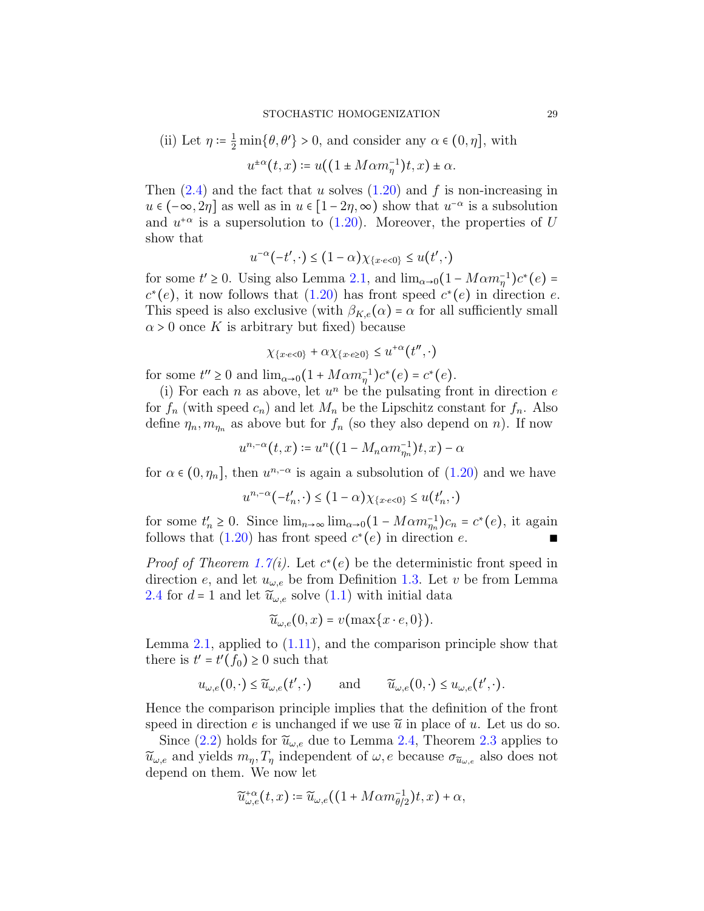(ii) Let 
$$
\eta := \frac{1}{2} \min\{\theta, \theta'\} > 0
$$
, and consider any  $\alpha \in (0, \eta]$ , with

$$
u^{\pm \alpha}(t, x) \coloneqq u((1 \pm M\alpha m_{\eta}^{-1})t, x) \pm \alpha.
$$

Then  $(2.4)$  and the fact that u solves  $(1.20)$  and f is non-increasing in  $u \in (-\infty, 2\eta]$  as well as in  $u \in [1 - 2\eta, \infty)$  show that  $u^{-\alpha}$  is a subsolution and  $u^{+\alpha}$  is a supersolution to [\(1.20\)](#page-19-2). Moreover, the properties of U show that

$$
u^{-\alpha}(-t',\cdot) \le (1-\alpha)\chi_{\{x \cdot e < 0\}} \le u(t',\cdot)
$$

for some  $t' \ge 0$ . Using also Lemma [2.1,](#page-24-0) and  $\lim_{\alpha \to 0} (1 - M \alpha m_{\eta}^{-1}) c^*(e) =$  $c^*(e)$ , it now follows that [\(1.20\)](#page-19-2) has front speed  $c^*(e)$  in direction e. This speed is also exclusive (with  $\beta_{K,e}(\alpha) = \alpha$  for all sufficiently small  $\alpha$  > 0 once K is arbitrary but fixed) because

$$
\chi_{\{x \cdot e < 0\}} + \alpha \chi_{\{x \cdot e \ge 0\}} \le u^{+\alpha}(t'', \cdot)
$$

for some  $t'' \ge 0$  and  $\lim_{\alpha \to 0} (1 + M \alpha m_{\eta}^{-1}) c^*(e) = c^*(e)$ .

(i) For each n as above, let  $u^n$  be the pulsating front in direction  $e$ for  $f_n$  (with speed  $c_n$ ) and let  $M_n$  be the Lipschitz constant for  $f_n$ . Also define  $\eta_n, m_{\eta_n}$  as above but for  $f_n$  (so they also depend on n). If now

$$
u^{n,-\alpha}(t,x) \coloneqq u^n((1-M_n\alpha m_{\eta_n}^{-1})t,x) - \alpha
$$

for  $\alpha \in (0, \eta_n]$ , then  $u^{n, -\alpha}$  is again a subsolution of  $(1.20)$  and we have

$$
u^{n,-\alpha}(-t'_n,\cdot) \le (1-\alpha)\chi_{\{x \cdot e < 0\}} \le u(t'_n,\cdot)
$$

for some  $t'_n \ge 0$ . Since  $\lim_{n\to\infty} \lim_{\alpha\to 0} (1 - M\alpha m_{\eta_n}^{-1})c_n = c^*(e)$ , it again follows that [\(1.20\)](#page-19-2) has front speed  $c^*(e)$  in direction e. ■

*Proof of Theorem [1.7\(](#page-19-0)i).* Let  $c^*(e)$  be the deterministic front speed in direction e, and let  $u_{\omega,e}$  be from Definition [1.3.](#page-15-0) Let v be from Lemma [2.4](#page-26-0) for  $d = 1$  and let  $\tilde{u}_{\omega,e}$  solve  $(1.1)$  with initial data

$$
\widetilde{u}_{\omega,e}(0,x)=v(\max\{x\cdot e,0\}).
$$

Lemma [2.1,](#page-24-0) applied to  $(1.11)$ , and the comparison principle show that there is  $t' = t'(f_0) \geq 0$  such that

$$
u_{\omega,e}(0,\cdot) \leq \widetilde{u}_{\omega,e}(t',\cdot)
$$
 and  $\widetilde{u}_{\omega,e}(0,\cdot) \leq u_{\omega,e}(t',\cdot).$ 

Hence the comparison principle implies that the definition of the front speed in direction e is unchanged if we use  $\tilde{u}$  in place of u. Let us do so.

Since [\(2.2\)](#page-25-2) holds for  $\tilde{u}_{\omega,e}$  due to Lemma [2.4,](#page-26-0) Theorem [2.3](#page-25-0) applies to  $\tilde{u}_{\omega,e}$  and yields  $m_{\eta}, T_{\eta}$  independent of  $\omega, e$  because  $\sigma_{\tilde{u}_{\omega,e}}$  also does not depend on them. We now let

$$
\widetilde{u}^{+\alpha}_{\omega,e}(t,x) \coloneqq \widetilde{u}_{\omega,e}((1 + M\alpha m_{\theta/2}^{-1})t,x) + \alpha,
$$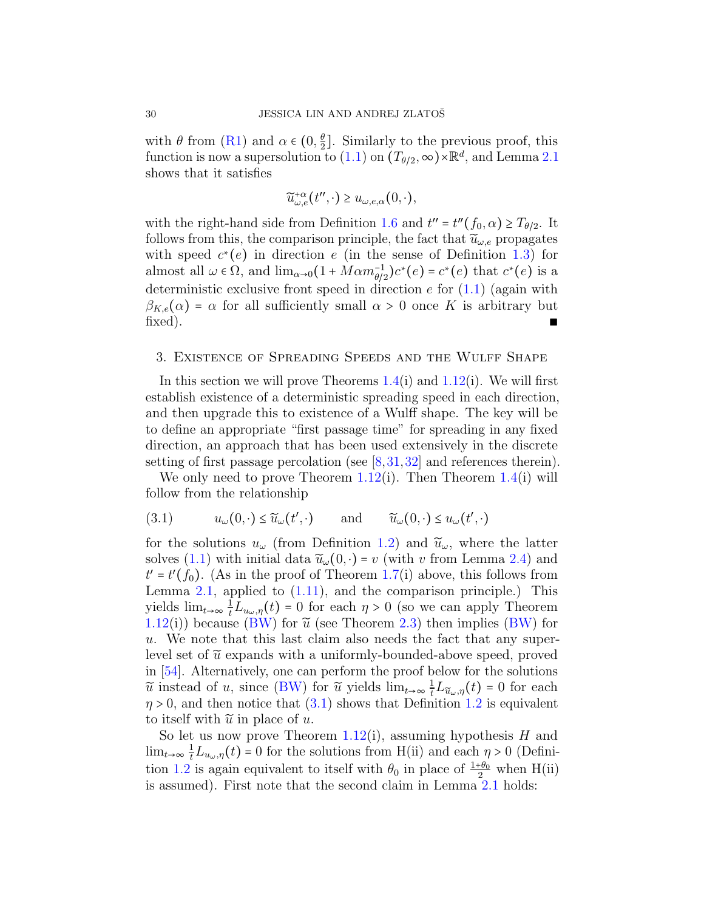with  $\theta$  from [\(R1\)](#page-12-1) and  $\alpha \in (0, \frac{\theta}{2})$  $\frac{\theta}{2}$ . Similarly to the previous proof, this function is now a supersolution to [\(1.1\)](#page-0-0) on  $(T_{\theta/2}, \infty) \times \mathbb{R}^d$ , and Lemma [2.1](#page-24-0) shows that it satisfies

$$
\widetilde{u}_{\omega,e}^{+\alpha}(t'',\cdot) \geq u_{\omega,e,\alpha}(0,\cdot),
$$

with the right-hand side from Definition [1.6](#page-18-0) and  $t'' = t''(f_0, \alpha) \ge T_{\theta/2}$ . It follows from this, the comparison principle, the fact that  $\tilde{u}_{\omega,e}$  propagates with speed  $c^*(e)$  in direction e (in the sense of Definition [1.3\)](#page-15-0) for almost all  $\omega \in \Omega$ , and  $\lim_{\alpha \to 0} (1 + M \alpha m_{\theta/2}^{-1}) c^*(e) = c^*(e)$  that  $c^*(e)$  is a deterministic exclusive front speed in direction  $e$  for  $(1.1)$  (again with  $\beta_{K,\epsilon}(\alpha)$  =  $\alpha$  for all sufficiently small  $\alpha > 0$  once K is arbitrary but  $\text{fixed}$ ).

#### <span id="page-29-0"></span>3. Existence of Spreading Speeds and the Wulff Shape

In this section we will prove Theorems  $1.4(i)$  $1.4(i)$  and  $1.12(i)$  $1.12(i)$ . We will first establish existence of a deterministic spreading speed in each direction, and then upgrade this to existence of a Wulff shape. The key will be to define an appropriate "first passage time" for spreading in any fixed direction, an approach that has been used extensively in the discrete setting of first passage percolation (see [\[8,](#page-61-11)[31,](#page-62-16)[32\]](#page-62-17) and references therein).

We only need to prove Theorem [1.12\(](#page-22-0)i). Then Theorem [1.4\(](#page-17-0)i) will follow from the relationship

<span id="page-29-1"></span>
$$
(3.1) \t u_{\omega}(0,\cdot) \le \widetilde{u}_{\omega}(t',\cdot) \t \text{and} \t \widetilde{u}_{\omega}(0,\cdot) \le u_{\omega}(t',\cdot)
$$

for the solutions  $u_{\omega}$  (from Definition [1.2\)](#page-14-0) and  $\tilde{u}_{\omega}$ , where the latter solves [\(1.1\)](#page-0-0) with initial data  $\widetilde{u}_\omega(0, \cdot) = v$  (with v from Lemma [2.4\)](#page-26-0) and  $t' = t'(f_0)$ . (As in the proof of Theorem [1.7\(](#page-19-0)i) above, this follows from Lemma [2.1,](#page-24-0) applied to [\(1.11\)](#page-13-0), and the comparison principle.) This yields  $\lim_{t\to\infty}\frac{1}{t}L_{u_\omega,\eta}(t)=0$  for each  $\eta>0$  (so we can apply Theorem [1.12\(](#page-22-0)i)) because [\(BW\)](#page-25-1) for  $\tilde{u}$  (see Theorem [2.3\)](#page-25-0) then implies (BW) for u. We note that this last claim also needs the fact that any superlevel set of  $\tilde{u}$  expands with a uniformly-bounded-above speed, proved in [\[54\]](#page-63-4). Alternatively, one can perform the proof below for the solutions  $\tilde{u}$  instead of u, since [\(BW\)](#page-25-1) for  $\tilde{u}$  yields  $\lim_{t\to\infty}\frac{1}{t}L_{\tilde{u}_\omega,\eta}(t) = 0$  for each  $\eta > 0$ , and then notice that  $(3.1)$  shows that Definition [1.2](#page-14-0) is equivalent to itself with  $\tilde{u}$  in place of u.

So let us now prove Theorem [1.12\(](#page-22-0)i), assuming hypothesis  $H$  and  $\lim_{t\to\infty}\frac{1}{t}L_{u_\omega,\eta}(t)=0$  for the solutions from H(ii) and each  $\eta>0$  (Defini-tion [1.2](#page-14-0) is again equivalent to itself with  $\theta_0$  in place of  $\frac{1+\theta_0}{2}$  when H(ii) is assumed). First note that the second claim in Lemma [2.1](#page-24-0) holds: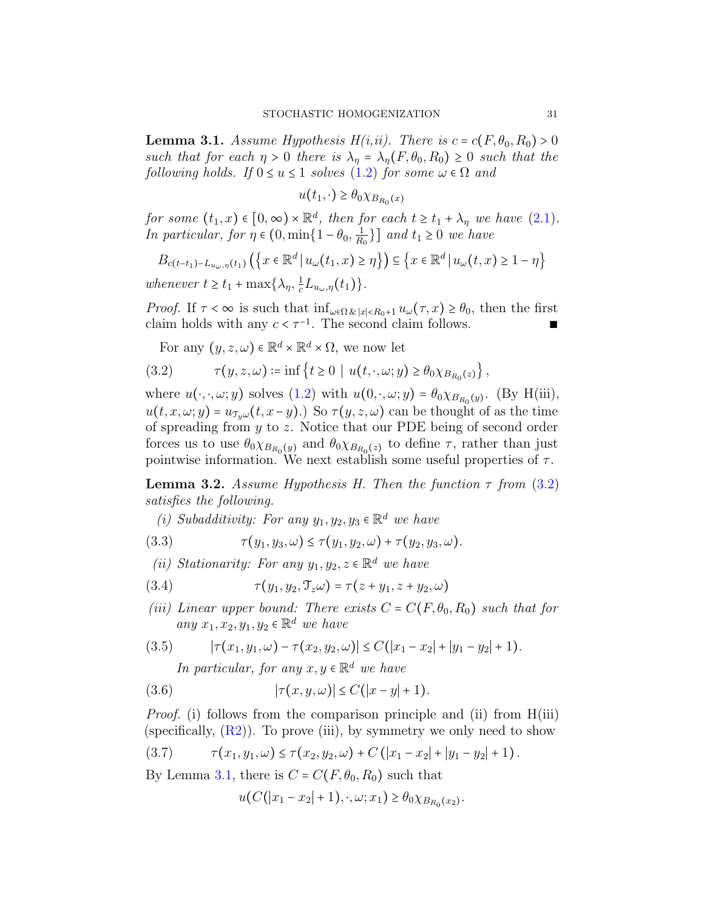<span id="page-30-1"></span>**Lemma 3.1.** Assume Hypothesis H(i,ii). There is  $c = c(F, \theta_0, R_0) > 0$ such that for each  $\eta > 0$  there is  $\lambda_{\eta} = \lambda_{\eta}(F, \theta_0, R_0) \geq 0$  such that the following holds. If  $0 \le u \le 1$  solves  $(1.2)$  for some  $\omega \in \Omega$  and

 $u(t_1, \cdot) \geq \theta_0 \chi_{B_{R_0}}(x)$ 

for some  $(t_1, x) \in [0, \infty) \times \mathbb{R}^d$ , then for each  $t \ge t_1 + \lambda_{\eta}$  we have  $(2.1)$ . In particular, for  $\eta \in (0, \min\{1-\theta_0, \frac{1}{R}\})$  $\frac{1}{R_0}$ }] and  $t_1 \geq 0$  we have

$$
B_{c(t-t_1)-L_{u_\omega,\eta}(t_1)}\left(\left\{x\in\mathbb{R}^d \,\middle|\, u_\omega(t_1,x)\geq \eta\right\}\right) \subseteq \left\{x\in\mathbb{R}^d \,\middle|\, u_\omega(t,x)\geq 1-\eta\right\}
$$

whenever  $t \ge t_1 + \max\{\lambda_\eta, \frac{1}{c}L_{u_\omega,\eta}(t_1)\}.$ 

*Proof.* If  $\tau < \infty$  is such that  $\inf_{\omega \in \Omega} \ell_{x} |x| \leq R_0 + 1} u_\omega(\tau, x) \geq \theta_0$ , then the first claim holds with any  $c < \tau^{-1}$ . The second claim follows. ■

<span id="page-30-0"></span>For any  $(y, z, \omega) \in \mathbb{R}^d \times \mathbb{R}^d \times \Omega$ , we now let

$$
(3.2) \qquad \tau(y, z, \omega) \coloneqq \inf \left\{ t \ge 0 \mid u(t, \cdot, \omega; y) \ge \theta_0 \chi_{B_{R_0}(z)} \right\},
$$

where  $u(\cdot, \cdot, \omega; y)$  solves  $(1.2)$  with  $u(0, \cdot, \omega; y) = \theta_0 \chi_{B_{R_0}(y)}$ . (By H(iii),  $u(t, x, \omega; y) = u_{\mathcal{T}_y \omega}(t, x - y).$  So  $\tau(y, z, \omega)$  can be thought of as the time of spreading from y to z. Notice that our PDE being of second order forces us to use  $\theta_0 \chi_{B_{R_0}(y)}$  and  $\theta_0 \chi_{B_{R_0}(z)}$  to define  $\tau$ , rather than just pointwise information. We next establish some useful properties of  $\tau$ .

<span id="page-30-4"></span>**Lemma 3.2.** Assume Hypothesis H. Then the function  $\tau$  from [\(3.2\)](#page-30-0) satisfies the following.

(i) Subadditivity: For any  $y_1, y_2, y_3 \in \mathbb{R}^d$  we have

(3.3) 
$$
\tau(y_1, y_3, \omega) \leq \tau(y_1, y_2, \omega) + \tau(y_2, y_3, \omega).
$$

(ii) Stationarity: For any  $y_1, y_2, z \in \mathbb{R}^d$  we have

- (3.4)  $\tau(y_1, y_2, \mathcal{T}_z \omega) = \tau(z + y_1, z + y_2, \omega)$
- (iii) Linear upper bound: There exists  $C = C(F, \theta_0, R_0)$  such that for any  $x_1, x_2, y_1, y_2 \in \mathbb{R}^d$  we have

$$
(3.5) \qquad |\tau(x_1, y_1, \omega) - \tau(x_2, y_2, \omega)| \leq C(|x_1 - x_2| + |y_1 - y_2| + 1).
$$

<span id="page-30-5"></span><span id="page-30-3"></span>In particular, for any  $x, y \in \mathbb{R}^d$  we have

(3.6) 
$$
|\tau(x, y, \omega)| \le C(|x - y| + 1).
$$

Proof. (i) follows from the comparison principle and (ii) from H(iii) (specifically,  $(R2)$ ). To prove (iii), by symmetry we only need to show

$$
(3.7) \t\t \tau(x_1,y_1,\omega) \leq \tau(x_2,y_2,\omega) + C(|x_1-x_2|+|y_1-y_2|+1).
$$

By Lemma [3.1,](#page-30-1) there is  $C = C(F, \theta_0, R_0)$  such that

<span id="page-30-2"></span>
$$
u(C(|x_1 - x_2| + 1), \cdot, \omega; x_1) \ge \theta_0 \chi_{B_{R_0}(x_2)}.
$$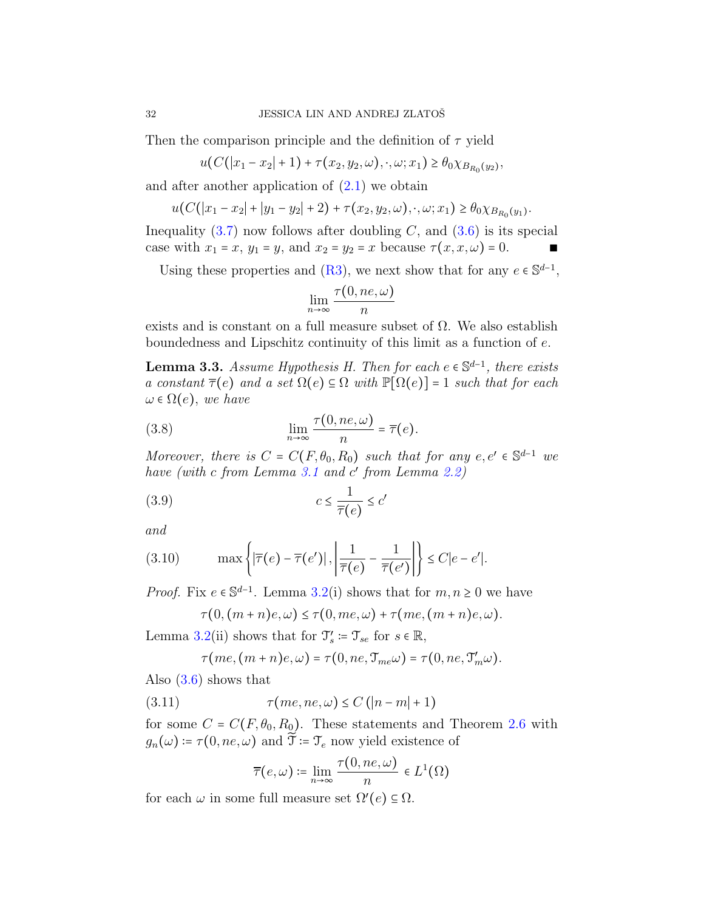Then the comparison principle and the definition of  $\tau$  yield

$$
u(C(|x_1-x_2|+1)+\tau(x_2,y_2,\omega),\cdot,\omega;x_1)\geq \theta_0\chi_{B_{R_0}(y_2)},
$$

and after another application of  $(2.1)$  we obtain

$$
u(C(|x_1-x_2|+|y_1-y_2|+2)+\tau(x_2,y_2,\omega),\cdot,\omega;x_1)\geq \theta_0\chi_{B_{R_0}(y_1)}.
$$

Inequality  $(3.7)$  now follows after doubling C, and  $(3.6)$  is its special case with  $x_1 = x$ ,  $y_1 = y$ , and  $x_2 = y_2 = x$  because  $\tau(x, x, \omega) = 0$ .

Using these properties and [\(R3\)](#page-12-2), we next show that for any  $e \in \mathbb{S}^{d-1}$ ,

<span id="page-31-2"></span>
$$
\lim_{n\to\infty}\frac{\tau(0,ne,\omega)}{n}
$$

exists and is constant on a full measure subset of  $\Omega$ . We also establish boundedness and Lipschitz continuity of this limit as a function of e.

<span id="page-31-3"></span>**Lemma 3.3.** Assume Hypothesis H. Then for each  $e \in \mathbb{S}^{d-1}$ , there exists a constant  $\overline{\tau}(e)$  and a set  $\Omega(e) \subseteq \Omega$  with  $\mathbb{P}[\Omega(e)] = 1$  such that for each  $\omega \in \Omega(e)$ , we have

(3.8) 
$$
\lim_{n \to \infty} \frac{\tau(0, ne, \omega)}{n} = \overline{\tau}(e).
$$

Moreover, there is  $C = C(F, \theta_0, R_0)$  such that for any  $e, e' \in \mathbb{S}^{d-1}$  we have (with c from Lemma [3.1](#page-30-1) and c' from Lemma [2.2\)](#page-24-1)

$$
(3.9) \t\t c \le \frac{1}{\overline{\tau}(e)} \le c'
$$

and

$$
(3.10) \qquad \max\left\{ |\overline{\tau}(e) - \overline{\tau}(e')|, \left|\frac{1}{\overline{\tau}(e)} - \frac{1}{\overline{\tau}(e')} \right|\right\} \le C|e - e'|.
$$

*Proof.* Fix  $e \in \mathbb{S}^{d-1}$ . Lemma [3.2\(](#page-30-4)i) shows that for  $m, n \ge 0$  we have

<span id="page-31-1"></span><span id="page-31-0"></span>
$$
\tau(0, (m+n)e, \omega) \le \tau(0, me, \omega) + \tau(me, (m+n)e, \omega).
$$

Lemma [3.2\(](#page-30-4)ii) shows that for  $\mathfrak{T}'_s \coloneqq \mathfrak{T}_{se}$  for  $s \in \mathbb{R}$ ,

$$
\tau \big( m e, \big( m + n \big) e, \omega \big) = \tau \big( 0, n e, \mathfrak{T}_{m e} \omega \big) = \tau \big( 0, n e, \mathfrak{T}'_m \omega \big).
$$

Also  $(3.6)$  shows that

$$
(3.11) \qquad \qquad \tau(me, ne, \omega) \le C\left(|n-m|+1\right)
$$

for some  $C = C(F, \theta_0, R_0)$ . These statements and Theorem [2.6](#page-27-0) with  $g_n(\omega) = \tau(0, ne, \omega)$  and  $\widetilde{\mathcal{T}} = \mathcal{T}_e$  now yield existence of

$$
\overline{\tau}(e,\omega) \coloneqq \lim_{n \to \infty} \frac{\tau(0, ne, \omega)}{n} \in L^1(\Omega)
$$

for each  $\omega$  in some full measure set  $\Omega'(e) \subseteq \Omega$ .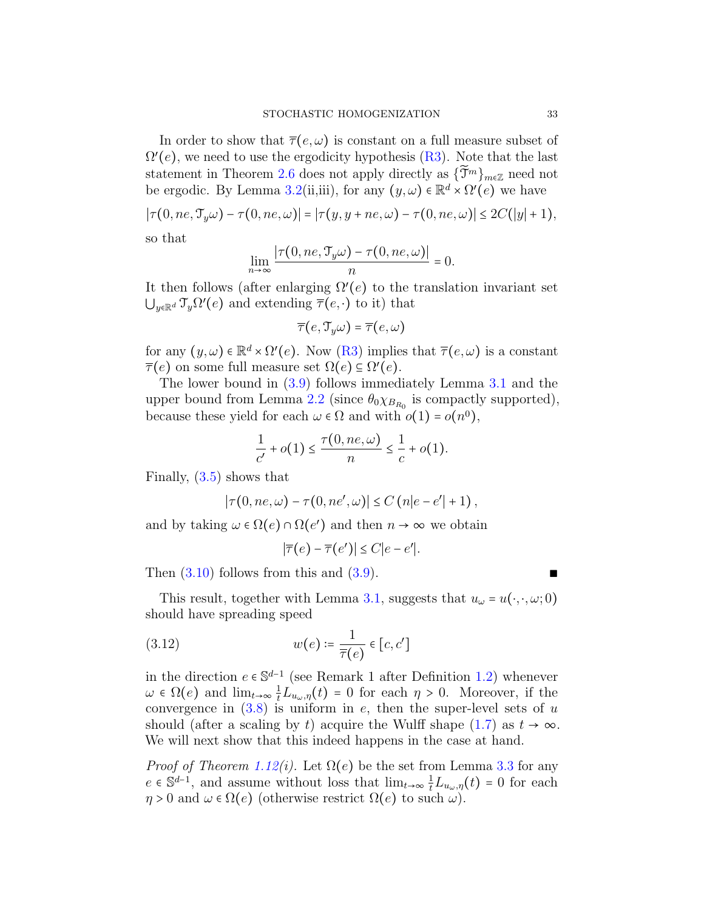In order to show that  $\overline{\tau}(e,\omega)$  is constant on a full measure subset of  $\Omega'(e)$ , we need to use the ergodicity hypothesis  $(R3)$ . Note that the last statement in Theorem [2.6](#page-27-0) does not apply directly as  $\{\widetilde{\mathfrak{T}}^m\}_{m\in\mathbb{Z}}$  need not be ergodic. By Lemma [3.2\(](#page-30-4)ii,iii), for any  $(y,\omega) \in \mathbb{R}^d \times \Omega'(e)$  we have

$$
|\tau(0, ne, \mathfrak{T}_y \omega) - \tau(0, ne, \omega)| = |\tau(y, y + ne, \omega) - \tau(0, ne, \omega)| \le 2C(|y| + 1),
$$

so that

$$
\lim_{n\to\infty}\frac{|\tau(0,ne,\mathfrak{T}_y\omega)-\tau(0,ne,\omega)|}{n}=0.
$$

It then follows (after enlarging  $\Omega'(e)$  to the translation invariant set  $\bigcup_{y\in\mathbb{R}^d} \mathcal{T}_y \Omega'(e)$  and extending  $\overline{\tau}(e,\cdot)$  to it) that

$$
\overline{\tau}(e,\mathfrak{T}_y\omega)=\overline{\tau}(e,\omega)
$$

for any  $(y, \omega) \in \mathbb{R}^d \times \Omega'(e)$ . Now  $(R3)$  implies that  $\overline{\tau}(e, \omega)$  is a constant  $\overline{\tau}(e)$  on some full measure set  $\Omega(e) \subseteq \Omega'(e)$ .

The lower bound in [\(3.9\)](#page-31-0) follows immediately Lemma [3.1](#page-30-1) and the upper bound from Lemma [2.2](#page-24-1) (since  $\theta_0 \chi_{B_{R_0}}$  is compactly supported), because these yield for each  $\omega \in \Omega$  and with  $o(1) = o(n^0)$ ,

$$
\frac{1}{c'} + o(1) \le \frac{\tau(0, ne, \omega)}{n} \le \frac{1}{c} + o(1).
$$

Finally, [\(3.5\)](#page-30-5) shows that

$$
|\tau(0, ne, \omega) - \tau(0, ne', \omega)| \le C (n|e - e'| + 1),
$$

and by taking  $\omega \in \Omega(e) \cap \Omega(e')$  and then  $n \to \infty$  we obtain

<span id="page-32-0"></span>
$$
|\overline{\tau}(e) - \overline{\tau}(e')| \le C|e - e'|.
$$

Then  $(3.10)$  follows from this and  $(3.9)$ .

This result, together with Lemma [3.1,](#page-30-1) suggests that  $u_{\omega} = u(\cdot, \cdot, \omega; 0)$ should have spreading speed

(3.12) 
$$
w(e) \coloneqq \frac{1}{\overline{\tau}(e)} \in [c, c']
$$

in the direction  $e \in \mathbb{S}^{d-1}$  (see Remark 1 after Definition [1.2\)](#page-14-0) whenever  $\omega \in \Omega(e)$  and  $\lim_{t\to\infty} \frac{1}{t}L_{u_{\omega},\eta}(t) = 0$  for each  $\eta > 0$ . Moreover, if the convergence in  $(3.8)$  is uniform in e, then the super-level sets of u should (after a scaling by t) acquire the Wulff shape [\(1.7\)](#page-6-1) as  $t \to \infty$ . We will next show that this indeed happens in the case at hand.

*Proof of Theorem [1.12\(](#page-22-0)i).* Let  $\Omega(e)$  be the set from Lemma [3.3](#page-31-3) for any  $e \in \mathbb{S}^{d-1}$ , and assume without loss that  $\lim_{t\to\infty} \frac{1}{t}L_{u_\omega,\eta}(t) = 0$  for each  $\eta > 0$  and  $\omega \in \Omega(e)$  (otherwise restrict  $\Omega(e)$  to such  $\omega$ ).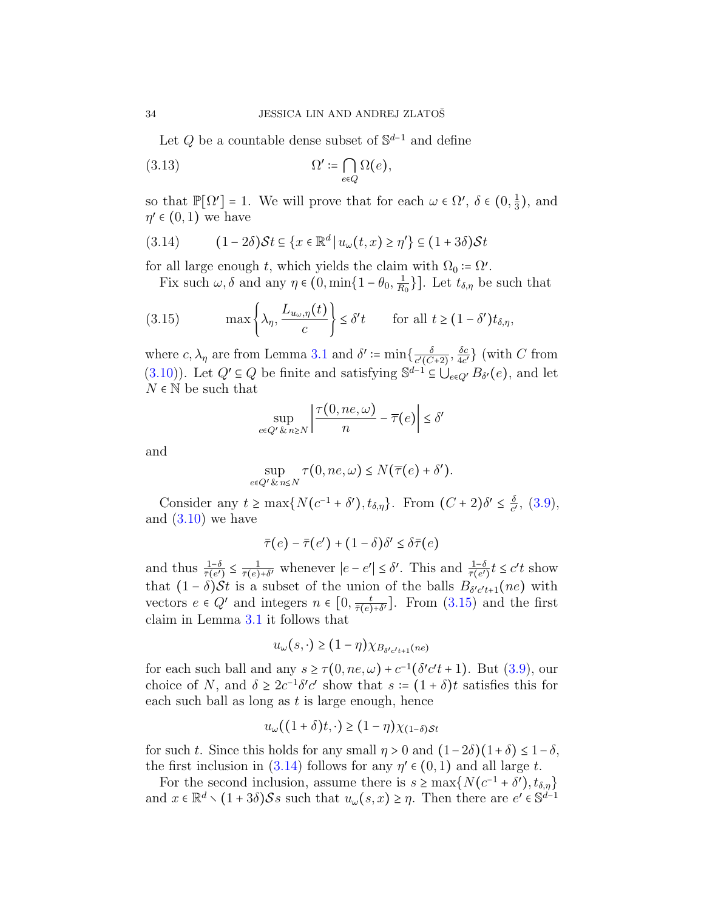Let  $Q$  be a countable dense subset of  $\mathbb{S}^{d-1}$  and define

(3.13) 
$$
\Omega' \coloneqq \bigcap_{e \in Q} \Omega(e),
$$

so that  $\mathbb{P}[\Omega'] = 1$ . We will prove that for each  $\omega \in \Omega'$ ,  $\delta \in (0, \frac{1}{3})$  $\frac{1}{3}$ , and  $\eta' \in (0,1)$  we have

<span id="page-33-1"></span>(3.14) 
$$
(1-2\delta)\mathcal{S}t \subseteq \{x \in \mathbb{R}^d \mid u_\omega(t,x) \ge \eta'\} \subseteq (1+3\delta)\mathcal{S}t
$$

for all large enough t, which yields the claim with  $\Omega_0 \coloneqq \Omega'$ .

<span id="page-33-0"></span>Fix such  $\omega, \delta$  and any  $\eta \in (0, \min\{1-\theta_0, \frac{1}{R}\})$  $\frac{1}{R_0}\}$ . Let  $t_{\delta,\eta}$  be such that

(3.15) 
$$
\max\left\{\lambda_{\eta}, \frac{L_{u_{\omega},\eta}(t)}{c}\right\} \leq \delta' t \quad \text{for all } t \geq (1-\delta')t_{\delta,\eta},
$$

where  $c, \lambda_{\eta}$  are from Lemma [3.1](#page-30-1) and  $\delta' \coloneqq \min\{\frac{\delta}{c' \sqrt{C}}\}$  $\frac{\delta}{c'(C+2)}, \frac{\delta c}{4c'}$  $\frac{\delta c}{4c'}\}$  (with C from [\(3.10\)](#page-31-1)). Let  $Q' \subseteq Q$  be finite and satisfying  $\mathbb{S}^{d-1} \subseteq \bigcup_{e \in Q'} B_{\delta'}(e)$ , and let  $N \in \mathbb{N}$  be such that

$$
\sup_{e \in Q' \& n \ge N} \left| \frac{\tau(0, ne, \omega)}{n} - \overline{\tau}(e) \right| \le \delta'
$$

and

$$
\sup_{e \in Q' \& n \le N} \tau(0, ne, \omega) \le N(\overline{\tau}(e) + \delta').
$$

Consider any  $t \ge \max\{N(c^{-1} + \delta'), t_{\delta,\eta}\}\$ . From  $(C + 2)\delta' \le \frac{\delta}{c'}$  $\frac{\delta}{c'},$   $(3.9),$  $(3.9),$ and  $(3.10)$  we have

$$
\bar{\tau}(e) - \bar{\tau}(e') + (1 - \delta)\delta' \leq \delta \bar{\tau}(e)
$$

and thus  $\frac{1-\delta}{\bar{\tau}(e')} \leq \frac{1}{\bar{\tau}(e)}$  $\frac{1}{\bar{\tau}(e)+\delta'}$  whenever  $|e-e'|\leq \delta'$ . This and  $\frac{1-\delta}{\bar{\tau}(e')}t\leq c't$  show that  $(1 - \delta)\mathcal{S}t$  is a subset of the union of the balls  $B_{\delta' c' t+1}(ne)$  with vectors  $e \in Q'$  and integers  $n \in [0, \frac{t}{\bar{\tau}(e)})$  $\frac{t}{\bar{\tau}(e)+\delta'}$ . From  $(3.15)$  and the first claim in Lemma [3.1](#page-30-1) it follows that

$$
u_{\omega}(s,\cdot) \ge (1-\eta)\chi_{B_{\delta' c't+1}(ne)}
$$

for each such ball and any  $s \ge \tau(0, ne, \omega) + c^{-1}(\delta' c' t + 1)$ . But [\(3.9\)](#page-31-0), our choice of N, and  $\delta \geq 2c^{-1}\delta' c'$  show that  $s := (1 + \delta)t$  satisfies this for each such ball as long as  $t$  is large enough, hence

$$
u_{\omega}((1+\delta)t,\cdot) \ge (1-\eta)\chi_{(1-\delta)\mathcal{S}t}
$$

for such t. Since this holds for any small  $\eta > 0$  and  $(1-2\delta)(1+\delta) \leq 1-\delta$ , the first inclusion in [\(3.14\)](#page-33-1) follows for any  $\eta' \in (0,1)$  and all large t.

For the second inclusion, assume there is  $s \ge \max\{N(c^{-1} + \delta'), t_{\delta,\eta}\}\$ and  $x \in \mathbb{R}^d \setminus (1+3\delta)\mathcal{S}s$  such that  $u_\omega(s,x) \geq \eta$ . Then there are  $e' \in \mathbb{S}^{d-1}$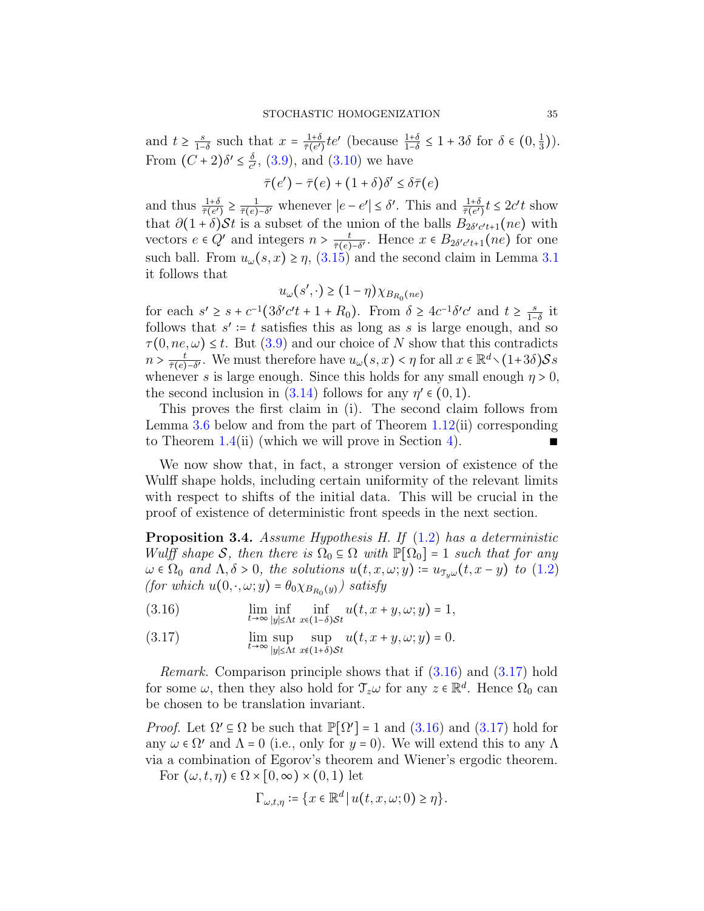and  $t \geq \frac{s}{1-s}$  $rac{s}{1-\delta}$  such that  $x = \frac{1+\delta}{\bar{\tau}(e')}$  $\frac{1+\delta}{\bar{\tau}(e')}te'$  (because  $\frac{1+\delta}{1-\delta} \leq 1+3\delta$  for  $\delta \in (0, \frac{1}{3})$  $(\frac{1}{3})$ . From  $(C+2)\delta' \leq \frac{\delta}{c'}$  $\frac{\delta}{c'}$ , [\(3.9\)](#page-31-0), and [\(3.10\)](#page-31-1) we have

$$
\bar{\tau}(e') - \bar{\tau}(e) + (1+\delta)\delta' \le \delta \bar{\tau}(e)
$$

and thus  $\frac{1+\delta}{\bar{\tau}(e')} \geq \frac{1}{\bar{\tau}(e)}$  $\frac{1}{\bar{\tau}(e)-\delta'}$  whenever  $|e-e'|\leq \delta'$ . This and  $\frac{1+\delta}{\bar{\tau}(e')}t \leq 2c't$  show that  $\partial(1+\delta)\mathcal{S}t$  is a subset of the union of the balls  $B_{2\delta'c't+1}(ne)$  with vectors  $e \in Q'$  and integers  $n > \frac{t}{\bar{\tau}(e)}$  $\frac{t}{\bar{\tau}(e)-\delta'}$ . Hence  $x \in B_{2\delta'c't+1}(ne)$  for one such ball. From  $u_{\omega}(s, x) \geq \eta$ , [\(3.15\)](#page-33-0) and the second claim in Lemma [3.1](#page-30-1) it follows that

$$
u_{\omega}(s',\cdot) \ge (1-\eta) \chi_{B_{R_0}(ne)}
$$

for each  $s' \geq s + c^{-1} \left( 3\delta' c' t + 1 + R_0 \right)$ . From  $\delta \geq 4c^{-1} \delta' c'$  and  $t \geq \frac{s}{1-s}$  $\frac{s}{1-\delta}$  it follows that  $s' \coloneqq t$  satisfies this as long as s is large enough, and so  $\tau(0, ne, \omega) \leq t$ . But  $(3.9)$  and our choice of N show that this contradicts  $n > \frac{t}{\bar{\tau}(e)}$  $\frac{t}{\tau(e)-\delta'}$ . We must therefore have  $u_\omega(s,x) < \eta$  for all  $x \in \mathbb{R}^d \setminus (1+3\delta)Ss$ whenever s is large enough. Since this holds for any small enough  $\eta > 0$ , the second inclusion in [\(3.14\)](#page-33-1) follows for any  $\eta' \in (0,1)$ .

This proves the first claim in (i). The second claim follows from Lemma [3.6](#page-37-1) below and from the part of Theorem [1.12\(](#page-22-0)ii) corresponding to Theorem  $1.4$ (ii) (which we will prove in Section [4\)](#page-37-0).

We now show that, in fact, a stronger version of existence of the Wulff shape holds, including certain uniformity of the relevant limits with respect to shifts of the initial data. This will be crucial in the proof of existence of deterministic front speeds in the next section.

<span id="page-34-0"></span>**Proposition 3.4.** Assume Hypothesis H. If  $(1.2)$  has a deterministic Wulff shape S, then there is  $\Omega_0 \subseteq \Omega$  with  $\mathbb{P}[\Omega_0] = 1$  such that for any  $\omega \in \Omega_0$  and  $\Lambda, \delta > 0$ , the solutions  $u(t, x, \omega; y) \coloneqq u_{\mathcal{J}_\omega} (t, x - y)$  to [\(1.2\)](#page-1-1) (for which  $u(0, \cdot, \omega; y) = \theta_0 \chi_{B_{R_0}(y)}$ ) satisfy

<span id="page-34-1"></span>(3.16)  $\lim_{t\to\infty} \inf_{|y|\leq \Lambda t} \inf_{x\in(1-\delta)\mathcal{S}t} u(t, x+y, \omega; y) = 1,$ 

<span id="page-34-2"></span> $\lim_{t\to\infty} \sup_{|u|<\Lambda}$ ∣y∣≤Λt sup  $x \notin (1+\delta)$ St (3.17)  $\lim_{t \to \infty} \sup \sup u(t, x + y, \omega; y) = 0.$ 

Remark. Comparison principle shows that if [\(3.16\)](#page-34-1) and [\(3.17\)](#page-34-2) hold for some  $\omega$ , then they also hold for  $\mathcal{T}_z \omega$  for any  $z \in \mathbb{R}^d$ . Hence  $\Omega_0$  can be chosen to be translation invariant.

*Proof.* Let  $\Omega' \subseteq \Omega$  be such that  $\mathbb{P}[\Omega'] = 1$  and  $(3.16)$  and  $(3.17)$  hold for any  $\omega \in \Omega'$  and  $\Lambda = 0$  (i.e., only for  $y = 0$ ). We will extend this to any  $\Lambda$ via a combination of Egorov's theorem and Wiener's ergodic theorem. For  $(\omega, t, \eta) \in \Omega \times [0, \infty) \times (0, 1)$  let

 $\Gamma_{\omega,t,\eta} \coloneqq \{x \in \mathbb{R}^d \mid u(t,x,\omega;0) \geq \eta\}.$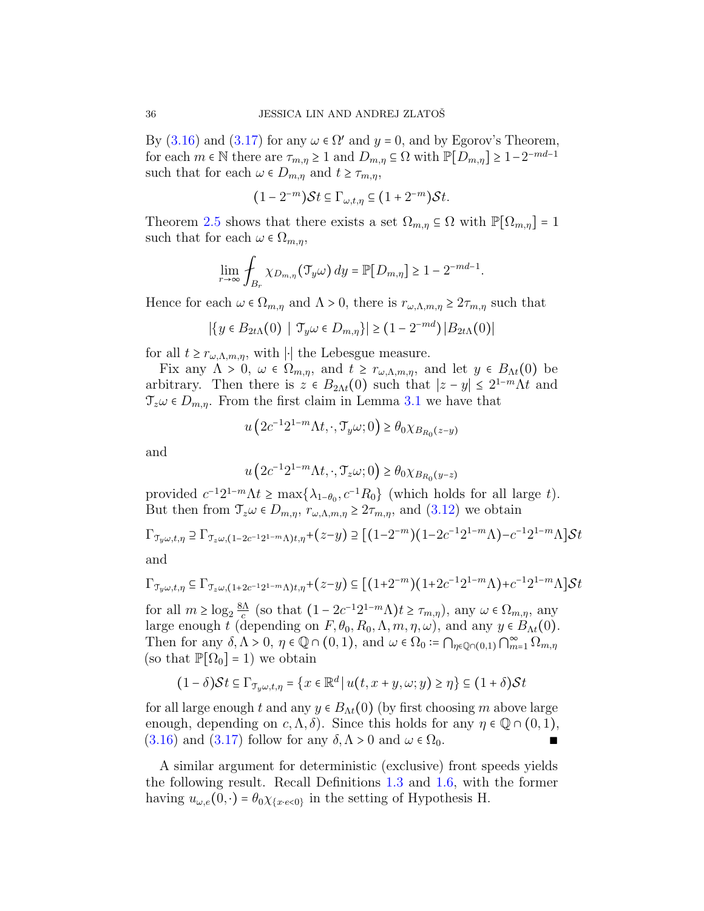By [\(3.16\)](#page-34-1) and [\(3.17\)](#page-34-2) for any  $\omega \in \Omega'$  and  $y = 0$ , and by Egorov's Theorem, for each  $m \in \mathbb{N}$  there are  $\tau_{m,\eta} \geq 1$  and  $D_{m,\eta} \subseteq \Omega$  with  $\mathbb{P}[D_{m,\eta}] \geq 1-2^{-md-1}$ such that for each  $\omega \in D_{m,\eta}$  and  $t \geq \tau_{m,\eta}$ ,

$$
(1-2^{-m})\mathcal{S}t \subseteq \Gamma_{\omega,t,\eta} \subseteq (1+2^{-m})\mathcal{S}t.
$$

Theorem [2.5](#page-27-2) shows that there exists a set  $\Omega_{m,\eta} \subseteq \Omega$  with  $\mathbb{P}[\Omega_{m,\eta}] = 1$ such that for each  $\omega \in \Omega_{m,n}$ ,

$$
\lim_{r \to \infty} \int_{B_r} \chi_{D_{m,\eta}}(\mathfrak{T}_y \omega) dy = \mathbb{P}[D_{m,\eta}] \ge 1 - 2^{-md-1}.
$$

Hence for each  $\omega \in \Omega_{m,n}$  and  $\Lambda > 0$ , there is  $r_{\omega,\Lambda,m,n} \geq 2r_{m,n}$  such that

$$
|\{y \in B_{2t\Lambda}(0) \mid \mathfrak{T}_y \omega \in D_{m,\eta}\}| \ge (1-2^{-md}) |B_{2t\Lambda}(0)|
$$

for all  $t \geq r_{\omega,\Lambda,m,\eta}$ , with |⋅| the Lebesgue measure.

Fix any  $\Lambda > 0$ ,  $\omega \in \Omega_{m,\eta}$ , and  $t \geq r_{\omega,\Lambda,m,\eta}$ , and let  $y \in B_{\Lambda t}(0)$  be arbitrary. Then there is  $z \in B_{2\Lambda t}(0)$  such that  $|z - y| \leq 2^{1-m} \Lambda t$  and  $\mathcal{T}_{z}\omega \in D_{m,n}$ . From the first claim in Lemma [3.1](#page-30-1) we have that

$$
u\left(2c^{-1}2^{1-m}\Lambda t,\cdot,\mathcal{T}_{y}\omega;0\right)\geq\theta_{0}\chi_{B_{R_{0}}(z-y)}
$$

and

$$
u\left(2c^{-1}2^{1-m}\Lambda t,\cdot,\mathcal{T}_{z}\omega;0\right)\geq\theta_{0}\chi_{B_{R_{0}}\left(y-z\right)}
$$

provided  $c^{-1}2^{1-m}\Lambda t \ge \max\{\lambda_{1-\theta_0}, c^{-1}R_0\}$  (which holds for all large t). But then from  $\mathcal{T}_{z}\omega \in D_{m,\eta}, r_{\omega,\Lambda,m,\eta} \geq 2\tau_{m,\eta}$ , and  $(3.12)$  we obtain

$$
\Gamma_{\mathcal{T}_y\omega,t,\eta} \supseteq \Gamma_{\mathcal{T}_z\omega,(1-2c^{-1}2^{1-m}\Lambda)t,\eta}+(z-y) \supseteq [(1-2^{-m})(1-2c^{-1}2^{1-m}\Lambda)-c^{-1}2^{1-m}\Lambda] \mathcal{S}t
$$
  
and

$$
\Gamma_{\mathfrak{T}_y \omega, t, \eta} \subseteq \Gamma_{\mathfrak{T}_z \omega, (1 + 2c^{-1}2^{1-m}\Lambda)t, \eta} + (z - y) \subseteq [(1 + 2^{-m})(1 + 2c^{-1}2^{1-m}\Lambda) + c^{-1}2^{1-m}\Lambda] \mathcal{S}t
$$

for all  $m \ge \log_2 \frac{8\Lambda}{c}$  $\frac{d\Lambda}{c}$  (so that  $(1 - 2c^{-1}2^{1-m}\Lambda)t \ge \tau_{m,\eta}$ ), any  $\omega \in \Omega_{m,\eta}$ , any large enough t (depending on  $F, \theta_0, R_0, \Lambda, m, \eta, \omega$ ), and any  $y \in B_{\Lambda t}(0)$ . Then for any  $\delta, \Lambda > 0, \eta \in \mathbb{Q} \cap (0,1)$ , and  $\omega \in \Omega_0 := \bigcap_{\eta \in \mathbb{Q} \cap (0,1)} \bigcap_{m=1}^{\infty} \Omega_{m,\eta}$ (so that  $\mathbb{P}[\Omega_0] = 1$ ) we obtain

$$
(1 - \delta)\mathcal{S}t \subseteq \Gamma_{\mathcal{T}_y\omega, t, \eta} = \{x \in \mathbb{R}^d \mid u(t, x + y, \omega; y) \ge \eta\} \subseteq (1 + \delta)\mathcal{S}t
$$

for all large enough t and any  $y \in B_{\Lambda t}(0)$  (by first choosing m above large enough, depending on  $c, \Lambda, \delta$ . Since this holds for any  $\eta \in \mathbb{Q} \cap (0, 1)$ ,  $(3.16)$  and  $(3.17)$  follow for any  $\delta, \Lambda > 0$  and  $\omega \in \Omega_0$ .

A similar argument for deterministic (exclusive) front speeds yields the following result. Recall Definitions [1.3](#page-15-0) and [1.6,](#page-18-0) with the former having  $u_{\omega,e}(0,\cdot) = \theta_0 \chi_{\{x \cdot e < 0\}}$  in the setting of Hypothesis H.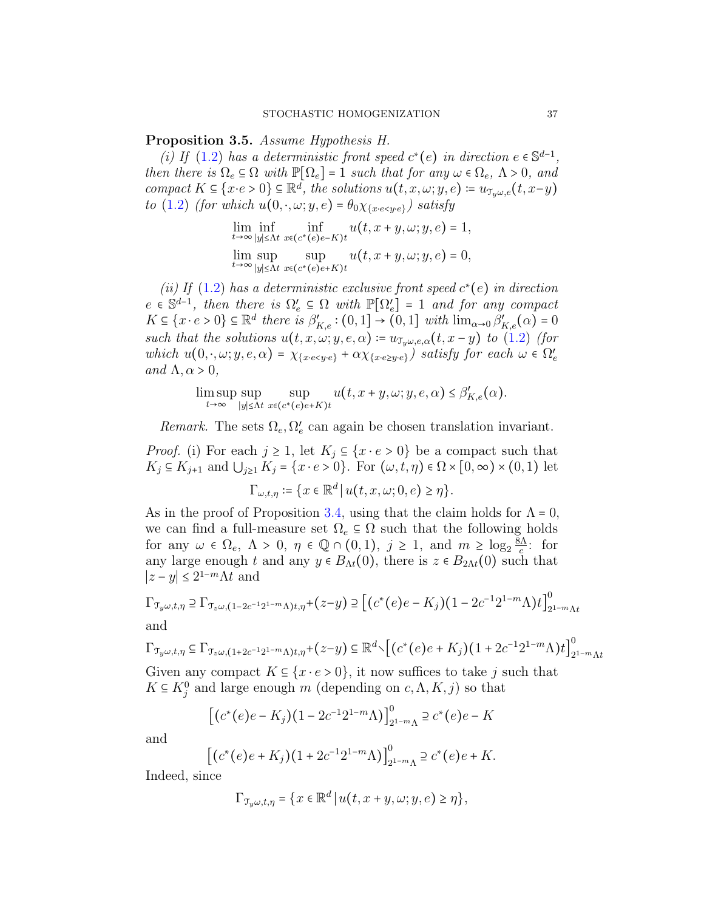<span id="page-36-0"></span>Proposition 3.5. Assume Hypothesis H.

(i) If [\(1.2\)](#page-1-1) has a deterministic front speed  $c^*(e)$  in direction  $e \in \mathbb{S}^{d-1}$ , then there is  $\Omega_e \subseteq \Omega$  with  $\mathbb{P}[\Omega_e] = 1$  such that for any  $\omega \in \Omega_e$ ,  $\Lambda > 0$ , and compact  $K \subseteq \{x \cdot e > 0\} \subseteq \mathbb{R}^d$ , the solutions  $u(t, x, \omega; y, e) \coloneqq u_{\mathcal{I}_y \omega, e}(t, x-y)$ to [\(1.2\)](#page-1-1) (for which  $u(0, \cdot, \omega; y, e) = \theta_0 \chi_{x \cdot e \leq y \cdot e}$ ) satisfy

$$
\lim_{t \to \infty} \inf_{|y| \le \Lambda t} \inf_{x \in (c^*(e)e - K)t} u(t, x + y, \omega; y, e) = 1,
$$
  

$$
\lim_{t \to \infty} \sup_{|y| \le \Lambda t} \sup_{x \in (c^*(e)e + K)t} u(t, x + y, \omega; y, e) = 0,
$$

(ii) If [\(1.2\)](#page-1-1) has a deterministic exclusive front speed  $c^*(e)$  in direction  $e \in \mathbb{S}^{d-1}$ , then there is  $\Omega_e' \subseteq \Omega$  with  $\mathbb{P}[\Omega_e'] = 1$  and for any compact  $K \subseteq \{x \cdot e > 0\} \subseteq \mathbb{R}^d$  there is  $\beta'_{K,e} : (0,1] \to (0,1]$  with  $\lim_{\alpha \to 0} \beta'_{K,e}(\alpha) = 0$ such that the solutions  $u(t, x, \omega; y, e, \alpha) \coloneqq u_{\tau_n \omega, e, \alpha}(t, x - y)$  to [\(1.2\)](#page-1-1) (for which  $u(0, \cdot, \omega; y, e, \alpha) = \chi_{x \cdot e \leq y \cdot e} + \alpha \chi_{x \cdot e \geq y \cdot e}$  satisfy for each  $\omega \in \Omega'_e$ and  $\Lambda, \alpha > 0$ ,

> lim sup t→∞ sup ∣y∣≤Λt sup  $x \in (c^*(e)e+K)t$  $u(t, x+y, \omega; y, e, \alpha) \leq \beta'_{K,e}(\alpha).$

Remark. The sets  $\Omega_e, \Omega'_e$  can again be chosen translation invariant.

*Proof.* (i) For each  $j \ge 1$ , let  $K_j \subseteq \{x \cdot e > 0\}$  be a compact such that  $K_j \subseteq K_{j+1}$  and  $\bigcup_{j\geq 1} K_j = \{x \cdot e > 0\}$ . For  $(\omega, t, \eta) \in \Omega \times [0, \infty) \times (0, 1)$  let

$$
\Gamma_{\omega,t,\eta} \coloneqq \{ x \in \mathbb{R}^d \, | \, u(t,x,\omega;0,e) \ge \eta \}.
$$

As in the proof of Proposition [3.4,](#page-34-0) using that the claim holds for  $\Lambda = 0$ , we can find a full-measure set  $\Omega_e \subseteq \Omega$  such that the following holds for any  $\omega \in \Omega_e$ ,  $\Lambda > 0$ ,  $\eta \in \mathbb{Q} \cap (0,1)$ ,  $j \ge 1$ , and  $m \ge \log_2 \frac{\delta \Lambda}{c}$  $\frac{\delta \Lambda}{c}$ : for any large enough t and any  $y \in B_{\Lambda t}(0)$ , there is  $z \in B_{2\Lambda t}(0)$  such that  $|z-y| \leq 2^{1-m} \Lambda t$  and

$$
\Gamma_{\mathfrak{T}_y \omega, t, \eta} \supseteq \Gamma_{\mathfrak{T}_z \omega, (1 - 2c^{-1}2^{1-m}\Lambda)t, \eta} + (z - y) \supseteq \left[ (c^*(e)e - K_j)(1 - 2c^{-1}2^{1-m}\Lambda)t \right]_{2^{1-m}\Lambda t}^{0}
$$
 and

$$
\Gamma_{\mathfrak{T}_y\omega,t,\eta} \subseteq \Gamma_{\mathfrak{T}_z\omega,(1+2c^{-1}2^{1-m}\Lambda)t,\eta} + (z-y) \subseteq \mathbb{R}^d \setminus \left[ (c^*(e)e + K_j)(1+2c^{-1}2^{1-m}\Lambda)t \right]_{2^{1-m}\Lambda t}^0
$$

Given any compact  $K \subseteq \{x \cdot e > 0\}$ , it now suffices to take j such that  $K \subseteq K_j^0$  and large enough m (depending on  $c, \Lambda, K, j$ ) so that

$$
[(c^*(e)e - K_j)(1 - 2c^{-1}2^{1-m}\Lambda)]_{2^{1-m}\Lambda}^0 \supseteq c^*(e)e - K
$$

and

$$
[(c^*(e)e+K_j)(1+2c^{-1}2^{1-m}\Lambda)]_{2^{1-m}\Lambda}^0 \supseteq c^*(e)e+K.
$$

Indeed, since

$$
\Gamma_{\mathcal{T}_{y}\omega,t,\eta} = \{x \in \mathbb{R}^d \, | \, u(t, x+y, \omega; y, e) \geq \eta \},
$$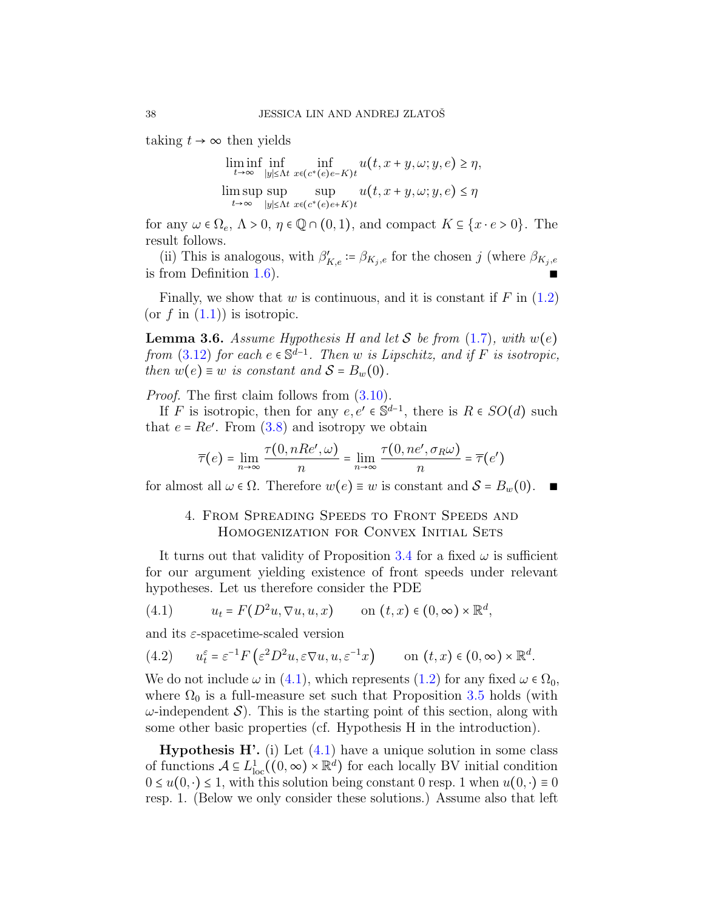taking  $t \to \infty$  then yields

$$
\liminf_{t \to \infty} \inf_{|y| \le \Lambda t} \inf_{x \in (c^*(e)e - K)t} u(t, x + y, \omega; y, e) \ge \eta,
$$
  

$$
\limsup_{t \to \infty} \sup_{|y| \le \Lambda t} \sup_{x \in (c^*(e)e + K)t} u(t, x + y, \omega; y, e) \le \eta
$$

for any  $\omega \in \Omega_e$ ,  $\Lambda > 0$ ,  $\eta \in \mathbb{Q} \cap (0,1)$ , and compact  $K \subseteq \{x \cdot e > 0\}$ . The result follows.

(ii) This is analogous, with  $\beta'_{K,e} \coloneqq \beta_{K_j,e}$  for the chosen j (where  $\beta_{K_j,e}$ is from Definition  $1.6$ ).

Finally, we show that w is continuous, and it is constant if  $F$  in  $(1.2)$ (or  $f$  in  $(1.1)$ ) is isotropic.

<span id="page-37-1"></span>**Lemma 3.6.** Assume Hypothesis H and let S be from  $(1.7)$ , with  $w(e)$ from [\(3.12\)](#page-32-0) for each  $e \in \mathbb{S}^{d-1}$ . Then w is Lipschitz, and if F is isotropic, then  $w(e) \equiv w$  is constant and  $S = B_w(0)$ .

Proof. The first claim follows from [\(3.10\)](#page-31-1).

If F is isotropic, then for any  $e, e' \in \mathbb{S}^{d-1}$ , there is  $R \in SO(d)$  such that  $e = Re'$ . From  $(3.8)$  and isotropy we obtain

$$
\overline{\tau}(e) = \lim_{n \to \infty} \frac{\tau(0, nRe', \omega)}{n} = \lim_{n \to \infty} \frac{\tau(0, ne', \sigma_R \omega)}{n} = \overline{\tau}(e')
$$

<span id="page-37-0"></span>for almost all  $\omega \in \Omega$ . Therefore  $w(e) \equiv w$  is constant and  $S = B_w(0)$ .  $\blacksquare$ 

## 4. From Spreading Speeds to Front Speeds and HOMOGENIZATION FOR CONVEX INITIAL SETS

It turns out that validity of Proposition [3.4](#page-34-0) for a fixed  $\omega$  is sufficient for our argument yielding existence of front speeds under relevant hypotheses. Let us therefore consider the PDE

<span id="page-37-2"></span>(4.1) 
$$
u_t = F(D^2u, \nabla u, u, x) \quad \text{on } (t, x) \in (0, \infty) \times \mathbb{R}^d,
$$

and its  $\varepsilon$ -spacetime-scaled version

<span id="page-37-3"></span>(4.2) 
$$
u_t^{\varepsilon} = \varepsilon^{-1} F\left(\varepsilon^2 D^2 u, \varepsilon \nabla u, u, \varepsilon^{-1} x\right)
$$
 on  $(t, x) \in (0, \infty) \times \mathbb{R}^d$ .

We do not include  $\omega$  in [\(4.1\)](#page-37-2), which represents [\(1.2\)](#page-1-1) for any fixed  $\omega \in \Omega_0$ , where  $\Omega_0$  is a full-measure set such that Proposition [3.5](#page-36-0) holds (with  $\omega$ -independent S). This is the starting point of this section, along with some other basic properties (cf. Hypothesis H in the introduction).

**Hypothesis H'.** (i) Let  $(4.1)$  have a unique solution in some class of functions  $A \subseteq L^1_{loc}((0,\infty) \times \mathbb{R}^d)$  for each locally BV initial condition  $0 \leq u(0, \cdot) \leq 1$ , with this solution being constant 0 resp. 1 when  $u(0, \cdot) \equiv 0$ resp. 1. (Below we only consider these solutions.) Assume also that left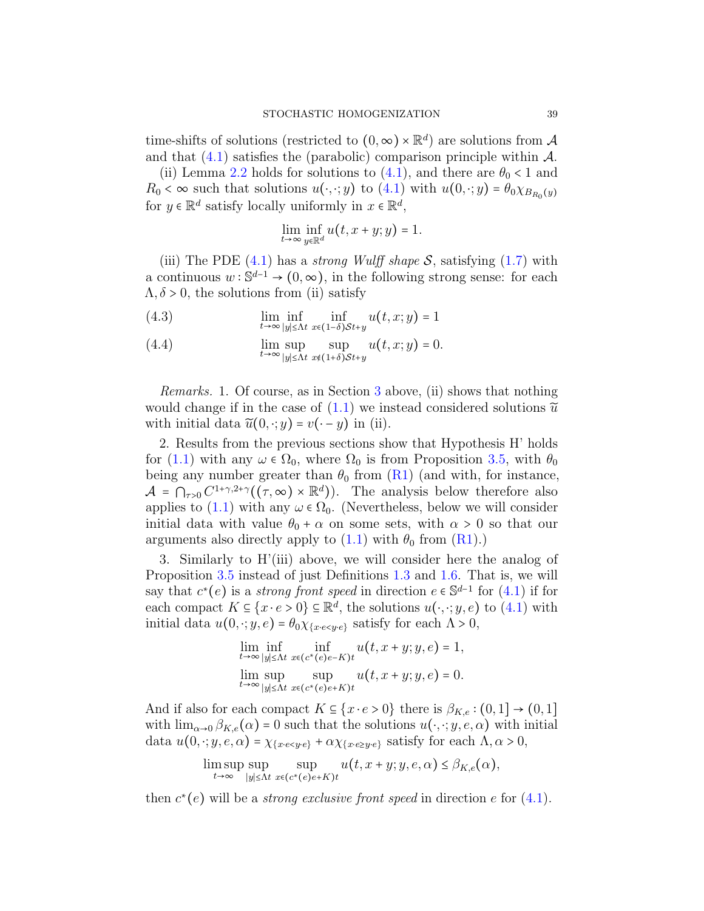time-shifts of solutions (restricted to  $(0, \infty) \times \mathbb{R}^d$ ) are solutions from A and that  $(4.1)$  satisfies the (parabolic) comparison principle within  $\mathcal{A}$ .

(ii) Lemma [2.2](#page-24-1) holds for solutions to [\(4.1\)](#page-37-2), and there are  $\theta_0 < 1$  and  $R_0 < \infty$  such that solutions  $u(\cdot, \cdot; y)$  to  $(4.1)$  with  $u(0, \cdot; y) = \theta_0 \chi_{B_{R_0}(y)}$ for  $y \in \mathbb{R}^d$  satisfy locally uniformly in  $x \in \mathbb{R}^d$ ,

$$
\lim_{t \to \infty} \inf_{y \in \mathbb{R}^d} u(t, x + y; y) = 1.
$$

(iii) The PDE  $(4.1)$  has a *strong Wulff shape* S, satisfying  $(1.7)$  with a continuous  $w : \mathbb{S}^{d-1} \to (0, \infty)$ , in the following strong sense: for each  $\Lambda, \delta > 0$ , the solutions from (ii) satisfy

<span id="page-38-0"></span>(4.3) 
$$
\lim_{t \to \infty} \inf_{|y| \le \Lambda t} \inf_{x \in (1-\delta) \mathcal{S}t+y} u(t,x;y) = 1
$$

<span id="page-38-1"></span>(4.4) 
$$
\lim_{t \to \infty} \sup_{|y| \le \Lambda t} \sup_{x \notin (1+\delta) \mathcal{S} t+y} u(t,x;y) = 0.
$$

Remarks. 1. Of course, as in Section [3](#page-29-0) above, (ii) shows that nothing would change if in the case of  $(1.1)$  we instead considered solutions  $\tilde{u}$ with initial data  $\widetilde{u}(0, \cdot; y) = v(\cdot - y)$  in (ii).

2. Results from the previous sections show that Hypothesis H' holds for [\(1.1\)](#page-0-0) with any  $\omega \in \Omega_0$ , where  $\Omega_0$  is from Proposition [3.5,](#page-36-0) with  $\theta_0$ being any number greater than  $\theta_0$  from [\(R1\)](#page-12-1) (and with, for instance,  $\mathcal{A} = \bigcap_{\tau>0} C^{1+\gamma,2+\gamma}((\tau,\infty) \times \mathbb{R}^d)$ . The analysis below therefore also applies to [\(1.1\)](#page-0-0) with any  $\omega \in \Omega_0$ . (Nevertheless, below we will consider initial data with value  $\theta_0 + \alpha$  on some sets, with  $\alpha > 0$  so that our arguments also directly apply to  $(1.1)$  with  $\theta_0$  from  $(R1)$ .)

3. Similarly to H'(iii) above, we will consider here the analog of Proposition [3.5](#page-36-0) instead of just Definitions [1.3](#page-15-0) and [1.6.](#page-18-0) That is, we will say that  $c^*(e)$  is a *strong front speed* in direction  $e \in \mathbb{S}^{d-1}$  for  $(4.1)$  if for each compact  $K \subseteq \{x \cdot e > 0\} \subseteq \mathbb{R}^d$ , the solutions  $u(\cdot, \cdot; y, e)$  to  $(4.1)$  with initial data  $u(0, \cdot; y, e) = \theta_0 \chi_{\{x \cdot e \leq y \cdot e\}}$  satisfy for each  $\Lambda > 0$ ,

$$
\lim_{t \to \infty} \inf_{|y| \le \Lambda t} \inf_{x \in (c^*(e)e - K)t} u(t, x + y; y, e) = 1,
$$
  

$$
\lim_{t \to \infty} \sup_{|y| \le \Lambda t} \sup_{x \in (c^*(e)e + K)t} u(t, x + y; y, e) = 0.
$$

And if also for each compact  $K \subseteq \{x \cdot e > 0\}$  there is  $\beta_{K,e} : (0,1] \rightarrow (0,1]$ with  $\lim_{\alpha\to 0} \beta_{K,e}(\alpha) = 0$  such that the solutions  $u(\cdot, \cdot; y, e, \alpha)$  with initial data  $u(0, \cdot; y, e, \alpha) = \chi_{x \cdot e \leq y \cdot e} + \alpha \chi_{x \cdot e \geq y \cdot e}$  satisfy for each  $\Lambda, \alpha > 0$ ,

$$
\limsup_{t\to\infty}\sup_{|y|\leq\Lambda t}\sup_{x\in(c^*(e)e+K)t}u(t,x+y;y,e,\alpha)\leq\beta_{K,e}(\alpha),
$$

then  $c^*(e)$  will be a *strong exclusive front speed* in direction e for  $(4.1)$ .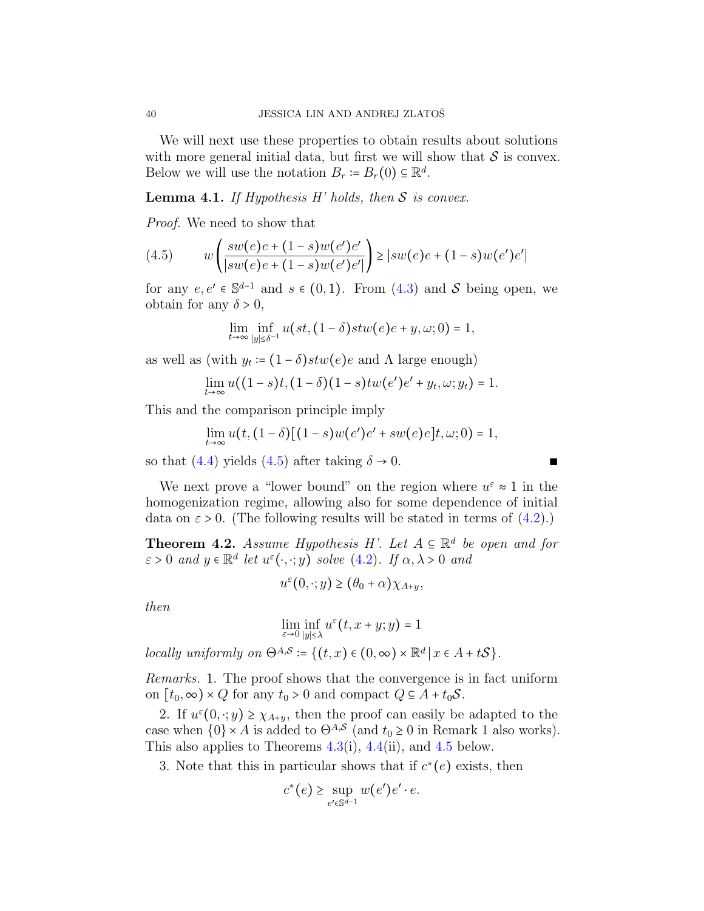We will next use these properties to obtain results about solutions with more general initial data, but first we will show that  $\mathcal S$  is convex. Below we will use the notation  $B_r \coloneqq B_r(0) \subseteq \mathbb{R}^d$ .

### <span id="page-39-1"></span>**Lemma 4.1.** If Hypothesis H' holds, then  $S$  is convex.

Proof. We need to show that

<span id="page-39-0"></span>(4.5) 
$$
w\left(\frac{sw(e)e + (1-s)w(e')e'}{|sw(e)e + (1-s)w(e')e'|}\right) \ge |sw(e)e + (1-s)w(e')e'|
$$

for any  $e, e' \in \mathbb{S}^{d-1}$  and  $s \in (0,1)$ . From  $(4.3)$  and S being open, we obtain for any  $\delta > 0$ ,

$$
\lim_{t\to\infty}\inf_{|y|\leq \delta^{-1}}u\big(st,(1-\delta)stw\big(e\big)e+y,\omega;0\big)=1,
$$

as well as (with  $y_t = (1 - \delta)stw(e)e$  and  $\Lambda$  large enough)

$$
\lim_{t \to \infty} u((1-s)t, (1-\delta)(1-s)tw(e')e' + y_t, \omega; y_t) = 1.
$$

This and the comparison principle imply

$$
\lim_{t\to\infty}u(t,(1-\delta)[(1-s)w(e')e'+sw(e)e]t,\omega;0)=1,
$$

so that [\(4.4\)](#page-38-1) yields [\(4.5\)](#page-39-0) after taking  $\delta \rightarrow 0$ .

We next prove a "lower bound" on the region where  $u^{\varepsilon} \approx 1$  in the homogenization regime, allowing also for some dependence of initial data on  $\varepsilon > 0$ . (The following results will be stated in terms of  $(4.2)$ .)

<span id="page-39-2"></span>**Theorem 4.2.** Assume Hypothesis H'. Let  $A \subseteq \mathbb{R}^d$  be open and for  $\varepsilon > 0$  and  $y \in \mathbb{R}^d$  let  $u^{\varepsilon}(\cdot, \cdot; y)$  solve  $(4.2)$ . If  $\alpha, \lambda > 0$  and

$$
u^{\varepsilon}(0,\cdot;y) \ge (\theta_0 + \alpha) \chi_{A+y},
$$

then

$$
\lim_{\varepsilon \to 0} \inf_{|y| \le \lambda} u^{\varepsilon}(t, x + y; y) = 1
$$

locally uniformly on  $\Theta^{A,S}$  :=  $\{(t,x) \in (0,\infty) \times \mathbb{R}^d \mid x \in A + tS\}.$ 

Remarks. 1. The proof shows that the convergence is in fact uniform on  $[t_0, \infty) \times Q$  for any  $t_0 > 0$  and compact  $Q \subseteq A + t_0 \mathcal{S}$ .

2. If  $u^{\varepsilon}(0, \cdot; y) \geq \chi_{A+y}$ , then the proof can easily be adapted to the case when  $\{0\} \times A$  is added to  $\Theta^{A,S}$  (and  $t_0 \ge 0$  in Remark 1 also works). This also applies to Theorems  $4.3(i)$  $4.3(i)$ ,  $4.4(ii)$  $4.4(ii)$ , and  $4.5$  below.

3. Note that this in particular shows that if  $c^*(e)$  exists, then

$$
c^*(e) \ge \sup_{e' \in \mathbb{S}^{d-1}} w(e')e' \cdot e.
$$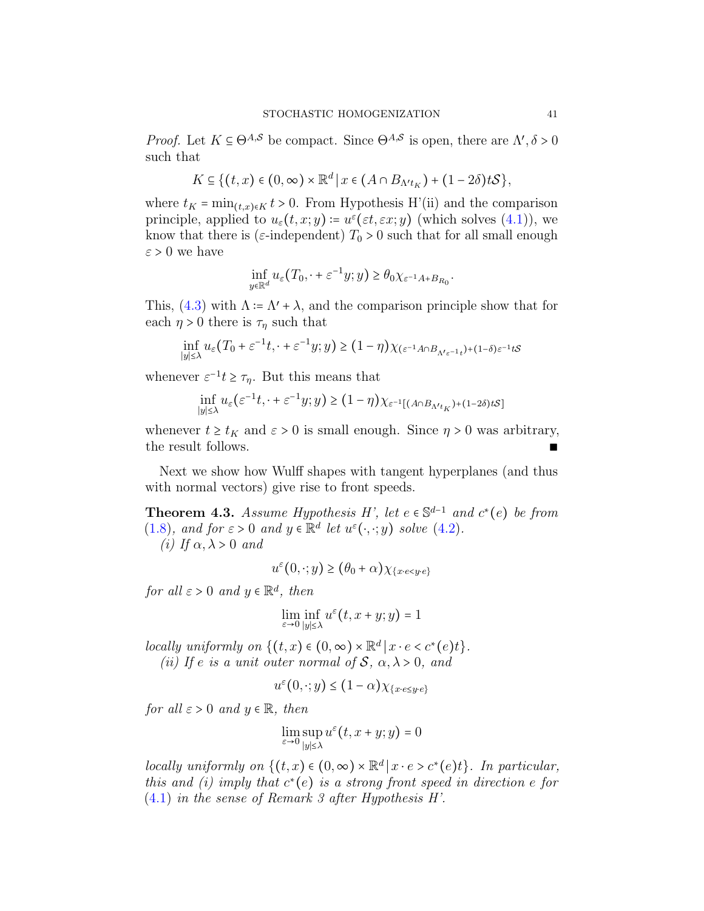*Proof.* Let  $K \subseteq \Theta^{A,S}$  be compact. Since  $\Theta^{A,S}$  is open, there are  $\Lambda', \delta > 0$ such that

$$
K \subseteq \{(t,x)\in(0,\infty)\times\mathbb{R}^d\,\big|\,x\in(A\cap B_{\Lambda'^t\,)}+(1-2\delta)t\mathcal{S}\},\
$$

where  $t_K = \min_{(t,x)\in K} t > 0$ . From Hypothesis H'(ii) and the comparison principle, applied to  $u_{\varepsilon}(t,x;y) \coloneqq u^{\varepsilon}(\varepsilon t, \varepsilon x; y)$  (which solves  $(4.1)$ ), we know that there is ( $\varepsilon$ -independent)  $T_0 > 0$  such that for all small enough  $\varepsilon > 0$  we have

$$
\inf_{y \in \mathbb{R}^d} u_{\varepsilon}(T_0, \cdot + \varepsilon^{-1} y; y) \ge \theta_0 \chi_{\varepsilon^{-1} A + B_{R_0}}.
$$

This,  $(4.3)$  with  $\Lambda = \Lambda' + \lambda$ , and the comparison principle show that for each  $\eta > 0$  there is  $\tau_{\eta}$  such that

$$
\inf_{|y| \le \lambda} u_{\varepsilon}(T_0 + \varepsilon^{-1}t, \cdot + \varepsilon^{-1}y; y) \ge (1 - \eta) \chi_{(\varepsilon^{-1}A \cap B_{\Lambda' \varepsilon^{-1}t}) + (1 - \delta)\varepsilon^{-1}tS}
$$

whenever  $\varepsilon^{-1}t \geq \tau_{\eta}$ . But this means that

$$
\inf_{|y| \le \lambda} u_{\varepsilon}(\varepsilon^{-1}t, \cdot + \varepsilon^{-1}y; y) \ge (1 - \eta) \chi_{\varepsilon^{-1}[(A \cap B_{\Lambda' t_K}) + (1 - 2\delta)tS]}
$$

whenever  $t \geq t_K$  and  $\varepsilon > 0$  is small enough. Since  $\eta > 0$  was arbitrary, the result follows.

Next we show how Wulff shapes with tangent hyperplanes (and thus with normal vectors) give rise to front speeds.

<span id="page-40-0"></span>**Theorem 4.3.** Assume Hypothesis H', let  $e \in \mathbb{S}^{d-1}$  and  $c^*(e)$  be from [\(1.8\)](#page-6-0), and for  $\varepsilon > 0$  and  $y \in \mathbb{R}^d$  let  $u^{\varepsilon}(\cdot, \cdot; y)$  solve [\(4.2\)](#page-37-3). (i) If  $\alpha, \lambda > 0$  and

$$
u^{\varepsilon}(0,\cdot;y) \ge (\theta_0 + \alpha) \chi_{\{x \cdot e \le y \cdot e\}}
$$

for all  $\varepsilon > 0$  and  $y \in \mathbb{R}^d$ , then

$$
\lim_{\varepsilon \to 0} \inf_{|y| \le \lambda} u^{\varepsilon}(t, x + y; y) = 1
$$

locally uniformly on  $\{(t,x) \in (0,\infty) \times \mathbb{R}^d | x \cdot e < c^*(e)t\}.$ (ii) If e is a unit outer normal of  $S$ ,  $\alpha, \lambda > 0$ , and

$$
u^{\varepsilon}(0,\cdot;y) \le (1-\alpha)\chi_{\{x \cdot e \le y \cdot e\}}
$$

for all  $\varepsilon > 0$  and  $y \in \mathbb{R}$ , then

$$
\lim_{\varepsilon \to 0} \sup_{|y| \le \lambda} u^{\varepsilon}(t, x + y; y) = 0
$$

locally uniformly on  $\{(t,x)\in(0,\infty)\times\mathbb{R}^d\mid x\cdot e>c^*(e)t\}$ . In particular, this and (i) imply that  $c^*(e)$  is a strong front speed in direction e for [\(4.1\)](#page-37-2) in the sense of Remark 3 after Hypothesis H'.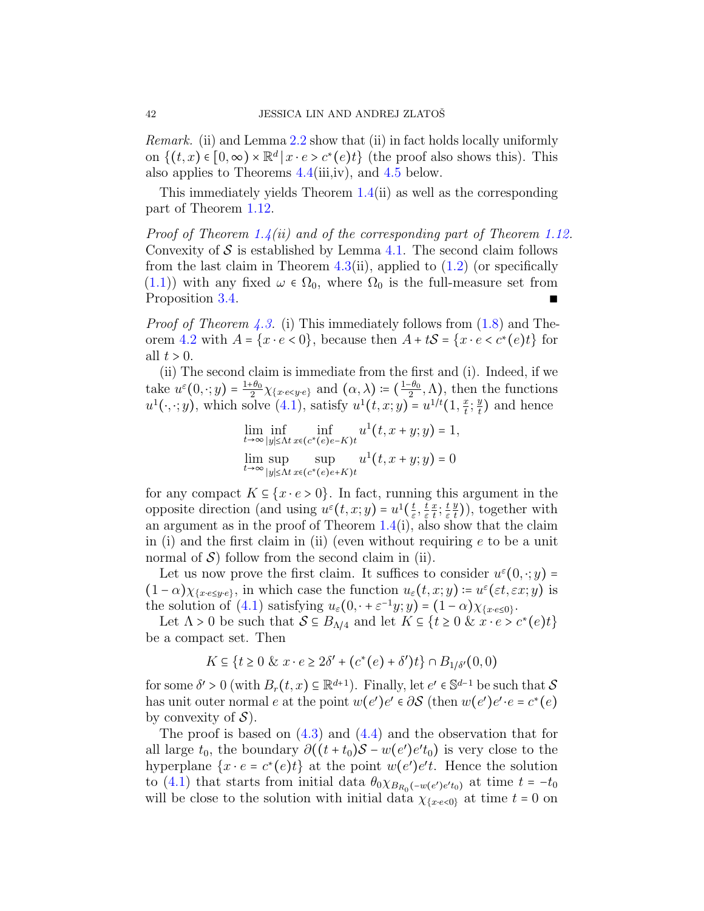Remark. (ii) and Lemma [2.2](#page-24-1) show that (ii) in fact holds locally uniformly on  $\{(t,x) \in [0,\infty) \times \mathbb{R}^d \mid x \cdot e > c^*(e)t\}$  (the proof also shows this). This also applies to Theorems [4.4\(](#page-43-0)iii,iv), and [4.5](#page-50-0) below.

This immediately yields Theorem [1.4\(](#page-17-0)ii) as well as the corresponding part of Theorem [1.12.](#page-22-0)

Proof of Theorem [1.4\(](#page-17-0)ii) and of the corresponding part of Theorem [1.12.](#page-22-0) Convexity of  $S$  is established by Lemma [4.1.](#page-39-1) The second claim follows from the last claim in Theorem [4.3\(](#page-40-0)ii), applied to  $(1.2)$  (or specifically  $(1.1)$ ) with any fixed  $\omega \in \Omega_0$ , where  $\Omega_0$  is the full-measure set from Proposition [3.4.](#page-34-0)

*Proof of Theorem [4.3.](#page-40-0)* (i) This immediately follows from  $(1.8)$  and The-orem [4.2](#page-39-2) with  $A = \{x \cdot e < 0\}$ , because then  $A + tS = \{x \cdot e < c^*(e)t\}$  for all  $t > 0$ .

(ii) The second claim is immediate from the first and (i). Indeed, if we take  $u^{\varepsilon}(0,\cdot;y)=\frac{1+\theta_0}{2}$  $\frac{1+\theta_0}{2}\chi_{x \cdot e \leq y \cdot e}$  and  $(\alpha, \lambda) \coloneqq (\frac{1-\theta_0}{2})$  $\frac{1-\theta_0}{2}$ ,  $\Lambda$ ), then the functions  $u^1(\cdot,\cdot;y)$ , which solve  $(4.1)$ , satisfy  $u^1(t,x;y) = u^{1/t}(1,\frac{x}{t})$  $\frac{x}{t}$ ;  $\frac{y}{t}$  $\frac{y}{t}$ ) and hence

$$
\lim_{t \to \infty} \inf_{|y| \le \Lambda t} \inf_{x \in (c^*(e)e - K)t} u^1(t, x + y; y) = 1,
$$
  

$$
\lim_{t \to \infty} \sup_{|y| \le \Lambda t} \sup_{x \in (c^*(e)e + K)t} u^1(t, x + y; y) = 0
$$

for any compact  $K \subseteq \{x \cdot e > 0\}$ . In fact, running this argument in the opposite direction (and using  $u^{\varepsilon}(t, x; y) = u^1(\frac{t}{\varepsilon})$  $\frac{t}{\varepsilon}, \frac{t}{\varepsilon}$ ε  $\overline{x}$  $\frac{x}{t}$ ;  $\frac{t}{\varepsilon}$ ε  $\overline{y}$  $(\frac{y}{t}))$ , together with an argument as in the proof of Theorem  $1.4(i)$  $1.4(i)$ , also show that the claim in (i) and the first claim in (ii) (even without requiring  $e$  to be a unit normal of  $\mathcal{S}$ ) follow from the second claim in (ii).

Let us now prove the first claim. It suffices to consider  $u^{\varepsilon}(0,\cdot; y)$  =  $(1-\alpha)\chi_{x \cdot e \leq y \cdot e}$ , in which case the function  $u_{\varepsilon}(t,x;y) \coloneq u^{\varepsilon}(\varepsilon t, \varepsilon x; y)$  is the solution of [\(4.1\)](#page-37-2) satisfying  $u_{\varepsilon}(0, \cdot + \varepsilon^{-1}y; y) = (1 - \alpha)\chi_{\{x \cdot \varepsilon \leq 0\}}$ .

Let  $\Lambda > 0$  be such that  $S \subseteq B_{\Lambda/4}$  and let  $K \subseteq \{t \geq 0 \& x \cdot e > c^*(e)t\}$ be a compact set. Then

$$
K \subseteq \{t \ge 0 \& x \cdot e \ge 2\delta' + (c^*(e) + \delta')t\} \cap B_{1/\delta'}(0,0)
$$

for some  $\delta' > 0$  (with  $B_r(t, x) \subseteq \mathbb{R}^{d+1}$ ). Finally, let  $e' \in \mathbb{S}^{d-1}$  be such that  $S$ has unit outer normal e at the point  $w(e')e' \in \partial S$  (then  $w(e')e' \cdot e = c^*(e)$ ) by convexity of  $\mathcal{S}$ ).

The proof is based on  $(4.3)$  and  $(4.4)$  and the observation that for all large  $t_0$ , the boundary  $\partial ((t + t_0)S - w(e')e't_0)$  is very close to the hyperplane  $\{x \cdot e = c^*(e)t\}$  at the point  $w(e')e't$ . Hence the solution to [\(4.1\)](#page-37-2) that starts from initial data  $\theta_0 \chi_{B_{R_0}(-w(e')e' t_0)}$  at time  $t = -t_0$ will be close to the solution with initial data  $\chi_{x \cdot e < 0}$  at time  $t = 0$  on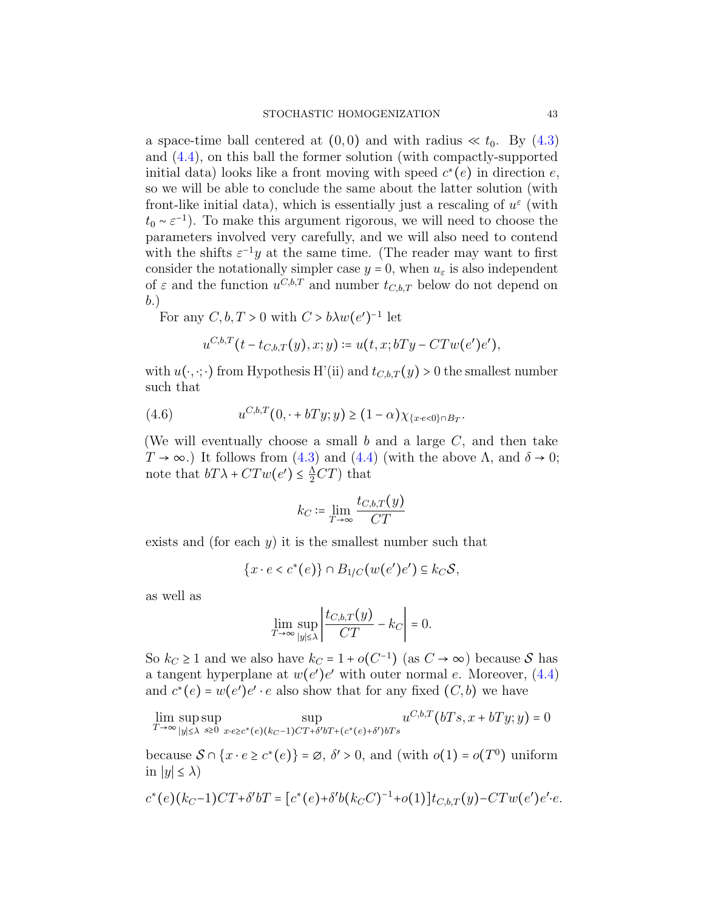a space-time ball centered at  $(0,0)$  and with radius  $\ll t_0$ . By  $(4.3)$ and [\(4.4\)](#page-38-1), on this ball the former solution (with compactly-supported initial data) looks like a front moving with speed  $c^*(e)$  in direction  $e$ , so we will be able to conclude the same about the latter solution (with front-like initial data), which is essentially just a rescaling of  $u^{\varepsilon}$  (with  $t_0 \sim \varepsilon^{-1}$ ). To make this argument rigorous, we will need to choose the parameters involved very carefully, and we will also need to contend with the shifts  $\varepsilon^{-1}y$  at the same time. (The reader may want to first consider the notationally simpler case  $y = 0$ , when  $u_{\varepsilon}$  is also independent of  $\varepsilon$  and the function  $u^{C,b,T}$  and number  $t_{C,b,T}$  below do not depend on b.)

For any  $C, b, T > 0$  with  $C > b \lambda w(e')^{-1}$  let

<span id="page-42-0"></span>
$$
u^{C,b,T}(t-t_{C,b,T}(y),x;y) \coloneqq u(t,x;bTy-CTw(e')e'),
$$

with  $u(\cdot, \cdot; \cdot)$  from Hypothesis H'(ii) and  $t_{C,b,T}(y) > 0$  the smallest number such that

(4.6) 
$$
u^{C,b,T}(0, \cdot + bTy; y) \ge (1-\alpha)\chi_{\{x \cdot e < 0\} \cap B_T}.
$$

(We will eventually choose a small  $b$  and a large  $C$ , and then take  $T \to \infty$ .) It follows from [\(4.3\)](#page-38-0) and [\(4.4\)](#page-38-1) (with the above  $\Lambda$ , and  $\delta \to 0$ ; note that  $bT\lambda + CTw(e') \leq \frac{\Lambda}{2}CT$  that

$$
k_C \coloneqq \lim_{T \to \infty} \frac{t_{C,b,T}(y)}{CT}
$$

exists and (for each  $y$ ) it is the smallest number such that

$$
\{x \cdot e < c^*(e)\} \cap B_{1/C}(w(e')e') \subseteq k_C \mathcal{S},
$$

as well as

$$
\lim_{T \to \infty} \sup_{|y| \le \lambda} \left| \frac{t_{C,b,T}(y)}{CT} - k_C \right| = 0.
$$

So  $k_C \geq 1$  and we also have  $k_C = 1 + o(C^{-1})$  (as  $C \to \infty$ ) because S has a tangent hyperplane at  $w(e')e'$  with outer normal e. Moreover,  $(4.4)$ and  $c^*(e) = w(e')e' \cdot e$  also show that for any fixed  $(C, b)$  we have

$$
\lim_{T \to \infty} \sup_{|y| \le \lambda} \sup_{s \ge 0} \sup_{x \cdot e \ge c^*(e)(k_C - 1)CT + \delta' bT + (c^*(e) + \delta') bTs} u^{C, b, T}(bTs, x + bTy; y) = 0
$$

because  $S \cap \{x \cdot e \ge c^*(e)\} = \emptyset$ ,  $\delta' > 0$ , and (with  $o(1) = o(T^0)$ ) uniform in  $|y| \leq \lambda$ 

$$
c^*(e)(k_C-1)CT+\delta'bT=[c^*(e)+\delta'b(k_CC)^{-1}+o(1)]t_{C,b,T}(y)-CTw(e')e'e.
$$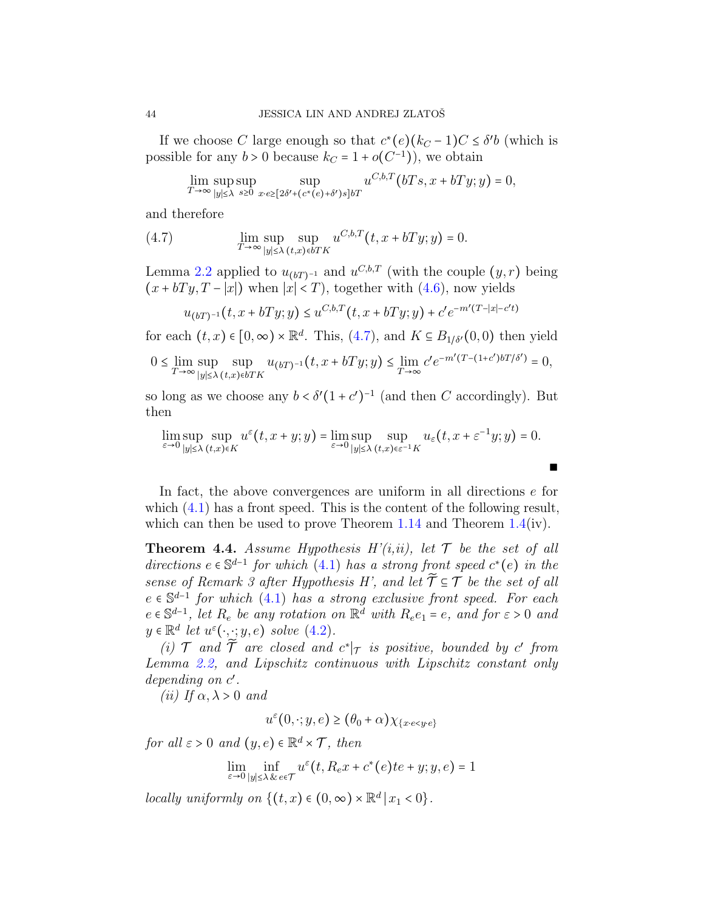If we choose C large enough so that  $c^*(e)(k_C - 1)C \leq \delta' b$  (which is possible for any  $b > 0$  because  $k_C = 1 + o(C^{-1})$ , we obtain

<span id="page-43-1"></span>
$$
\lim_{T \to \infty} \sup_{|y| \le \lambda} \sup_{s \ge 0} \sup_{x \cdot e \ge [2\delta' + (c^*(e) + \delta')s] \delta T} u^{C, b, T} (bTs, x + bTy; y) = 0,
$$

and therefore

(4.7) 
$$
\lim_{T \to \infty} \sup_{|y| \le \lambda} \sup_{(t,x) \in bTK} u^{C,b,T}(t, x + bTy; y) = 0.
$$

Lemma [2.2](#page-24-1) applied to  $u_{(bT)^{-1}}$  and  $u^{C,b,T}$  (with the couple  $(y, r)$  being  $(x + bTy, T - \overline{|x|})$  when  $|\overline{x}| < T$ , together with [\(4.6\)](#page-42-0), now yields

$$
u_{(bT)^{-1}}(t, x + bTy; y) \le u^{C, b, T}(t, x + bTy; y) + c'e^{-m'(T-|x|-c't)}
$$

for each  $(t, x) \in [0, \infty) \times \mathbb{R}^d$ . This,  $(4.7)$ , and  $K \subseteq B_{1/\delta'}(0, 0)$  then yield

$$
0\leq \lim_{T\to\infty}\sup_{|y|\leq \lambda} \sup_{(t,x)\in bTK} u_{(bT)^{-1}}\big(t,x+bTy;y\big)\leq \lim_{T\to\infty} c'e^{-m'(T-(1+c')bT/\delta')}=0,
$$

so long as we choose any  $b < \delta'(1 + c')^{-1}$  (and then C accordingly). But then

$$
\lim_{\varepsilon \to 0} \sup_{|y| \le \lambda} \sup_{(t,x) \in K} u^{\varepsilon}(t, x+y; y) = \lim_{\varepsilon \to 0} \sup_{|y| \le \lambda} \sup_{(t,x) \in \varepsilon^{-1} K} u_{\varepsilon}(t, x + \varepsilon^{-1} y; y) = 0.
$$

In fact, the above convergences are uniform in all directions e for which  $(4.1)$  has a front speed. This is the content of the following result, which can then be used to prove Theorem [1.14](#page-23-0) and Theorem [1.4\(](#page-17-0)iv).

<span id="page-43-0"></span>**Theorem 4.4.** Assume Hypothesis  $H'(i,ii)$ , let  $\mathcal T$  be the set of all directions  $e \in \mathbb{S}^{d-1}$  for which [\(4.1\)](#page-37-2) has a strong front speed  $c^*(e)$  in the sense of Remark 3 after Hypothesis H', and let  $\widetilde{\mathcal{T}} \subseteq \mathcal{T}$  be the set of all  $e \in \mathbb{S}^{d-1}$  for which [\(4.1\)](#page-37-2) has a strong exclusive front speed. For each  $e \in \mathbb{S}^{d-1}$ , let  $R_e$  be any rotation on  $\mathbb{R}^d$  with  $R_e e_1 = e$ , and for  $\varepsilon > 0$  and  $y \in \mathbb{R}^d$  let  $u^{\varepsilon}(\cdot, \cdot; y, e)$  solve  $(4.2)$ .

(i)  $\mathcal T$  and  $\widetilde{\mathcal T}$  are closed and  $c^*|_{\mathcal T}$  is positive, bounded by  $c'$  from Lemma [2.2,](#page-24-1) and Lipschitz continuous with Lipschitz constant only depending on  $c'$ .

(ii) If  $\alpha, \lambda > 0$  and

$$
u^{\varepsilon}(0,\cdot;y,e) \ge (\theta_0 + \alpha) \chi_{\{x \cdot e < y \cdot e\}}
$$

for all  $\varepsilon > 0$  and  $(y, e) \in \mathbb{R}^d \times \mathcal{T}$ , then

$$
\lim_{\varepsilon\to0}\inf_{|y|\le\lambda\,\&\,e\in\mathcal{T}}u^\varepsilon\big(t,R_e x+c^*(e)te+y;y,e\big)=1
$$

locally uniformly on  $\{(t,x) \in (0,\infty) \times \mathbb{R}^d \mid x_1 < 0\}.$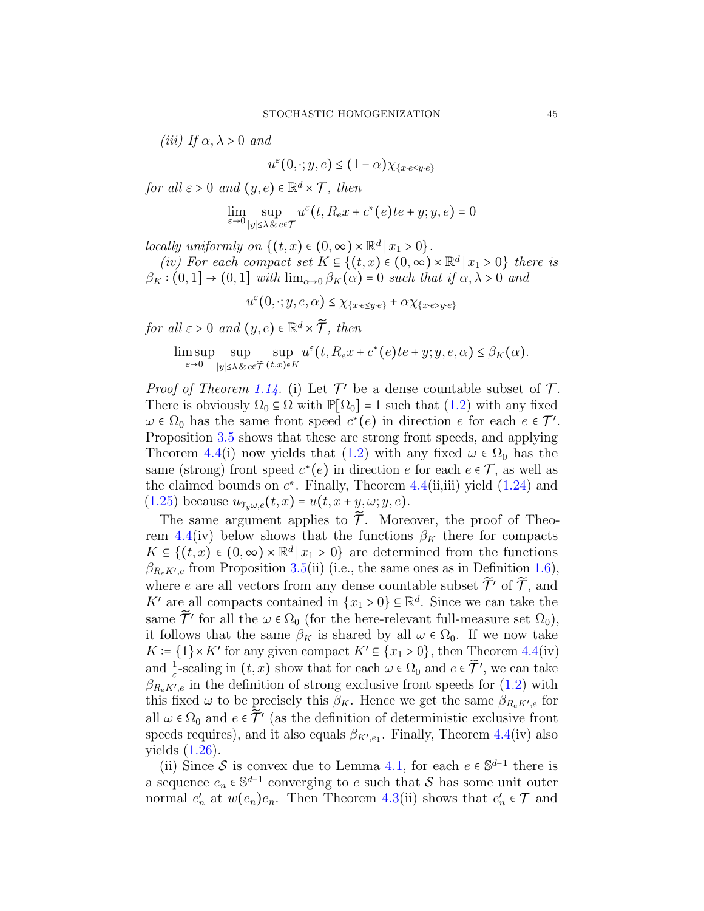(iii) If  $\alpha, \lambda > 0$  and

$$
u^{\varepsilon}(0,\cdot;y,e) \le (1-\alpha)\chi_{\{x \cdot e \le y \cdot e\}}
$$

for all  $\varepsilon > 0$  and  $(y, e) \in \mathbb{R}^d \times \mathcal{T}$ , then

$$
\lim_{\varepsilon \to 0} \sup_{|y| \le \lambda \& e \in \mathcal{T}} u^{\varepsilon}(t, R_e x + c^*(e)te + y; y, e) = 0
$$

locally uniformly on  $\{(t,x) \in (0,\infty) \times \mathbb{R}^d \mid x_1 > 0\}.$ 

(iv) For each compact set  $K \subseteq \{(t,x) \in (0,\infty) \times \mathbb{R}^d | x_1 > 0\}$  there is  $\beta_K$ :  $(0,1] \rightarrow (0,1]$  with  $\lim_{\alpha\to 0} \beta_K(\alpha) = 0$  such that if  $\alpha, \lambda > 0$  and

 $u^{\varepsilon}(0, \cdot; y, e, \alpha) \leq \chi_{\{x \cdot e \leq y \cdot e\}} + \alpha \chi_{\{x \cdot e > y \cdot e\}}$ 

for all  $\varepsilon > 0$  and  $(y, e) \in \mathbb{R}^d \times \widetilde{\mathcal{T}}$ , then

$$
\limsup_{\varepsilon \to 0} \sup_{|y| \le \lambda \& e \in \widetilde{\mathcal{T}}}(t,x) \in K} u^{\varepsilon}(t, R_{e}x + c^{*}(e)t e + y; y, e, \alpha) \le \beta_{K}(\alpha).
$$

*Proof of Theorem [1.14.](#page-23-0)* (i) Let  $\mathcal{T}'$  be a dense countable subset of  $\mathcal{T}$ . There is obviously  $\Omega_0 \subseteq \Omega$  with  $\mathbb{P}[\Omega_0] = 1$  such that  $(1.2)$  with any fixed  $\omega \in \Omega_0$  has the same front speed  $c^*(e)$  in direction e for each  $e \in \mathcal{T}'$ . Proposition [3.5](#page-36-0) shows that these are strong front speeds, and applying Theorem [4.4\(](#page-43-0)i) now yields that [\(1.2\)](#page-1-1) with any fixed  $\omega \in \Omega_0$  has the same (strong) front speed  $c^*(e)$  in direction e for each  $e \in \mathcal{T}$ , as well as the claimed bounds on  $c^*$ . Finally, Theorem [4.4\(](#page-43-0)ii,iii) yield  $(1.24)$  and  $(1.25)$  because  $u_{\mathcal{T}_u\omega,e}(t,x) = u(t,x+y,\omega;y,e)$ .

The same argument applies to  $\tilde{\mathcal{T}}$ . Moreover, the proof of Theo-rem [4.4\(](#page-43-0)iv) below shows that the functions  $\beta_K$  there for compacts  $K \subseteq \{(t, x) \in (0, \infty) \times \mathbb{R}^d | x_1 > 0\}$  are determined from the functions  $\beta_{R_e K'e}$  from Proposition [3.5\(](#page-36-0)ii) (i.e., the same ones as in Definition [1.6\)](#page-18-0), where e are all vectors from any dense countable subset  $\tilde{\mathcal{T}}'$  of  $\tilde{\mathcal{T}}$ , and K' are all compacts contained in  $\{x_1 > 0\} \subseteq \mathbb{R}^d$ . Since we can take the same  $\widetilde{\mathcal{T}}'$  for all the  $\omega \in \Omega_0$  (for the here-relevant full-measure set  $\Omega_0$ ), it follows that the same  $\beta_K$  is shared by all  $\omega \in \Omega_0$ . If we now take  $K \coloneqq \{1\} \times K'$  for any given compact  $K' \subseteq \{x_1 > 0\}$ , then Theorem [4.4\(](#page-43-0)iv) and  $\frac{1}{\varepsilon}$ -scaling in  $(t, x)$  show that for each  $\omega \in \Omega_0$  and  $e \in \widetilde{\mathcal{T}}'$ , we can take  $\beta_{R_e K' e}$  in the definition of strong exclusive front speeds for  $(1.2)$  with this fixed  $\omega$  to be precisely this  $\beta_K$ . Hence we get the same  $\beta_{R_e K' e}$  for all  $\omega \in \Omega_0$  and  $e \in \tilde{\mathcal{T}}'$  (as the definition of deterministic exclusive front speeds requires), and it also equals  $\beta_{K',e_1}$ . Finally, Theorem [4.4\(](#page-43-0)iv) also yields [\(1.26\)](#page-23-4).

(ii) Since S is convex due to Lemma [4.1,](#page-39-1) for each  $e \in \mathbb{S}^{d-1}$  there is a sequence  $e_n \in \mathbb{S}^{d-1}$  converging to e such that S has some unit outer normal  $e'_n$  at  $w(e_n)e_n$ . Then Theorem [4.3\(](#page-40-0)ii) shows that  $e'_n \in \mathcal{T}$  and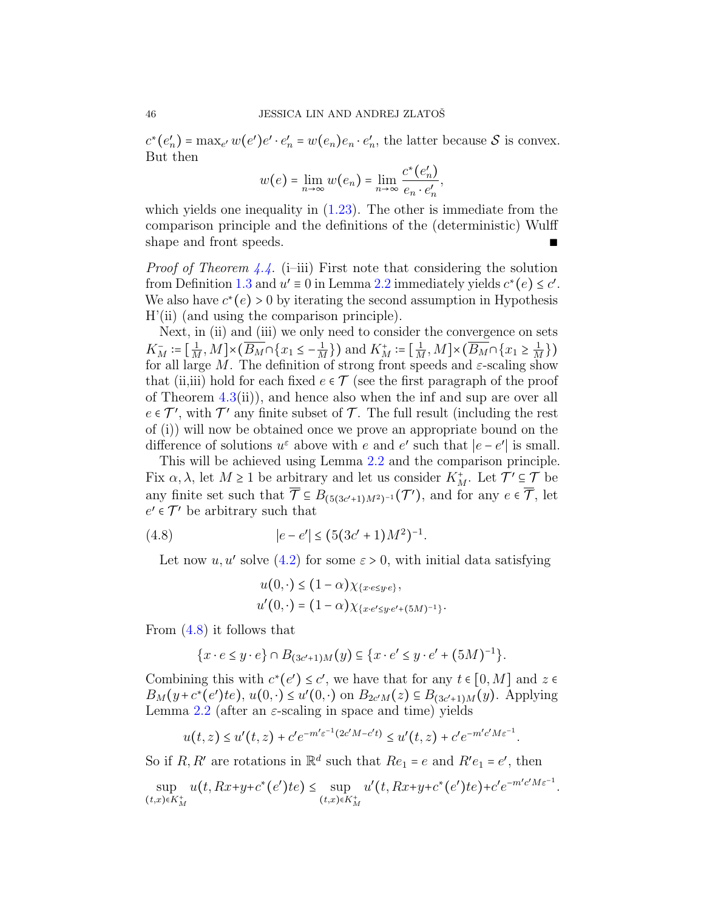$c^*(e'_n) = \max_{e'} w(e')e' \cdot e'_n = w(e_n)e_n \cdot e'_n$ , the latter because S is convex. But then

$$
w(e) = \lim_{n \to \infty} w(e_n) = \lim_{n \to \infty} \frac{c^*(e'_n)}{e_n \cdot e'_n},
$$

which yields one inequality in  $(1.23)$ . The other is immediate from the comparison principle and the definitions of the (deterministic) Wulff shape and front speeds.  $■$ 

*Proof of Theorem [4.4.](#page-43-0)* (i–iii) First note that considering the solution from Definition [1.3](#page-15-0) and  $u' \equiv 0$  in Lemma [2.2](#page-24-1) immediately yields  $c^*(e) \leq c'$ . We also have  $c^*(e) > 0$  by iterating the second assumption in Hypothesis H'(ii) (and using the comparison principle).

Next, in (ii) and (iii) we only need to consider the convergence on sets  $K_M^- := \left[\frac{1}{M}, M\right] \times \left(\overline{B_M} \cap \left\{x_1 \leq -\frac{1}{M}\right\}\right)$  and  $K_M^+ := \left[\frac{1}{M}, M\right] \times \left(\overline{B_M} \cap \left\{x_1 \geq \frac{1}{M}\right\}\right)$ for all large  $M$ . The definition of strong front speeds and  $\varepsilon$ -scaling show that (ii,iii) hold for each fixed  $e \in \mathcal{T}$  (see the first paragraph of the proof of Theorem  $4.3(ii)$  $4.3(ii)$ , and hence also when the inf and sup are over all  $e \in \mathcal{T}'$ , with  $\mathcal{T}'$  any finite subset of  $\mathcal{T}$ . The full result (including the rest of (i)) will now be obtained once we prove an appropriate bound on the difference of solutions  $u^{\varepsilon}$  above with e and e' such that  $|e - e'|$  is small.

This will be achieved using Lemma [2.2](#page-24-1) and the comparison principle. Fix  $\alpha, \lambda$ , let  $M \ge 1$  be arbitrary and let us consider  $K_M^+$ . Let  $\mathcal{T}' \subseteq \mathcal{T}$  be any finite set such that  $\overline{\mathcal{T}} \subseteq B_{(5(3c'+1)M^2)^{-1}}(\mathcal{T}'),$  and for any  $e \in \overline{\mathcal{T}},$  let  $e' \in \mathcal{T}'$  be arbitrary such that

(4.8) 
$$
|e - e'| \le (5(3c' + 1)M^2)^{-1}.
$$

Let now  $u, u'$  solve [\(4.2\)](#page-37-3) for some  $\varepsilon > 0$ , with initial data satisfying

<span id="page-45-0"></span>
$$
u(0, \cdot) \le (1 - \alpha) \chi_{\{x \cdot e \le y \cdot e\}},
$$
  
 
$$
u'(0, \cdot) = (1 - \alpha) \chi_{\{x \cdot e' \le y \cdot e' + (5M)^{-1}\}}.
$$

From [\(4.8\)](#page-45-0) it follows that

$$
\{x \cdot e \le y \cdot e\} \cap B_{(3c'+1)M}(y) \subseteq \{x \cdot e' \le y \cdot e' + (5M)^{-1}\}.
$$

Combining this with  $c^*(e') \leq c'$ , we have that for any  $t \in [0, M]$  and  $z \in$  $B_M(y+c^*(e')te), u(0, \cdot) \le u'(0, \cdot)$  on  $B_{2c'M}(z) \subseteq B_{(3c'+1)M}(y)$ . Applying Lemma [2.2](#page-24-1) (after an  $\varepsilon$ -scaling in space and time) yields

$$
u(t,z) \le u'(t,z) + c' e^{-m'\varepsilon^{-1}(2c'M - c't)} \le u'(t,z) + c' e^{-m' c'M \varepsilon^{-1}}
$$

.

.

So if R, R' are rotations in  $\mathbb{R}^d$  such that  $Re_1 = e$  and  $Re_1 = e'$ , then

$$
\sup_{(t,x)\in K_M^+} u(t, Rx+y+c^*(e')te) \le \sup_{(t,x)\in K_M^+} u'(t, Rx+y+c^*(e')te) + c'e^{-m'c'M\varepsilon^{-1}}
$$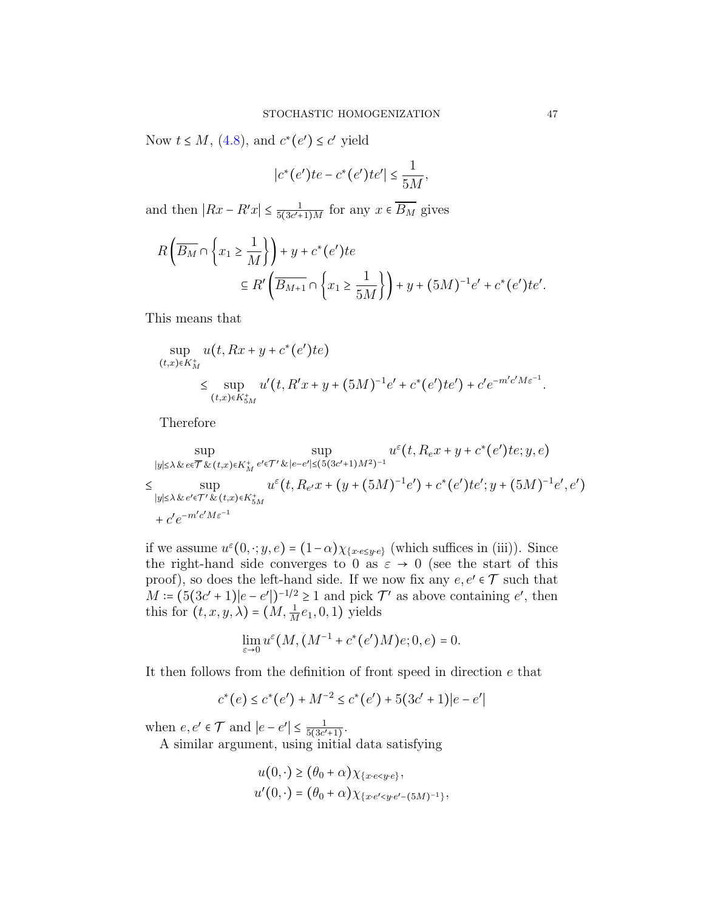Now  $t \leq M$ , [\(4.8\)](#page-45-0), and  $c^*(e') \leq c'$  yield

$$
|c^*(e')te - c^*(e')te'| \le \frac{1}{5M},
$$

and then  $|Rx - R'x| \leq \frac{1}{5(3c')^2}$  $\frac{1}{5(3c'+1)M}$  for any  $x \in B_M$  gives

$$
R\left(\overline{B_M} \cap \left\{x_1 \ge \frac{1}{M}\right\}\right) + y + c^*(e')te
$$
  
\n
$$
\subseteq R'\left(\overline{B_{M+1}} \cap \left\{x_1 \ge \frac{1}{5M}\right\}\right) + y + (5M)^{-1}e' + c^*(e')te'.
$$

This means that

$$
\sup_{(t,x)\in K_M^+} u(t, Rx + y + c^*(e')te)
$$
  
\$\leq\$ 
$$
\sup_{(t,x)\in K_{5M}^+} u'(t, R'x + y + (5M)^{-1}e' + c^*(e')te') + c'e^{-m'c'M\varepsilon^{-1}}.
$$

Therefore

$$
\sup_{|y| \leq \lambda \& e \in \overline{\mathcal{T}} \& (t,x) \in K_M^+} \sup_{e' \in \mathcal{T}' \& |e-e'| \leq (5(3c'+1)M^2)^{-1}} u^{\varepsilon}(t, R_e x + y + c^*(e')te; y, e)
$$
  
\n
$$
\leq \sup_{|y| \leq \lambda \& e' \in \mathcal{T}' \& (t,x) \in K_{5M}^+} u^{\varepsilon}(t, R_{e'} x + (y + (5M)^{-1}e') + c^*(e')te'; y + (5M)^{-1}e', e')
$$
  
\n
$$
+ c'e^{-m'c'M\varepsilon^{-1}}
$$

if we assume  $u^{\varepsilon}(0, \cdot; y, e) = (1 - \alpha) \chi_{x^{\varepsilon} \in \mathcal{L}}(y, \cdot)$  (which suffices in (iii)). Since the right-hand side converges to 0 as  $\varepsilon \to 0$  (see the start of this proof), so does the left-hand side. If we now fix any  $e, e' \in \mathcal{T}$  such that  $M = (5(3c' + 1)|e - e'|)^{-1/2} \ge 1$  and pick  $\mathcal{T}'$  as above containing e', then this for  $(t, x, y, \lambda) = (M, \frac{1}{M}e_1, 0, 1)$  yields

$$
\lim_{\varepsilon \to 0} u^{\varepsilon}(M,(M^{-1}+c^*(e')M)e;0,e) = 0.
$$

It then follows from the definition of front speed in direction  $e$  that

$$
c^*(e) \le c^*(e') + M^{-2} \le c^*(e') + 5(3c' + 1)|e - e'|
$$

when  $e, e' \in \mathcal{T}$  and  $|e - e'| \leq \frac{1}{5(3c')}$  $\frac{1}{5(3c'+1)}$ .

A similar argument, using initial data satisfying

$$
u(0, \cdot) \ge (\theta_0 + \alpha) \chi_{\{x \cdot e < y \cdot e\}},
$$
  
 
$$
u'(0, \cdot) = (\theta_0 + \alpha) \chi_{\{x \cdot e' < y \cdot e' - (5M)^{-1}\}},
$$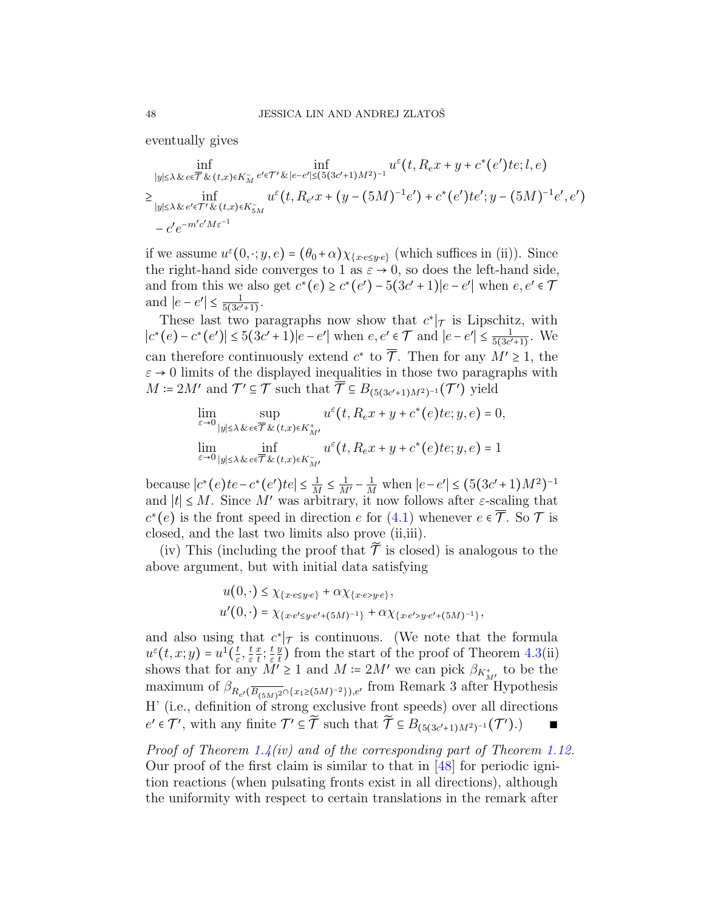eventually gives

$$
\inf_{|y| \leq \lambda \& e \in \overline{\mathcal{T}} \& (t,x) \in K_M^-} \inf_{e' \in \mathcal{T}' \& |e-e'| \leq (5(3c'+1)M^2)^{-1}} u^{\varepsilon}(t, R_e x + y + c^*(e')te; l, e)
$$
\n
$$
\geq \inf_{|y| \leq \lambda \& e' \in \mathcal{T}' \& (t,x) \in K_{5M}^-} u^{\varepsilon}(t, R_{e'} x + (y - (5M)^{-1}e') + c^*(e')te'; y - (5M)^{-1}e', e')
$$
\n
$$
- c'e^{-m'c'M\varepsilon^{-1}}
$$

if we assume  $u^{\varepsilon}(0, \cdot; y, e) = (\theta_0 + \alpha) \chi_{\{x \cdot e \leq y \cdot e\}}$  (which suffices in (ii)). Since the right-hand side converges to 1 as  $\varepsilon \to 0$ , so does the left-hand side, and from this we also get  $c^*(e) \geq c^*(e') - 5(3c' + 1)|e - e'|$  when  $e, e' \in \mathcal{T}$ and  $|e-e'|\leq \frac{1}{5(3c')}$  $\frac{1}{5(3c'+1)}$ .

These last two paragraphs now show that  $c^*$  is Lipschitz, with  $|c^*(e) - c^*(e')|$  ≤ 5(3c' + 1)|e − e'| when e, e'  $\in \mathcal{T}$  and  $|e - e'|$  ≤  $\frac{1}{5(3c')}$  $\frac{1}{5(3c'+1)}$ . We can therefore continuously extend  $c^*$  to  $\overline{\mathcal{T}}$ . Then for any  $M' \geq 1$ , the  $\varepsilon \to 0$  limits of the displayed inequalities in those two paragraphs with  $M = 2M'$  and  $\mathcal{T}' \subseteq \mathcal{T}$  such that  $\overline{\mathcal{T}} \subseteq B_{(5(3c'+1)M^2)^{-1}}(\mathcal{T}')$  yield

$$
\lim_{\varepsilon \to 0} \sup_{|y| \le \lambda \& e \in \overline{\mathcal{T}} \& (t,x) \in K_M^+} u^{\varepsilon}(t, R_e x + y + c^*(e) t e; y, e) = 0,
$$
\n
$$
\lim_{\varepsilon \to 0} \inf_{|y| \le \lambda \& e \in \overline{\mathcal{T}} \& (t,x) \in K_M^-} u^{\varepsilon}(t, R_e x + y + c^*(e) t e; y, e) = 1
$$

because  $|c^*(e)te - c^*(e')te| \le \frac{1}{M} \le \frac{1}{M'} - \frac{1}{M}$  when  $|e - e'| \le (5(3c' + 1)M^2)^{-1}$ and  $|t| \leq M$ . Since M' was arbitrary, it now follows after  $\varepsilon$ -scaling that  $c^*(e)$  is the front speed in direction e for [\(4.1\)](#page-37-2) whenever  $e \in \overline{\mathcal{T}}$ . So  $\mathcal{T}$  is closed, and the last two limits also prove (ii,iii).

(iv) This (including the proof that  $\widetilde{T}$  is closed) is analogous to the above argument, but with initial data satisfying

$$
u(0, \cdot) \leq \chi_{\{x \cdot e \leq y \cdot e\}} + \alpha \chi_{\{x \cdot e > y \cdot e\}},
$$
  

$$
u'(0, \cdot) = \chi_{\{x \cdot e' \leq y \cdot e' + (5M)^{-1}\}} + \alpha \chi_{\{x \cdot e' > y \cdot e' + (5M)^{-1}\}},
$$

and also using that  $c^*\vert_{\mathcal{T}}$  is continuous. (We note that the formula  $u^{\varepsilon}(t,x;y)=u^1(\frac{t}{\varepsilon})$  $\frac{t}{\varepsilon},\frac{t}{\varepsilon}$ ε  $\overline{x}$  $\frac{x}{t}$ ;  $\frac{t}{\varepsilon}$ ε  $\overline{y}$  $\frac{y}{t}$ ) from the start of the proof of Theorem [4.3\(](#page-40-0)ii) shows that for any  $M' \ge 1$  and  $M \coloneqq 2M'$  we can pick  $\beta_{K_{M'}}$  to be the maximum of  $\beta_{R_{e'}(\overline{B_{(5M)^2}} \cap {\{x_1 \ge (5M)^{-2}\}}),e'}$  from Remark 3 after Hypothesis H' (i.e., definition of strong exclusive front speeds) over all directions  $e' \in \mathcal{T}'$ , with any finite  $\mathcal{T}' \subseteq \widetilde{\mathcal{T}}$  such that  $\widetilde{\mathcal{T}} \subseteq B_{(5(3c'+1)M^2)^{-1}}(\mathcal{T}').$ 

*Proof of Theorem [1.4\(](#page-17-0)iv) and of the corresponding part of Theorem [1.12.](#page-22-0)* Our proof of the first claim is similar to that in [\[48\]](#page-63-5) for periodic ignition reactions (when pulsating fronts exist in all directions), although the uniformity with respect to certain translations in the remark after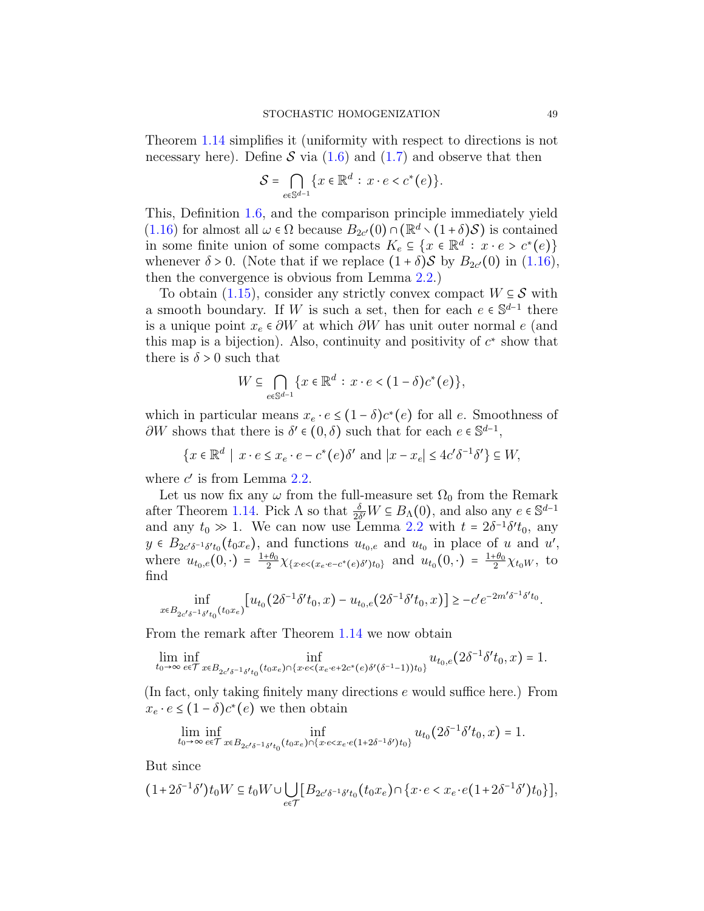Theorem [1.14](#page-23-0) simplifies it (uniformity with respect to directions is not necessary here). Define  $S$  via [\(1.6\)](#page-5-0) and [\(1.7\)](#page-6-1) and observe that then

$$
\mathcal{S} = \bigcap_{e \in \mathbb{S}^{d-1}} \{x \in \mathbb{R}^d : x \cdot e < c^*(e) \}.
$$

This, Definition [1.6,](#page-18-0) and the comparison principle immediately yield [\(1.16\)](#page-14-3) for almost all  $\omega \in \Omega$  because  $B_{2c'}(0) \cap (\mathbb{R}^d \setminus (1+\delta)\mathcal{S})$  is contained in some finite union of some compacts  $K_e \subseteq \{x \in \mathbb{R}^d : x \cdot e > c^*(e)\}$ whenever  $\delta > 0$ . (Note that if we replace  $(1 + \delta)$ S by  $B_{2c'}(0)$  in  $(1.16)$ , then the convergence is obvious from Lemma [2.2.](#page-24-1))

To obtain  $(1.15)$ , consider any strictly convex compact  $W \subseteq S$  with a smooth boundary. If W is such a set, then for each  $e \in \mathbb{S}^{d-1}$  there is a unique point  $x_e \in \partial W$  at which  $\partial W$  has unit outer normal e (and this map is a bijection). Also, continuity and positivity of  $c^*$  show that there is  $\delta > 0$  such that

$$
W \subseteq \bigcap_{e \in \mathbb{S}^{d-1}} \{x \in \mathbb{R}^d : x \cdot e < (1 - \delta)c^*(e) \},
$$

which in particular means  $x_e \cdot e \leq (1 - \delta)c^*(e)$  for all e. Smoothness of  $\partial W$  shows that there is  $\delta' \in (0, \delta)$  such that for each  $e \in \mathbb{S}^{d-1}$ ,

$$
\{x \in \mathbb{R}^d \mid x \cdot e \le x_e \cdot e - c^*(e)\delta' \text{ and } |x - x_e| \le 4c'\delta^{-1}\delta'\} \subseteq W,
$$

where  $c'$  is from Lemma [2.2.](#page-24-1)

Let us now fix any  $\omega$  from the full-measure set  $\Omega_0$  from the Remark after Theorem [1.14.](#page-23-0) Pick  $\Lambda$  so that  $\frac{\delta}{2\delta'}W \subseteq B_\Lambda(0)$ , and also any  $e \in \mathbb{S}^{d-1}$ and any  $t_0 \gg 1$ . We can now use Lemma [2.2](#page-24-1) with  $t = 2\delta^{-1}\delta' t_0$ , any  $y \in B_{2c'\delta^{-1}\delta't_0}(t_0x_e)$ , and functions  $u_{t_0,e}$  and  $u_{t_0}$  in place of u and u', where  $u_{t_0,e}(0,\cdot) = \frac{1+\theta_0}{2}$  $\frac{\theta_0}{2} \chi_{\{x \cdot e < (x_e \cdot e - c^*(e)\delta') t_0\}}$  and  $u_{t_0}(0, \cdot) = \frac{1+\theta_0}{2}$  $\frac{e^{i\theta_0}}{2}\chi_{t_0W},$  to find

$$
\inf_{x \in B_{2c'\delta^{-1}\delta' t_0}(t_0x_e)} [u_{t_0}(2\delta^{-1}\delta' t_0, x) - u_{t_0,e}(2\delta^{-1}\delta' t_0, x)] \geq -c'e^{-2m'\delta^{-1}\delta' t_0}.
$$

From the remark after Theorem [1.14](#page-23-0) we now obtain

$$
\lim_{t_0 \rightarrow \infty} \inf_{\epsilon \in \mathcal{T}} \inf_{x \in B_{2c'\delta^{-1}\delta' t_0}(t_0x_\epsilon) \cap \{x \cdot e < (x_e \cdot e + 2c^\star(e)\delta'(\delta^{-1} - 1))t_0\}} u_{t_0,e}\big(2\delta^{-1}\delta' t_0,x\big) = 1.
$$

(In fact, only taking finitely many directions e would suffice here.) From  $x_e \cdot e \leq (1 - \delta)c^*(e)$  we then obtain

$$
\lim_{t_0 \to \infty} \inf_{e \in \mathcal{T}} \inf_{x \in B_{2c'\delta^{-1}\delta' t_0}(t_0x_e) \cap \{x \cdot e < x_e \cdot e(1+2\delta^{-1}\delta')t_0\}} u_{t_0}\big(2\delta^{-1}\delta' t_0,x\big) = 1.
$$

But since

$$
(1+2\delta^{-1}\delta')t_0W \subseteq t_0W \cup \bigcup_{e \in \mathcal{T}} [B_{2e'\delta^{-1}\delta't_0}(t_0x_e) \cap \{x \cdot e < x_e \cdot e(1+2\delta^{-1}\delta')t_0\}],
$$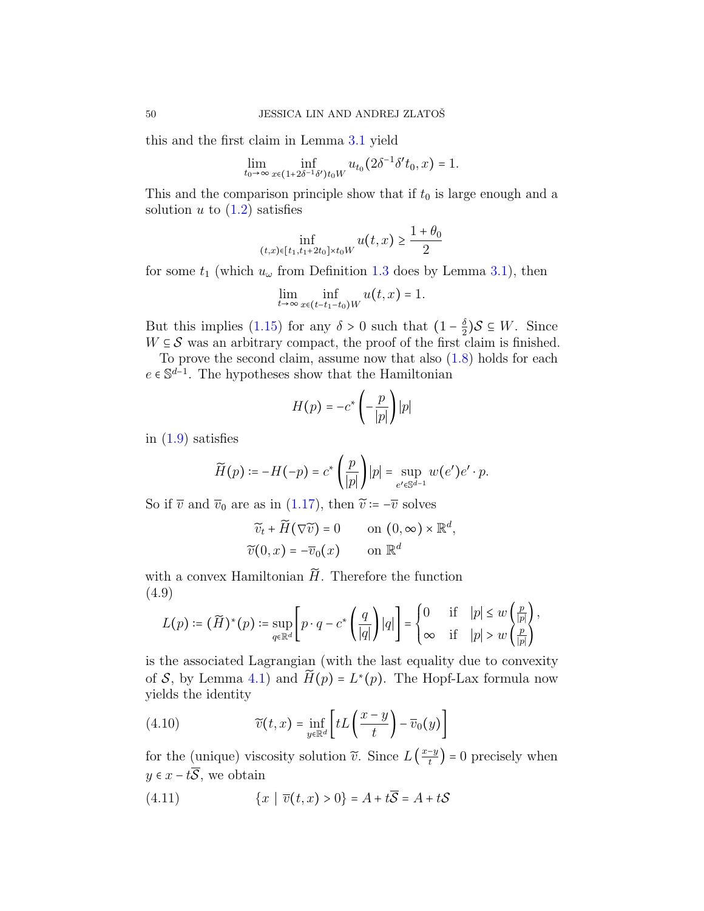this and the first claim in Lemma [3.1](#page-30-1) yield

$$
\lim_{t_0 \to \infty} \inf_{x \in (1+2\delta^{-1}\delta')t_0W} u_{t_0}(2\delta^{-1}\delta' t_0, x) = 1.
$$

This and the comparison principle show that if  $t_0$  is large enough and a solution u to  $(1.2)$  satisfies

$$
\inf_{(t,x)\in[t_1,t_1+2t_0]\times t_0W} u(t,x) \ge \frac{1+\theta_0}{2}
$$

for some  $t_1$  (which  $u_\omega$  from Definition [1.3](#page-15-0) does by Lemma [3.1\)](#page-30-1), then

$$
\lim_{t\to\infty}\inf_{x\in(t-t_1-t_0)W}u(t,x)=1.
$$

But this implies [\(1.15\)](#page-14-2) for any  $\delta > 0$  such that  $(1 - \frac{\delta}{2})$  $\frac{\delta}{2}$ )S  $\subseteq$  W. Since  $W \subseteq \mathcal{S}$  was an arbitrary compact, the proof of the first claim is finished.

To prove the second claim, assume now that also  $(1.8)$  holds for each  $e \in \mathbb{S}^{d-1}$ . The hypotheses show that the Hamiltonian

$$
H(p) = -c^* \left( -\frac{p}{|p|} \right) |p|
$$

in  $(1.9)$  satisfies

$$
\widetilde{H}(p) \coloneqq -H(-p) = c^* \left( \frac{p}{|p|} \right) |p| = \sup_{e' \in \mathbb{S}^{d-1}} w(e') e' \cdot p.
$$

So if  $\overline{v}$  and  $\overline{v}_0$  are as in [\(1.17\)](#page-16-0), then  $\widetilde{v} := -\overline{v}$  solves

$$
\widetilde{v}_t + \widetilde{H}(\nabla \widetilde{v}) = 0 \qquad \text{on } (0, \infty) \times \mathbb{R}^d,
$$
  

$$
\widetilde{v}(0, x) = -\overline{v}_0(x) \qquad \text{on } \mathbb{R}^d
$$

with a convex Hamiltonian  $\widetilde{H}$ . Therefore the function (4.9)

$$
L(p) \coloneqq (\widetilde{H})^*(p) \coloneqq \sup_{q \in \mathbb{R}^d} \left[ p \cdot q - c^* \left( \frac{q}{|q|} \right) |q| \right] = \begin{cases} 0 & \text{if} \quad |p| \leq w \left( \frac{p}{|p|} \right), \\ \infty & \text{if} \quad |p| > w \left( \frac{p}{|p|} \right). \end{cases}
$$

is the associated Lagrangian (with the last equality due to convexity of S, by Lemma [4.1\)](#page-39-1) and  $\widetilde{H}(p) = L^*(p)$ . The Hopf-Lax formula now yields the identity

(4.10) 
$$
\widetilde{v}(t,x) = \inf_{y \in \mathbb{R}^d} \left[ tL\left(\frac{x-y}{t}\right) - \overline{v}_0(y) \right]
$$

for the (unique) viscosity solution  $\tilde{v}$ . Since  $L\left(\frac{x-y}{t}\right)$  $\left(\frac{-y}{t}\right) = 0$  precisely when  $y \in x - t\overline{S}$ , we obtain

(4.11) 
$$
\{x \mid \overline{v}(t,x) > 0\} = A + t\overline{S} = A + tS
$$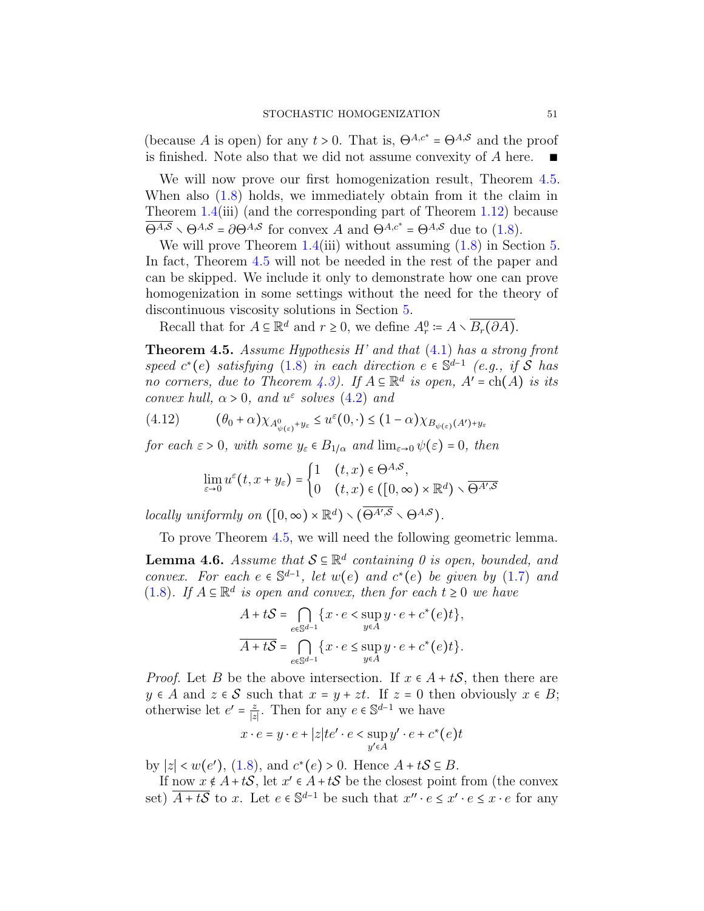(because A is open) for any  $t > 0$ . That is,  $\Theta^{A,c^*} = \Theta^{A,\mathcal{S}}$  and the proof is finished. Note also that we did not assume convexity of  $A$  here.

We will now prove our first homogenization result, Theorem  $4.5$ . When also [\(1.8\)](#page-6-0) holds, we immediately obtain from it the claim in Theorem  $1.4(iii)$  $1.4(iii)$  (and the corresponding part of Theorem [1.12\)](#page-22-0) because  $\overline{\Theta^{A,S}} \setminus \Theta^{A,S} = \partial \Theta^{A,S}$  for convex A and  $\Theta^{A,c^*} = \Theta^{A,S}$  due to [\(1.8\)](#page-6-0).

We will prove Theorem [1.4\(](#page-17-0)iii) without assuming  $(1.8)$  in Section [5.](#page-52-0) In fact, Theorem [4.5](#page-50-0) will not be needed in the rest of the paper and can be skipped. We include it only to demonstrate how one can prove homogenization in some settings without the need for the theory of discontinuous viscosity solutions in Section [5.](#page-52-0)

Recall that for  $A \subseteq \mathbb{R}^d$  and  $r \ge 0$ , we define  $A_r^0 := A \setminus \overline{B_r(\partial A)}$ .

<span id="page-50-0"></span>**Theorem 4.5.** Assume Hypothesis H' and that  $(4.1)$  has a strong front speed  $c^*(e)$  satisfying  $(1.8)$  in each direction  $e \in \mathbb{S}^{d-1}$  (e.g., if S has no corners, due to Theorem [4.3\)](#page-40-0). If  $A \subseteq \mathbb{R}^d$  is open,  $A' = ch(A)$  is its convex hull,  $\alpha > 0$ , and  $u^{\varepsilon}$  solves [\(4.2\)](#page-37-3) and

$$
(4.12) \qquad (\theta_0 + \alpha) \chi_{A^0_{\psi(\varepsilon)} + y_{\varepsilon}} \le u^{\varepsilon}(0, \cdot) \le (1 - \alpha) \chi_{B_{\psi(\varepsilon)}(A') + y_{\varepsilon}}
$$

for each  $\varepsilon > 0$ , with some  $y_{\varepsilon} \in B_{1/\alpha}$  and  $\lim_{\varepsilon \to 0} \psi(\varepsilon) = 0$ , then

<span id="page-50-1"></span>
$$
\lim_{\varepsilon \to 0} u^{\varepsilon}(t, x + y_{\varepsilon}) = \begin{cases} 1 & (t, x) \in \Theta^{A, \mathcal{S}}, \\ 0 & (t, x) \in ([0, \infty) \times \mathbb{R}^d) \setminus \overline{\Theta^{A', \mathcal{S}}}\end{cases}
$$

locally uniformly on  $([0, \infty) \times \mathbb{R}^d) \setminus (\overline{\Theta^{A', S}} \setminus \Theta^{A, S}).$ 

To prove Theorem [4.5,](#page-50-0) we will need the following geometric lemma.

<span id="page-50-2"></span>**Lemma 4.6.** Assume that  $S \subseteq \mathbb{R}^d$  containing 0 is open, bounded, and convex. For each  $e \in \mathbb{S}^{d-1}$ , let  $w(e)$  and  $c^*(e)$  be given by [\(1.7\)](#page-6-1) and [\(1.8\)](#page-6-0). If  $A \subseteq \mathbb{R}^d$  is open and convex, then for each  $t \geq 0$  we have

$$
A + tS = \bigcap_{e \in \mathbb{S}^{d-1}} \{x \cdot e < \sup_{y \in A} y \cdot e + c^*(e)t\},\newline\n\overline{A + tS} = \bigcap_{e \in \mathbb{S}^{d-1}} \{x \cdot e \leq \sup_{y \in A} y \cdot e + c^*(e)t\}.
$$

*Proof.* Let B be the above intersection. If  $x \in A + tS$ , then there are  $y \in A$  and  $z \in S$  such that  $x = y + zt$ . If  $z = 0$  then obviously  $x \in B$ ; otherwise let  $e' = \frac{z}{|z|}$  $\frac{z}{|z|}$ . Then for any  $e \in \mathbb{S}^{d-1}$  we have

$$
x \cdot e = y \cdot e + |z|te' \cdot e < \sup_{y' \in A} y' \cdot e + c^*(e)t
$$

by  $|z| < w(e')$ , [\(1.8\)](#page-6-0), and  $c^*(e) > 0$ . Hence  $A + tS \subseteq B$ .

If now  $x \notin A + tS$ , let  $x' \in A + tS$  be the closest point from (the convex set)  $\overline{A+t\mathcal{S}}$  to x. Let  $e \in \mathbb{S}^{d-1}$  be such that  $x'' \cdot e \leq x' \cdot e \leq x \cdot e$  for any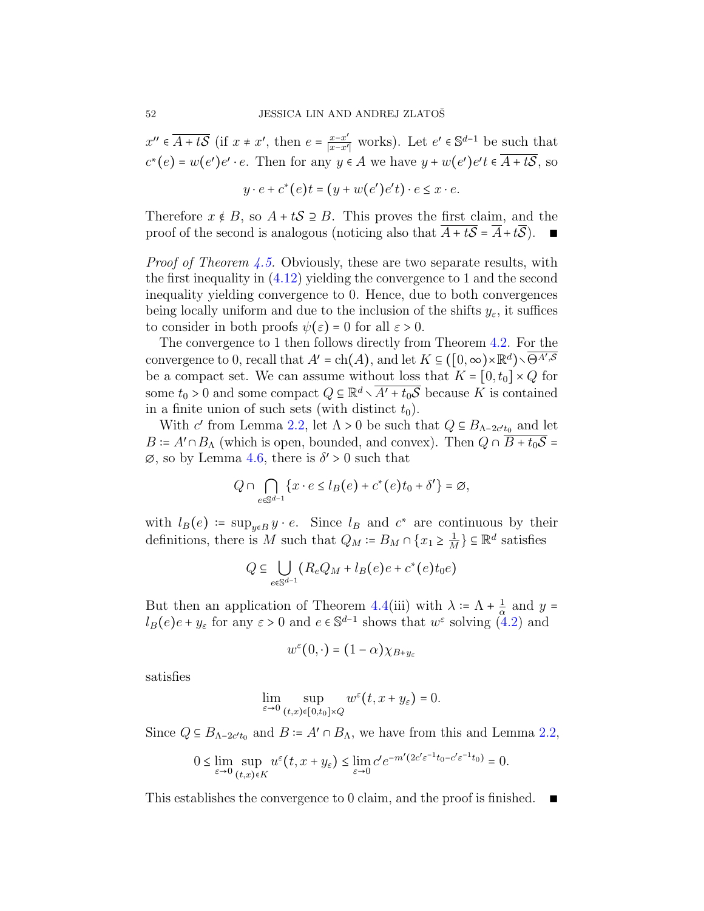$x'' \in \overline{A+tS}$  (if  $x \neq x'$ , then  $e = \frac{x-x'}{|x-x'|}$  $\frac{x-x'}{|x-x'|}$  works). Let  $e' \in \mathbb{S}^{d-1}$  be such that  $c^*(e) = w(e')e' \cdot e$ . Then for any  $y \in A$  we have  $y + w(e')e' \in \overline{A+tS}$ , so

$$
y \cdot e + c^*(e)t = (y + w(e')e't) \cdot e \le x \cdot e.
$$

Therefore  $x \notin B$ , so  $A + tS \supseteq B$ . This proves the first claim, and the proof of the second is analogous (noticing also that  $A + tS = A + tS$ ). ■

*Proof of Theorem [4.5.](#page-50-0)* Obviously, these are two separate results, with the first inequality in [\(4.12\)](#page-50-1) yielding the convergence to 1 and the second inequality yielding convergence to 0. Hence, due to both convergences being locally uniform and due to the inclusion of the shifts  $y_{\varepsilon}$ , it suffices to consider in both proofs  $\psi(\varepsilon) = 0$  for all  $\varepsilon > 0$ .

The convergence to 1 then follows directly from Theorem [4.2.](#page-39-2) For the convergence to 0, recall that  $A' = ch(A)$ , and let  $K \subseteq ([0, \infty) \times \mathbb{R}^d) \setminus \overline{\Theta^{A', S}}$ be a compact set. We can assume without loss that  $K = [0, t_0] \times Q$  for some  $t_0 > 0$  and some compact  $Q \subseteq \mathbb{R}^d \setminus \overline{A' + t_0 \mathcal{S}}$  because K is contained in a finite union of such sets (with distinct  $t_0$ ).

With c' from Lemma [2.2,](#page-24-1) let  $\Lambda > 0$  be such that  $Q \subseteq B_{\Lambda - 2c't_0}$  and let  $B = A' \cap B_\Lambda$  (which is open, bounded, and convex). Then  $Q \cap \overline{B + t_0 \mathcal{S}} =$  $\varnothing$ , so by Lemma [4.6,](#page-50-2) there is  $\delta' > 0$  such that

$$
Q \cap \bigcap_{e \in \mathbb{S}^{d-1}} \{x \cdot e \le l_B(e) + c^*(e)t_0 + \delta' \} = \emptyset,
$$

with  $l_B(e) \coloneqq \sup_{y \in B} y \cdot e$ . Since  $l_B$  and  $c^*$  are continuous by their definitions, there is M such that  $Q_M = B_M \cap \{x_1 \geq \frac{1}{M}\}\subseteq \mathbb{R}^d$  satisfies

$$
Q \subseteq \bigcup_{e \in \mathbb{S}^{d-1}} (R_e Q_M + l_B(e)e + c^*(e)t_0e)
$$

But then an application of Theorem [4.4\(](#page-43-0)iii) with  $\lambda = \Lambda + \frac{1}{\alpha}$  $rac{1}{\alpha}$  and  $y =$  $l_B(e)e + y_\varepsilon$  for any  $\varepsilon > 0$  and  $e \in \mathbb{S}^{d-1}$  shows that  $w^\varepsilon$  solving  $(4.2)$  and

$$
w^{\varepsilon}(0,\cdot)=(1-\alpha)\chi_{B+y_{\varepsilon}}
$$

satisfies

$$
\lim_{\varepsilon \to 0} \sup_{(t,x)\in [0,t_0]\times Q} w^{\varepsilon}(t, x+y_{\varepsilon}) = 0.
$$

Since  $Q \subseteq B_{\Lambda-2c't_0}$  and  $B := A' \cap B_{\Lambda}$ , we have from this and Lemma [2.2,](#page-24-1)

$$
0 \le \lim_{\varepsilon \to 0} \sup_{(t,x)\in K} u^{\varepsilon}(t, x+y_{\varepsilon}) \le \lim_{\varepsilon \to 0} c' e^{-m'(2c'\varepsilon^{-1}t_0 - c'\varepsilon^{-1}t_0)} = 0.
$$

This establishes the convergence to 0 claim, and the proof is finished. ■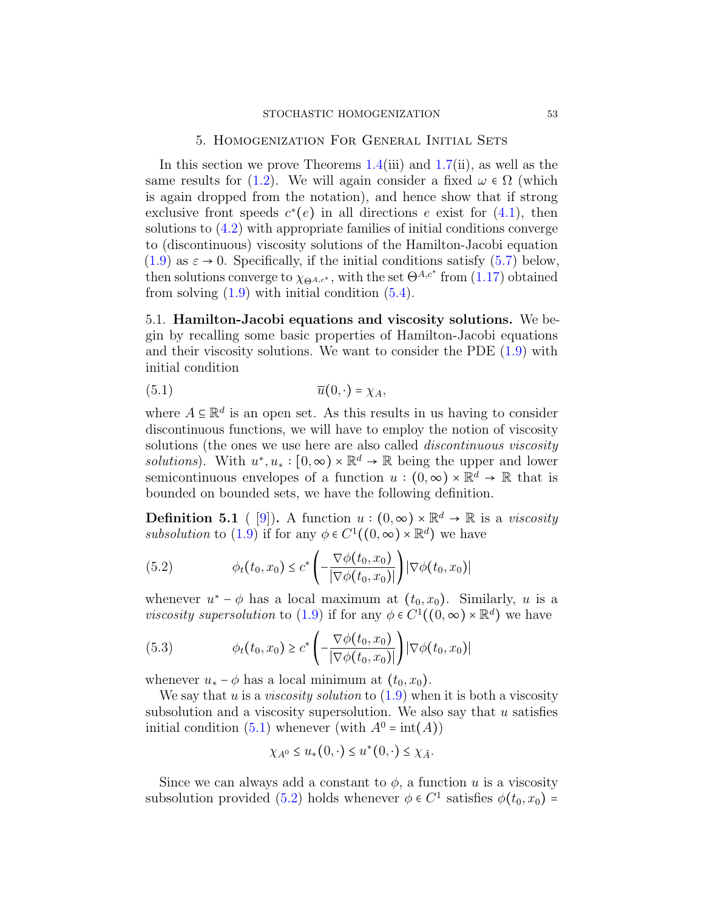#### 5. Homogenization For General Initial Sets

<span id="page-52-0"></span>In this section we prove Theorems  $1.4(iii)$  $1.4(iii)$  and  $1.7(ii)$  $1.7(ii)$ , as well as the same results for [\(1.2\)](#page-1-1). We will again consider a fixed  $\omega \in \Omega$  (which is again dropped from the notation), and hence show that if strong exclusive front speeds  $c^*(e)$  in all directions e exist for  $(4.1)$ , then solutions to [\(4.2\)](#page-37-3) with appropriate families of initial conditions converge to (discontinuous) viscosity solutions of the Hamilton-Jacobi equation  $(1.9)$  as  $\varepsilon \to 0$ . Specifically, if the initial conditions satisfy  $(5.7)$  below, then solutions converge to  $\chi_{\Theta^{A,c^*}}$ , with the set  $\Theta^{A,c^*}$  from  $(1.17)$  obtained from solving  $(1.9)$  with initial condition  $(5.4)$ .

5.1. Hamilton-Jacobi equations and viscosity solutions. We begin by recalling some basic properties of Hamilton-Jacobi equations and their viscosity solutions. We want to consider the PDE [\(1.9\)](#page-8-0) with initial condition

<span id="page-52-1"></span>
$$
\overline{u}(0,\cdot) = \chi_A,
$$

where  $A \subseteq \mathbb{R}^d$  is an open set. As this results in us having to consider discontinuous functions, we will have to employ the notion of viscosity solutions (the ones we use here are also called *discontinuous viscosity solutions*). With  $u^*, u_* : [0, \infty) \times \mathbb{R}^d \to \mathbb{R}$  being the upper and lower semicontinuous envelopes of a function  $u:(0,\infty)\times\mathbb{R}^d\to\mathbb{R}$  that is bounded on bounded sets, we have the following definition.

<span id="page-52-4"></span>**Definition 5.1** ( [\[9\]](#page-61-12)). A function  $u:(0,\infty)\times\mathbb{R}^d\to\mathbb{R}$  is a *viscosity* subsolution to [\(1.9\)](#page-8-0) if for any  $\phi \in C^1((0,\infty) \times \mathbb{R}^d)$  we have

<span id="page-52-2"></span>(5.2) 
$$
\phi_t(t_0, x_0) \leq c^* \left( -\frac{\nabla \phi(t_0, x_0)}{|\nabla \phi(t_0, x_0)|} \right) |\nabla \phi(t_0, x_0)|
$$

whenever  $u^* - \phi$  has a local maximum at  $(t_0, x_0)$ . Similarly, u is a *viscosity supersolution* to [\(1.9\)](#page-8-0) if for any  $\phi \in C^1((0,\infty) \times \mathbb{R}^d)$  we have

<span id="page-52-3"></span>(5.3) 
$$
\phi_t(t_0, x_0) \geq c^* \left( -\frac{\nabla \phi(t_0, x_0)}{|\nabla \phi(t_0, x_0)|} \right) |\nabla \phi(t_0, x_0)|
$$

whenever  $u_* - \phi$  has a local minimum at  $(t_0, x_0)$ .

We say that u is a *viscosity solution* to  $(1.9)$  when it is both a viscosity subsolution and a viscosity supersolution. We also say that  $u$  satisfies initial condition  $(5.1)$  whenever (with  $A^0 = \text{int}(A)$ )

$$
\chi_{A^0} \le u_*(0,\cdot) \le u^*(0,\cdot) \le \chi_{\bar{A}}.
$$

Since we can always add a constant to  $\phi$ , a function u is a viscosity subsolution provided [\(5.2\)](#page-52-2) holds whenever  $\phi \in C^1$  satisfies  $\phi(t_0, x_0)$  =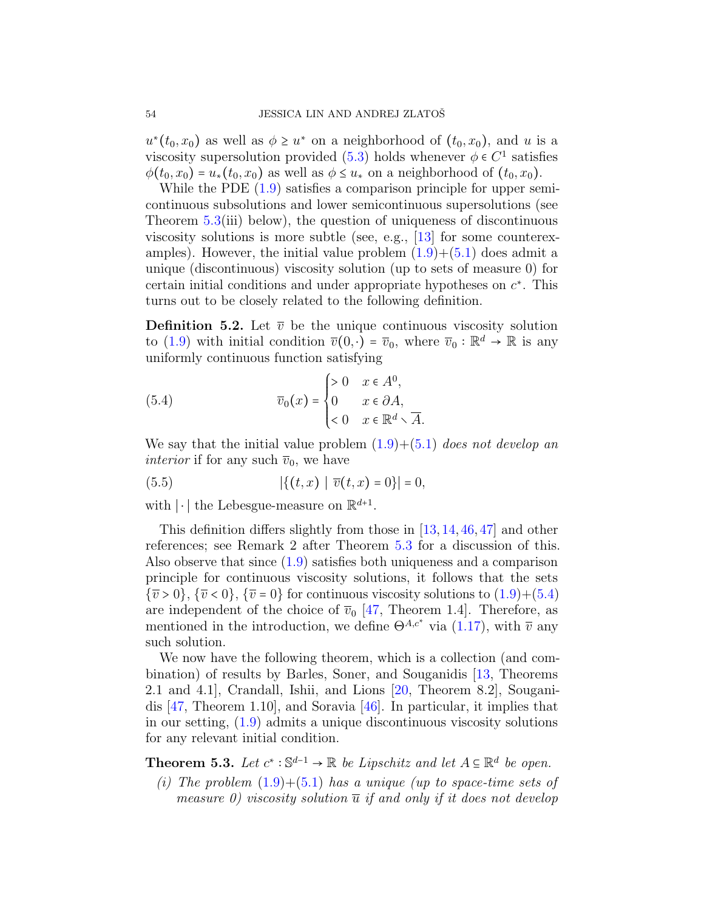$u^*(t_0, x_0)$  as well as  $\phi \geq u^*$  on a neighborhood of  $(t_0, x_0)$ , and u is a viscosity supersolution provided [\(5.3\)](#page-52-3) holds whenever  $\phi \in C^1$  satisfies  $\phi(t_0, x_0) = u_*(t_0, x_0)$  as well as  $\phi \leq u_*$  on a neighborhood of  $(t_0, x_0)$ .

While the PDE  $(1.9)$  satisfies a comparison principle for upper semicontinuous subsolutions and lower semicontinuous supersolutions (see Theorem  $5.3(iii)$  $5.3(iii)$  below), the question of uniqueness of discontinuous viscosity solutions is more subtle (see, e.g., [\[13\]](#page-61-4) for some counterexamples). However, the initial value problem  $(1.9)+(5.1)$  $(1.9)+(5.1)$  $(1.9)+(5.1)$  does admit a unique (discontinuous) viscosity solution (up to sets of measure 0) for certain initial conditions and under appropriate hypotheses on  $c^*$ . This turns out to be closely related to the following definition.

<span id="page-53-3"></span>**Definition 5.2.** Let  $\overline{v}$  be the unique continuous viscosity solution to [\(1.9\)](#page-8-0) with initial condition  $\overline{v}(0, \cdot) = \overline{v}_0$ , where  $\overline{v}_0 : \mathbb{R}^d \to \mathbb{R}$  is any uniformly continuous function satisfying

<span id="page-53-0"></span>(5.4) 
$$
\overline{v}_0(x) = \begin{cases} > 0 & x \in A^0, \\ 0 & x \in \partial A, \\ < 0 & x \in \mathbb{R}^d \setminus \overline{A}. \end{cases}
$$

We say that the initial value problem  $(1.9)+(5.1)$  $(1.9)+(5.1)$  $(1.9)+(5.1)$  does not develop an *interior* if for any such  $\overline{v}_0$ , we have

<span id="page-53-2"></span>(5.5) 
$$
|\{(t,x) | \overline{v}(t,x) = 0\}| = 0,
$$

with  $|\cdot|$  the Lebesgue-measure on  $\mathbb{R}^{d+1}$ .

This definition differs slightly from those in [\[13,](#page-61-4) [14,](#page-61-2) [46,](#page-63-7) [47\]](#page-63-14) and other references; see Remark 2 after Theorem [5.3](#page-53-1) for a discussion of this. Also observe that since  $(1.9)$  satisfies both uniqueness and a comparison principle for continuous viscosity solutions, it follows that the sets  ${\overline{v} > 0}$ ,  ${\overline{v} < 0}$ ,  ${\overline{v} = 0}$  for continuous viscosity solutions to  $(1.9) + (5.4)$  $(1.9) + (5.4)$  $(1.9) + (5.4)$ are independent of the choice of  $\overline{v}_0$  [\[47,](#page-63-14) Theorem 1.4]. Therefore, as mentioned in the introduction, we define  $\Theta^{A,c^*}$  via [\(1.17\)](#page-16-0), with  $\overline{v}$  any such solution.

We now have the following theorem, which is a collection (and combination) of results by Barles, Soner, and Souganidis [\[13,](#page-61-4) Theorems 2.1 and 4.1], Crandall, Ishii, and Lions [\[20,](#page-61-13) Theorem 8.2], Souganidis [\[47,](#page-63-14) Theorem 1.10], and Soravia [\[46\]](#page-63-7). In particular, it implies that in our setting, [\(1.9\)](#page-8-0) admits a unique discontinuous viscosity solutions for any relevant initial condition.

<span id="page-53-1"></span>**Theorem 5.3.** Let  $c^* : \mathbb{S}^{d-1} \to \mathbb{R}$  be Lipschitz and let  $A \subseteq \mathbb{R}^d$  be open.

(i) The problem  $(1.9) + (5.1)$  $(1.9) + (5.1)$  $(1.9) + (5.1)$  has a unique (up to space-time sets of measure 0) viscosity solution  $\overline{u}$  if and only if it does not develop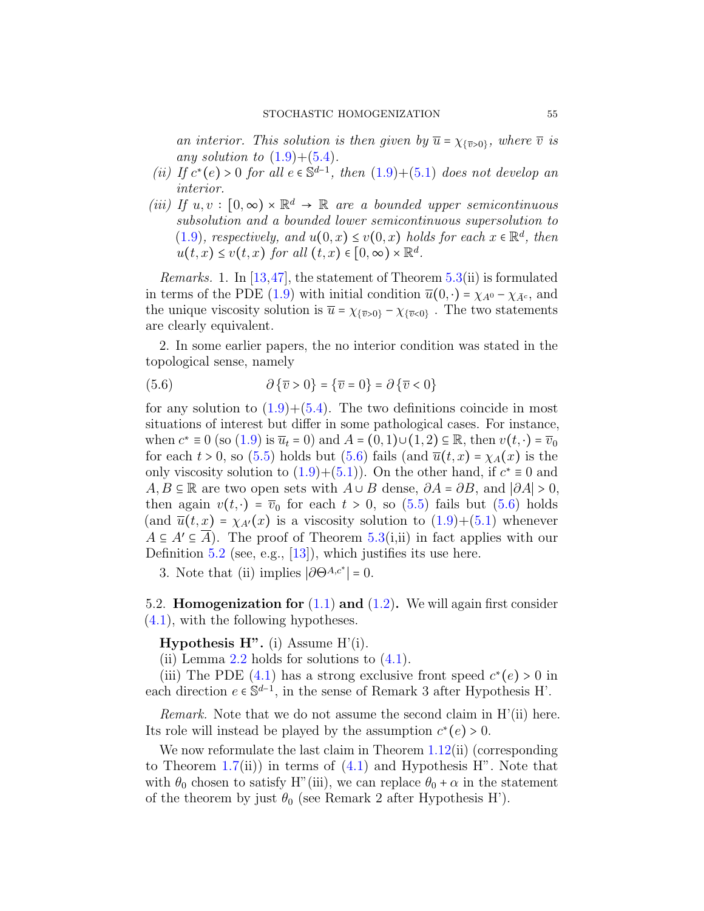an interior. This solution is then given by  $\overline{u} = \chi_{\{\overline{v} > 0\}}$ , where  $\overline{v}$  is any solution to  $(1.9)+(5.4)$  $(1.9)+(5.4)$  $(1.9)+(5.4)$ .

- (ii) If  $c^*(e) > 0$  for all  $e \in \mathbb{S}^{d-1}$ , then  $(1.9)+(5.1)$  $(1.9)+(5.1)$  $(1.9)+(5.1)$  does not develop an interior.
- (iii) If  $u, v : [0, \infty) \times \mathbb{R}^d \to \mathbb{R}$  are a bounded upper semicontinuous subsolution and a bounded lower semicontinuous supersolution to [\(1.9\)](#page-8-0), respectively, and  $u(0, x) \le v(0, x)$  holds for each  $x \in \mathbb{R}^d$ , then  $u(t,x) \le v(t,x)$  for all  $(t,x) \in [0,\infty) \times \mathbb{R}^d$ .

*Remarks.* 1. In [\[13,](#page-61-4)[47\]](#page-63-14), the statement of Theorem  $5.3$ (ii) is formulated in terms of the PDE [\(1.9\)](#page-8-0) with initial condition  $\overline{u}(0, \cdot) = \chi_{A^0} - \chi_{\overline{A}^c}$ , and the unique viscosity solution is  $\overline{u} = \chi_{\{\overline{v} > 0\}} - \chi_{\{\overline{v} < 0\}}$ . The two statements are clearly equivalent.

2. In some earlier papers, the no interior condition was stated in the topological sense, namely

<span id="page-54-0"></span>(5.6) 
$$
\partial \{\overline{v} > 0\} = \{\overline{v} = 0\} = \partial \{\overline{v} < 0\}
$$

for any solution to  $(1.9)+(5.4)$  $(1.9)+(5.4)$  $(1.9)+(5.4)$ . The two definitions coincide in most situations of interest but differ in some pathological cases. For instance, when  $c^* \equiv 0$  (so [\(1.9\)](#page-8-0) is  $\overline{u}_t = 0$ ) and  $A = (0, 1) \cup (1, 2) \subseteq \mathbb{R}$ , then  $v(t, \cdot) = \overline{v}_0$ for each  $t > 0$ , so [\(5.5\)](#page-53-2) holds but [\(5.6\)](#page-54-0) fails (and  $\overline{u}(t, x) = \chi_A(x)$  is the only viscosity solution to  $(1.9)+(5.1)$  $(1.9)+(5.1)$  $(1.9)+(5.1)$ ). On the other hand, if  $c^* \equiv 0$  and  $A, B \subseteq \mathbb{R}$  are two open sets with  $A \cup B$  dense,  $\partial A = \partial B$ , and  $|\partial A| > 0$ , then again  $v(t, \cdot) = \overline{v}_0$  for each  $t > 0$ , so [\(5.5\)](#page-53-2) fails but [\(5.6\)](#page-54-0) holds (and  $\overline{u}(t, x) = \chi_{A'}(x)$  is a viscosity solution to  $(1.9) + (5.1)$  $(1.9) + (5.1)$  $(1.9) + (5.1)$  whenever  $A \subseteq A' \subseteq A$ ). The proof of Theorem [5.3\(](#page-53-1)i,ii) in fact applies with our Definition [5.2](#page-53-3) (see, e.g.,  $[13]$ ), which justifies its use here.

3. Note that (ii) implies  $|\partial \Theta^{A,c^*}| = 0$ .

5.2. **Homogenization for**  $(1.1)$  and  $(1.2)$ . We will again first consider [\(4.1\)](#page-37-2), with the following hypotheses.

**Hypothesis H".** (i) Assume  $H'(i)$ .

(ii) Lemma [2.2](#page-24-1) holds for solutions to  $(4.1)$ .

(iii) The PDE [\(4.1\)](#page-37-2) has a strong exclusive front speed  $c^*(e) > 0$  in each direction  $e \in \mathbb{S}^{d-1}$ , in the sense of Remark 3 after Hypothesis H'.

*Remark.* Note that we do not assume the second claim in  $H'(ii)$  here. Its role will instead be played by the assumption  $c^*(e) > 0$ .

We now reformulate the last claim in Theorem [1.12\(](#page-22-0)ii) (corresponding to Theorem  $1.7(ii)$  $1.7(ii)$  in terms of  $(4.1)$  and Hypothesis H". Note that with  $\theta_0$  chosen to satisfy H"(iii), we can replace  $\theta_0 + \alpha$  in the statement of the theorem by just  $\theta_0$  (see Remark 2 after Hypothesis H').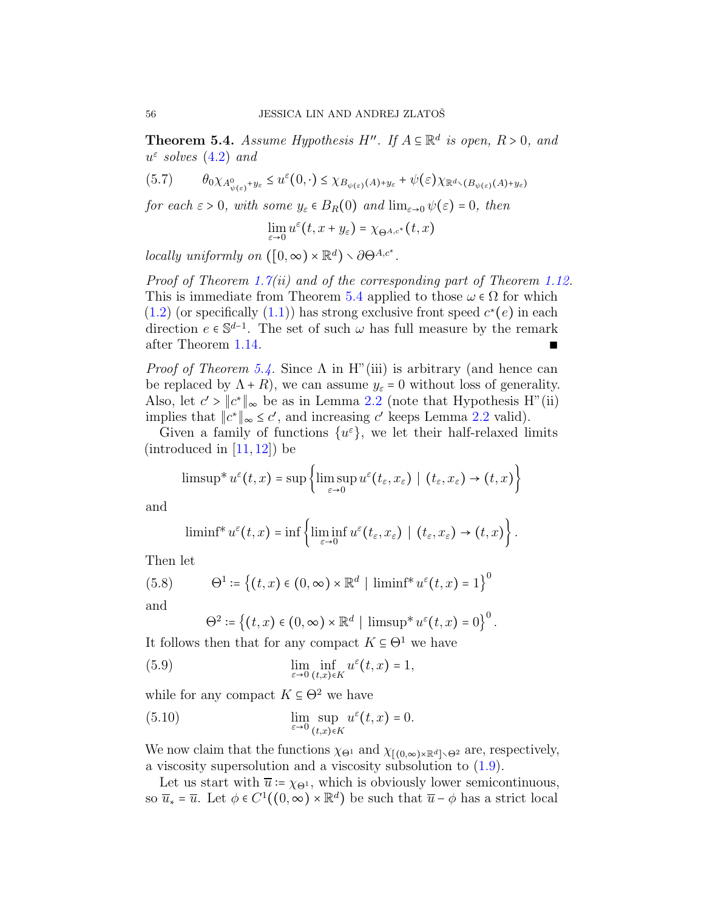<span id="page-55-1"></span>**Theorem 5.4.** Assume Hypothesis H''. If  $A \subseteq \mathbb{R}^d$  is open,  $R > 0$ , and  $u^{\varepsilon}$  solves  $(4.2)$  and

<span id="page-55-0"></span>
$$
(5.7) \qquad \theta_0 \chi_{A^0_{\psi(\varepsilon)} + y_{\varepsilon}} \le u^{\varepsilon}(0, \cdot) \le \chi_{B_{\psi(\varepsilon)}(A) + y_{\varepsilon}} + \psi(\varepsilon) \chi_{\mathbb{R}^d \setminus (B_{\psi(\varepsilon)}(A) + y_{\varepsilon})}
$$

for each  $\varepsilon > 0$ , with some  $y_{\varepsilon} \in B_R(0)$  and  $\lim_{\varepsilon \to 0} \psi(\varepsilon) = 0$ , then

$$
\lim_{\varepsilon\to 0}u^\varepsilon(t,x+y_\varepsilon)=\chi_{\Theta^{A,c^*}}(t,x)
$$

locally uniformly on  $([0, \infty) \times \mathbb{R}^d) \setminus \partial \Theta^{A, c^*}.$ 

*Proof of Theorem [1.7\(](#page-19-0)ii) and of the corresponding part of Theorem [1.12.](#page-22-0)* This is immediate from Theorem [5.4](#page-55-1) applied to those  $\omega \in \Omega$  for which  $(1.2)$  (or specifically  $(1.1)$ ) has strong exclusive front speed  $c^*(e)$  in each direction  $e \in \mathbb{S}^{d-1}$ . The set of such  $\omega$  has full measure by the remark after Theorem [1.14.](#page-23-0)

*Proof of Theorem [5.4.](#page-55-1)* Since  $\Lambda$  in H<sup>"</sup>(iii) is arbitrary (and hence can be replaced by  $\Lambda + R$ ), we can assume  $y_{\varepsilon} = 0$  without loss of generality. Also, let  $c' > ||c^*||_{\infty}$  be as in Lemma [2.2](#page-24-1) (note that Hypothesis H"(ii) implies that  $||c^*||_{\infty} \le c'$ , and increasing c' keeps Lemma [2.2](#page-24-1) valid).

Given a family of functions  $\{u^{\varepsilon}\}\,$ , we let their half-relaxed limits  $(introduced in [11, 12])$  $(introduced in [11, 12])$  $(introduced in [11, 12])$  $(introduced in [11, 12])$  $(introduced in [11, 12])$  be

$$
\text{limsup} * u^{\varepsilon}(t,x) = \sup \left\{ \text{limsup}_{\varepsilon \to 0} u^{\varepsilon}(t_{\varepsilon},x_{\varepsilon}) \mid (t_{\varepsilon},x_{\varepsilon}) \to (t,x) \right\}
$$

and

$$
\liminf^* u^{\varepsilon}(t,x)=\inf\left\{\liminf_{{\varepsilon}\to 0} u^{\varepsilon}(t_{{\varepsilon}},x_{{\varepsilon}})\mid (t_{{\varepsilon}},x_{{\varepsilon}})\to (t,x)\right\}.
$$

Then let

(5.8) 
$$
\Theta^1 \coloneqq \left\{ (t,x) \in (0,\infty) \times \mathbb{R}^d \mid \liminf^* u^{\varepsilon}(t,x) = 1 \right\}^0
$$

and

<span id="page-55-2"></span>
$$
\Theta^2 \coloneqq \left\{ (t,x) \in (0,\infty) \times \mathbb{R}^d \mid \operatorname{limsup}^* u^{\varepsilon}(t,x) = 0 \right\}^0.
$$

It follows then that for any compact  $K \subseteq \Theta^1$  we have

(5.9) 
$$
\lim_{\varepsilon \to 0} \inf_{(t,x)\in K} u^{\varepsilon}(t,x) = 1,
$$

while for any compact  $K \subseteq \Theta^2$  we have

(5.10) 
$$
\lim_{\varepsilon \to 0} \sup_{(t,x) \in K} u^{\varepsilon}(t,x) = 0.
$$

We now claim that the functions  $\chi_{\Theta^1}$  and  $\chi_{[(0,\infty)\times\mathbb{R}^d]\setminus\Theta^2}$  are, respectively, a viscosity supersolution and a viscosity subsolution to [\(1.9\)](#page-8-0).

Let us start with  $\overline{u} := \chi_{\Theta^1}$ , which is obviously lower semicontinuous, so  $\overline{u}_* = \overline{u}$ . Let  $\phi \in C^1((0,\infty) \times \mathbb{R}^d)$  be such that  $\overline{u} - \phi$  has a strict local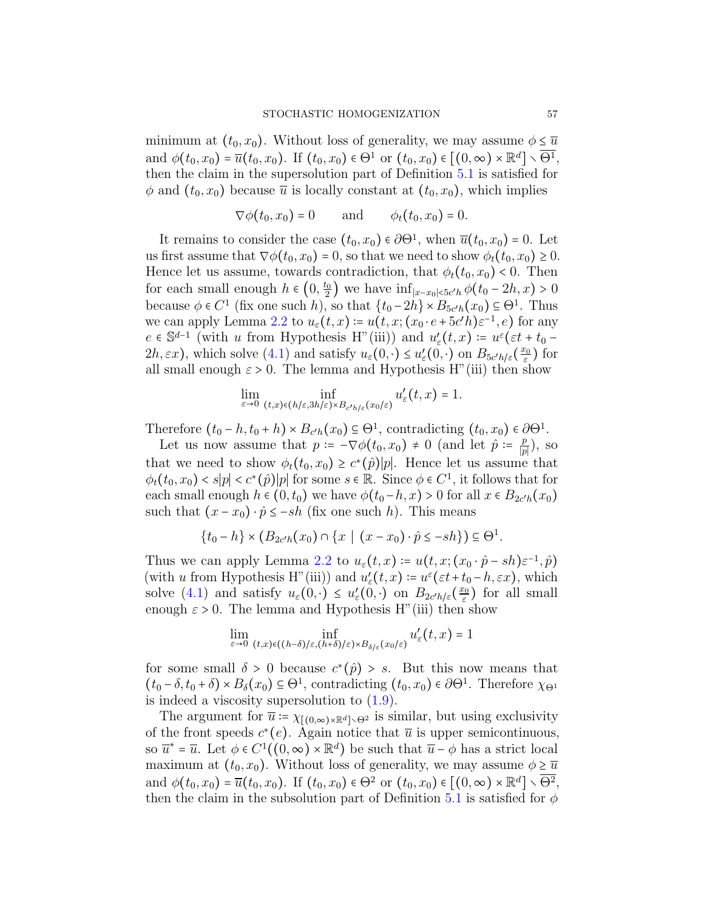minimum at  $(t_0, x_0)$ . Without loss of generality, we may assume  $\phi \leq \overline{u}$ and  $\phi(t_0, x_0) = \overline{u}(t_0, x_0)$ . If  $(t_0, x_0) \in \Theta^1$  or  $(t_0, x_0) \in [(0, \infty) \times \mathbb{R}^d] \setminus \overline{\Theta^1}$ , then the claim in the supersolution part of Definition [5.1](#page-52-4) is satisfied for  $\phi$  and  $(t_0, x_0)$  because  $\overline{u}$  is locally constant at  $(t_0, x_0)$ , which implies

$$
\nabla \phi(t_0, x_0) = 0 \quad \text{and} \quad \phi_t(t_0, x_0) = 0.
$$

It remains to consider the case  $(t_0, x_0) \in \partial \Theta^1$ , when  $\overline{u}(t_0, x_0) = 0$ . Let us first assume that  $\nabla \phi(t_0, x_0) = 0$ , so that we need to show  $\phi_t(t_0, x_0) \geq 0$ . Hence let us assume, towards contradiction, that  $\phi_t(t_0, x_0) < 0$ . Then for each small enough  $h \in (0, \frac{t_0}{2})$  $\frac{t_0}{2}$ ) we have  $\inf_{|x-x_0|<5c'h}\phi(t_0-2h,x)>0$ because  $\phi \in C^1$  (fix one such h), so that  $\{t_0 - 2h\} \times B_{5c'h}(x_0) \subseteq \Theta^1$ . Thus we can apply Lemma [2.2](#page-24-1) to  $u_{\varepsilon}(t,x) \coloneqq u(t,x;(x_0 \cdot e + 5c'h)\varepsilon^{-1}, e)$  for any  $e \in \mathbb{S}^{d-1}$  (with u from Hypothesis H"(iii)) and  $u'_{\varepsilon}(t,x) := u^{\varepsilon}(\varepsilon t + t_0 2h, \varepsilon x$ , which solve  $(4.1)$  and satisfy  $u_{\varepsilon}(0, \cdot) \leq u'_{\varepsilon}(0, \cdot)$  on  $B_{5c'h/\varepsilon}(\frac{x_0}{\varepsilon})$  $(\frac{c_0}{\varepsilon})$  for all small enough  $\varepsilon > 0$ . The lemma and Hypothesis H"(iii) then show

$$
\lim_{\varepsilon \to 0} \inf_{(t,x)\in (h/\varepsilon, 3h/\varepsilon) \times B_{c'h/\varepsilon}(x_0/\varepsilon)} u_{\varepsilon}'(t,x) = 1.
$$

Therefore  $(t_0 - h, t_0 + h) \times B_{c'h}(x_0) \subseteq \Theta^1$ , contradicting  $(t_0, x_0) \in \partial \Theta^1$ .

Let us now assume that  $p = -\nabla \phi(t_0, x_0) \neq 0$  (and let  $\hat{p} = \frac{p}{p}$  $\frac{p}{|p|}$ ), so that we need to show  $\phi_t(t_0, x_0) \geq c^*(\hat{p})|p|$ . Hence let us assume that  $\phi_t(t_0, x_0) < s|p| < c^*(\hat{p})|p|$  for some  $s \in \mathbb{R}$ . Since  $\phi \in C^1$ , it follows that for each small enough  $h \in (0, t_0)$  we have  $\phi(t_0 - h, x) > 0$  for all  $x \in B_{2c'h}(x_0)$ such that  $(x - x_0) \cdot \hat{p} \le -sh$  (fix one such h). This means

$$
\{t_0 - h\} \times (B_{2c'h}(x_0) \cap \{x \mid (x - x_0) \cdot \hat{p} \le -sh\}) \subseteq \Theta^1.
$$

Thus we can apply Lemma [2.2](#page-24-1) to  $u_{\varepsilon}(t,x) \coloneqq u(t,x;(x_0 \cdot \hat{p} - sh)\varepsilon^{-1},\hat{p})$ (with u from Hypothesis H"(iii)) and  $u'_{\varepsilon}(t, x) \coloneqq u^{\varepsilon}(\varepsilon t + t_0 - h, \varepsilon x)$ , which solve [\(4.1\)](#page-37-2) and satisfy  $u_{\varepsilon}(0, \cdot) \leq u'_{\varepsilon}(0, \cdot)$  on  $B_{2c'h/\varepsilon}(\frac{x_0}{\varepsilon})$  $\frac{c_0}{\varepsilon}$ ) for all small enough  $\varepsilon > 0$ . The lemma and Hypothesis H"(iii) then show

$$
\lim_{\varepsilon\to 0} \inf_{(t,x)\in((h-\delta)/\varepsilon,(h+\delta)/\varepsilon)\times B_{\delta/\varepsilon}(x_0/\varepsilon)} u_\varepsilon'(t,x)=1
$$

for some small  $\delta > 0$  because  $c^*(\hat{p}) > s$ . But this now means that  $(t_0 - \delta, t_0 + \delta) \times B_\delta(x_0) \subseteq \Theta^1$ , contradicting  $(t_0, x_0) \in \partial \Theta^1$ . Therefore  $\chi_{\Theta^1}$ is indeed a viscosity supersolution to [\(1.9\)](#page-8-0).

The argument for  $\overline{u}$  :=  $\chi_{[(0,\infty)\times\mathbb{R}^d]\setminus\Theta^2}$  is similar, but using exclusivity of the front speeds  $c^*(e)$ . Again notice that  $\overline{u}$  is upper semicontinuous, so  $\overline{u}^* = \overline{u}$ . Let  $\phi \in C^1((0,\infty) \times \mathbb{R}^d)$  be such that  $\overline{u} - \phi$  has a strict local maximum at  $(t_0, x_0)$ . Without loss of generality, we may assume  $\phi \geq \overline{u}$ and  $\phi(t_0, x_0) = \overline{u}(t_0, x_0)$ . If  $(t_0, x_0) \in \Theta^2$  or  $(t_0, x_0) \in [(0, \infty) \times \mathbb{R}^d] \setminus \overline{\Theta^2}$ , then the claim in the subsolution part of Definition [5.1](#page-52-4) is satisfied for  $\phi$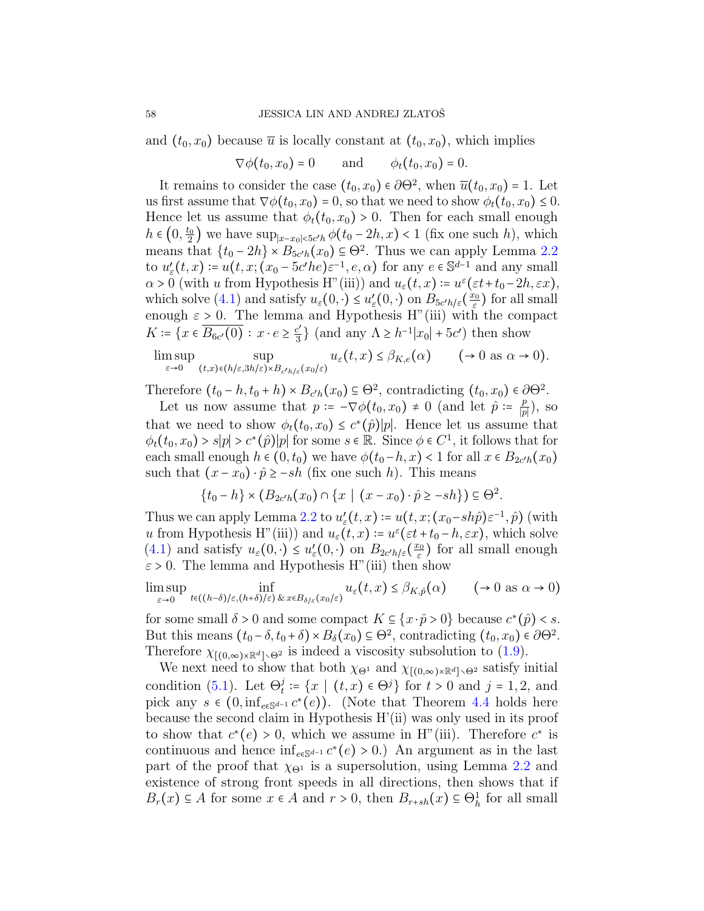and  $(t_0, x_0)$  because  $\overline{u}$  is locally constant at  $(t_0, x_0)$ , which implies

$$
\nabla \phi(t_0, x_0) = 0 \quad \text{and} \quad \phi_t(t_0, x_0) = 0.
$$

It remains to consider the case  $(t_0, x_0) \in \partial \Theta^2$ , when  $\overline{u}(t_0, x_0) = 1$ . Let us first assume that  $\nabla \phi(t_0, x_0) = 0$ , so that we need to show  $\phi_t(t_0, x_0) \leq 0$ . Hence let us assume that  $\phi_t(t_0, x_0) > 0$ . Then for each small enough  $h \in \left(0, \frac{t_0}{2}\right)$  $\frac{L_0}{2}$ ) we have sup<sub>|x−x0|<5c'h</sub>  $\phi(t_0 - 2h, x)$  < 1 (fix one such h), which means that  $\{t_0 - 2h\} \times B_{5c'h}(x_0) \subseteq \Theta^2$ . Thus we can apply Lemma [2.2](#page-24-1) to  $u'_{\varepsilon}(t,x) = u(t,x; (x_0 - 5c'he)\varepsilon^{-1}, e, \alpha)$  for any  $e \in \mathbb{S}^{d-1}$  and any small  $\alpha > 0$  (with u from Hypothesis H"(iii)) and  $u_{\varepsilon}(t, x) \coloneqq u^{\varepsilon}(\varepsilon t + t_0 - 2h, \varepsilon x)$ , which solve [\(4.1\)](#page-37-2) and satisfy  $u_{\varepsilon}(0, \cdot) \leq u'_{\varepsilon}(0, \cdot)$  on  $B_{5c'h/\varepsilon}(\frac{x_0}{\varepsilon})$  $(\frac{\varepsilon_0}{\varepsilon})$  for all small enough  $\varepsilon > 0$ . The lemma and Hypothesis H"(iii) with the compact  $K = \{x \in \overline{B_{6c'}(0)} : x \cdot e \geq \frac{c'}{3}\}$  $\left[\frac{c'}{3}\right]$  (and any  $\Lambda \geq h^{-1}|x_0| + 5c'$ ) then show

$$
\limsup_{\varepsilon \to 0} \sup_{(t,x)\in (h/\varepsilon, 3h/\varepsilon) \times B_{c'h/\varepsilon}(x_0/\varepsilon)} u_{\varepsilon}(t,x) \leq \beta_{K,\varepsilon}(\alpha) \qquad (\to 0 \text{ as } \alpha \to 0).
$$

Therefore  $(t_0 - h, t_0 + h) \times B_{c'h}(x_0) \subseteq \Theta^2$ , contradicting  $(t_0, x_0) \in \partial \Theta^2$ .

Let us now assume that  $p = -\nabla \phi(t_0, x_0) \neq 0$  (and let  $\hat{p} = \frac{p}{p}$  $\frac{p}{|p|}\big), \text{ so }$ that we need to show  $\phi_t(t_0, x_0) \leq c^*(\hat{p})|p|$ . Hence let us assume that  $\phi_t(t_0, x_0) > s|p| > c^*(\hat{p})|p|$  for some  $s \in \mathbb{R}$ . Since  $\phi \in C^1$ , it follows that for each small enough  $h \in (0, t_0)$  we have  $\phi(t_0 - h, x) < 1$  for all  $x \in B_{2c'h}(x_0)$ such that  $(x - x_0) \cdot \hat{p} \ge -sh$  (fix one such h). This means

$$
\{t_0 - h\} \times (B_{2c'h}(x_0) \cap \{x \mid (x - x_0) \cdot \hat{p} \ge -sh\}) \subseteq \Theta^2.
$$

Thus we can apply Lemma [2.2](#page-24-1) to  $u'_{\varepsilon}(t,x) \coloneqq u(t,x;(x_0 - sh\hat{p})\varepsilon^{-1},\hat{p})$  (with u from Hypothesis H"(iii)) and  $u_{\varepsilon}(t, x) \coloneqq u^{\varepsilon}(\varepsilon t + t_0 - h, \varepsilon x)$ , which solve [\(4.1\)](#page-37-2) and satisfy  $u_{\varepsilon}(0, \cdot) \leq u'_{\varepsilon}(0, \cdot)$  on  $B_{2c'h/\varepsilon}(\frac{x_0}{\varepsilon})$  $(\frac{c_0}{\varepsilon})$  for all small enough  $\varepsilon > 0$ . The lemma and Hypothesis H"(iii) then show

$$
\limsup_{\varepsilon \to 0} \inf_{t \in ((h-\delta)/\varepsilon, (h+\delta)/\varepsilon)} \inf_{\& x \in B_{\delta/\varepsilon}(x_0/\varepsilon)} u_{\varepsilon}(t,x) \leq \beta_{K,\hat{p}}(\alpha) \qquad (\to 0 \text{ as } \alpha \to 0)
$$

for some small  $\delta > 0$  and some compact  $K \subseteq \{x \cdot \hat{p} > 0\}$  because  $c^*(\hat{p}) < s$ . But this means  $(t_0 - \delta, t_0 + \delta) \times B_\delta(x_0) \subseteq \Theta^2$ , contradicting  $(t_0, x_0) \in \partial \Theta^2$ . Therefore  $\chi_{(0,\infty)\times\mathbb{R}^d\setminus\Theta^2}$  is indeed a viscosity subsolution to [\(1.9\)](#page-8-0).

We next need to show that both  $\chi_{\Theta^1}$  and  $\chi_{[(0,\infty)\times\mathbb{R}^d]\setminus\Theta^2}$  satisfy initial condition [\(5.1\)](#page-52-1). Let  $\Theta_t^j \coloneqq \{x \mid (t,x) \in \Theta^j\}$  for  $t > 0$  and  $j = 1, 2$ , and pick any  $s \in (0, \inf_{e \in \mathbb{S}^{d-1}} c^*(e))$ . (Note that Theorem [4.4](#page-43-0) holds here because the second claim in Hypothesis H'(ii) was only used in its proof to show that  $c^*(e) > 0$ , which we assume in H"(iii). Therefore  $c^*$  is continuous and hence  $\inf_{e \in \mathbb{S}^{d-1}} c^*(e) > 0$ .) An argument as in the last part of the proof that  $\chi_{\Theta^1}$  is a supersolution, using Lemma [2.2](#page-24-1) and existence of strong front speeds in all directions, then shows that if  $B_r(x) \subseteq A$  for some  $x \in A$  and  $r > 0$ , then  $B_{r+sh}(x) \subseteq \Theta_h^1$  for all small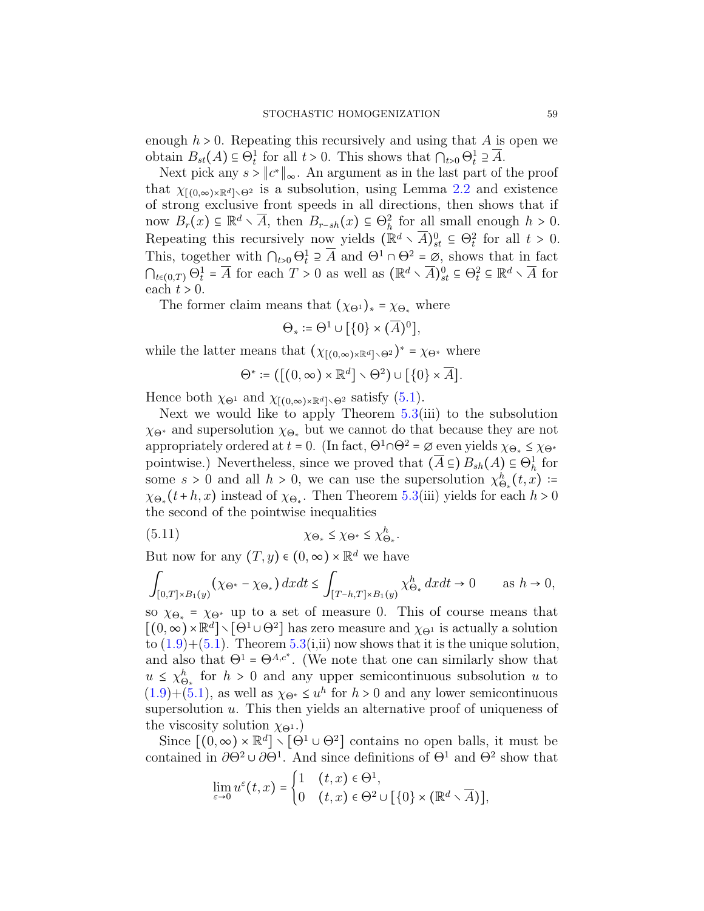enough  $h > 0$ . Repeating this recursively and using that A is open we obtain  $B_{st}(A) \subseteq \Theta_t^1$  for all  $t > 0$ . This shows that  $\bigcap_{t>0} \Theta_t^1 \supseteq \overline{A}$ .

Next pick any  $s > ||c^*||_{\infty}$ . An argument as in the last part of the proof that  $\chi_{[(0,\infty)\times\mathbb{R}^d]\setminus\Theta^2}$  is a subsolution, using Lemma [2.2](#page-24-1) and existence of strong exclusive front speeds in all directions, then shows that if now  $B_r(x) \subseteq \mathbb{R}^d \setminus \overline{A}$ , then  $B_{r-sh}(x) \subseteq \Theta_h^2$  for all small enough  $h > 0$ . Repeating this recursively now yields  $(\mathbb{R}^d \setminus \overline{A})_{st}^0 \subseteq \Theta_t^2$  for all  $t > 0$ . This, together with  $\bigcap_{t>0} \Theta_t^1 \supseteq \overline{A}$  and  $\Theta^1 \cap \Theta^2 = \emptyset$ , shows that in fact  $\bigcap_{t\in(0,T)}\Theta_t^1 = \overline{A}$  for each  $T>0$  as well as  $(\mathbb{R}^d \setminus \overline{A})_{st}^0 \subseteq \Theta_t^2 \subseteq \mathbb{R}^d \setminus \overline{A}$  for each  $t > 0$ .

The former claim means that  $(\chi_{\Theta^1})_* = \chi_{\Theta_*}$  where

$$
\Theta_* \coloneqq \Theta^1 \cup \big[ \{0\} \times (\overline{A})^0 \big],
$$

while the latter means that  $(\chi_{(0,\infty)\times\mathbb{R}^d}\setminus\Theta^2)^* = \chi_{\Theta^*}$  where

$$
\Theta^* := \left( \left[ (0, \infty) \times \mathbb{R}^d \right] \setminus \Theta^2 \right) \cup \left[ \{ 0 \} \times \overline{A} \right].
$$

Hence both  $\chi_{\Theta^1}$  and  $\chi_{[(0,\infty)\times\mathbb{R}^d]\setminus\Theta^2}$  satisfy [\(5.1\)](#page-52-1).

Next we would like to apply Theorem  $5.3(iii)$  $5.3(iii)$  to the subsolution  $\chi_{\Theta^*}$  and supersolution  $\chi_{\Theta_*}$  but we cannot do that because they are not appropriately ordered at  $t = 0$ . (In fact,  $\Theta^1 \cap \Theta^2 = \emptyset$  even yields  $\chi_{\Theta_*} \leq \chi_{\Theta^*}$ pointwise.) Nevertheless, since we proved that  $(\overline{A} \subseteq B_{sh}(A) \subseteq \Theta_h^1$  for some  $s > 0$  and all  $h > 0$ , we can use the supersolution  $\chi^h_{\Theta_*}(t, x)$  :=  $\chi_{\Theta_{*}}(t+h,x)$  instead of  $\chi_{\Theta_{*}}$ . Then Theorem [5.3\(](#page-53-1)iii) yields for each  $h > 0$ the second of the pointwise inequalities

<span id="page-58-0"></span>
$$
\chi_{\Theta_*} \le \chi_{\Theta^*} \le \chi_{\Theta^*}.
$$

But now for any  $(T, y) \in (0, \infty) \times \mathbb{R}^d$  we have

$$
\int_{[0,T]\times B_1(y)} (\chi_{\Theta^*} - \chi_{\Theta_*}) \, dx dt \le \int_{[T-h,T]\times B_1(y)} \chi_{\Theta_*}^h \, dx dt \to 0 \quad \text{as } h \to 0,
$$

so  $\chi_{\Theta_*}$  =  $\chi_{\Theta^*}$  up to a set of measure 0. This of course means that  $[(0, \infty) \times \mathbb{R}^d] \setminus [\Theta^1 \cup \Theta^2]$  has zero measure and  $\chi_{\Theta^1}$  is actually a solution to  $(1.9)+(5.1)$  $(1.9)+(5.1)$  $(1.9)+(5.1)$ . Theorem [5.3\(](#page-53-1)i,ii) now shows that it is the unique solution, and also that  $\Theta^1 = \Theta^{A,c^*}$ . (We note that one can similarly show that  $u \leq \chi_{\Theta_{*}}^{h}$  for  $h > 0$  and any upper semicontinuous subsolution u to  $(1.9)+(5.1)$  $(1.9)+(5.1)$  $(1.9)+(5.1)$ , as well as  $\chi_{\Theta^*} \leq u^h$  for  $h > 0$  and any lower semicontinuous supersolution  $u$ . This then yields an alternative proof of uniqueness of the viscosity solution  $\chi_{\Theta^1}$ .)

Since  $[(0, \infty) \times \mathbb{R}^d] \setminus [\Theta^1 \cup \Theta^2]$  contains no open balls, it must be contained in  $\partial\Theta^2 \cup \partial\Theta^1$ . And since definitions of  $\Theta^1$  and  $\Theta^2$  show that

$$
\lim_{\varepsilon \to 0} u^{\varepsilon}(t,x) = \begin{cases} 1 & (t,x) \in \Theta^1, \\ 0 & (t,x) \in \Theta^2 \cup [\{0\} \times (\mathbb{R}^d \times \overline{A})], \end{cases}
$$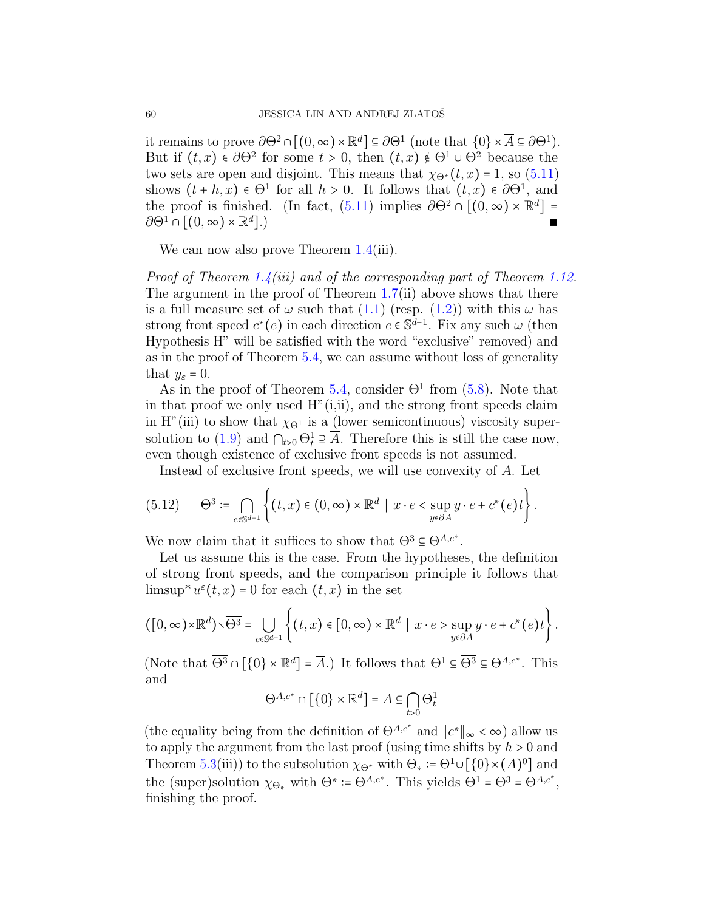it remains to prove  $\partial\Theta^2 \cap [(0,\infty) \times \mathbb{R}^d] \subseteq \partial\Theta^1$  (note that  $\{0\} \times \overline{A} \subseteq \partial\Theta^1$ ). But if  $(t, x) \in \partial \Theta^2$  for some  $t > 0$ , then  $(t, x) \notin \Theta^1 \cup \Theta^2$  because the two sets are open and disjoint. This means that  $\chi_{\Theta^*}(t, x) = 1$ , so [\(5.11\)](#page-58-0) shows  $(t + h, x) \in \Theta^1$  for all  $h > 0$ . It follows that  $(t, x) \in \partial \Theta^1$ , and the proof is finished. (In fact, [\(5.11\)](#page-58-0) implies  $\partial\Theta^2 \cap [(0,\infty) \times \mathbb{R}^d] =$  $\partial\Theta^1 \cap [(0,\infty) \times \mathbb{R}^d]$ .)  $\ket{.}$ 

We can now also prove Theorem [1.4\(](#page-17-0)iii).

Proof of Theorem [1.4\(](#page-17-0)iii) and of the corresponding part of Theorem [1.12.](#page-22-0) The argument in the proof of Theorem [1.7\(](#page-19-0)ii) above shows that there is a full measure set of  $\omega$  such that [\(1.1\)](#page-0-0) (resp. [\(1.2\)](#page-1-1)) with this  $\omega$  has strong front speed  $c^*(e)$  in each direction  $e \in \mathbb{S}^{d-1}$ . Fix any such  $\omega$  (then Hypothesis H" will be satisfied with the word "exclusive" removed) and as in the proof of Theorem [5.4,](#page-55-1) we can assume without loss of generality that  $y_{\varepsilon} = 0$ .

As in the proof of Theorem [5.4,](#page-55-1) consider  $\Theta$ <sup>1</sup> from [\(5.8\)](#page-55-2). Note that in that proof we only used  $H''(i,ii)$ , and the strong front speeds claim in H<sup>"</sup>(iii) to show that  $\chi_{\Theta^1}$  is a (lower semicontinuous) viscosity super-solution to [\(1.9\)](#page-8-0) and  $\bigcap_{t>0} \Theta_t^1 \supseteq \overline{A}$ . Therefore this is still the case now, even though existence of exclusive front speeds is not assumed.

Instead of exclusive front speeds, we will use convexity of A. Let

$$
(5.12) \qquad \Theta^3 \coloneqq \bigcap_{e \in \mathbb{S}^{d-1}} \left\{ (t,x) \in (0,\infty) \times \mathbb{R}^d \mid x \cdot e < \sup_{y \in \partial A} y \cdot e + c^*(e)t \right\}.
$$

We now claim that it suffices to show that  $\Theta^3 \subseteq \Theta^{A,c^*}.$ 

Let us assume this is the case. From the hypotheses, the definition of strong front speeds, and the comparison principle it follows that limsup<sup>\*</sup> $u^{\varepsilon}(t,x) = 0$  for each  $(t,x)$  in the set

$$
([0,\infty)\times\mathbb{R}^d)\setminus\overline{\Theta^3}=\bigcup_{e\in\mathbb{S}^{d-1}}\left\{(t,x)\in[0,\infty)\times\mathbb{R}^d\mid x\cdot e>\sup_{y\in\partial A}y\cdot e+c^*(e)t\right\}.
$$

(Note that  $\overline{\Theta^3} \cap \left[ \{0\} \times \mathbb{R}^d \right] = \overline{A}$ .) It follows that  $\Theta^1 \subseteq \overline{\Theta^3} \subseteq \overline{\Theta^{A,c^*}}$ . This and

$$
\overline{\Theta^{A,c^*}}\cap\left[\left\{0\right\}\times\mathbb{R}^d\right]=\overline{A}\subseteq\bigcap_{t>0}\Theta^1_t
$$

(the equality being from the definition of  $\Theta^{A,c^*}$  and  $||c^*||_{\infty} < \infty$ ) allow us to apply the argument from the last proof (using time shifts by  $h > 0$  and Theorem [5.3\(](#page-53-1)iii)) to the subsolution  $\chi_{\Theta^*}$  with  $\Theta_* \coloneqq \Theta^1 \cup [\{0\} \times (\overline{A})^0]$  and the (super)solution  $\chi_{\Theta_{*}}$  with  $\Theta^{*} := \overline{\Theta^{A,c^{*}}}$ . This yields  $\Theta^{1} = \Theta^{3} = \Theta^{A,c^{*}}$ , finishing the proof.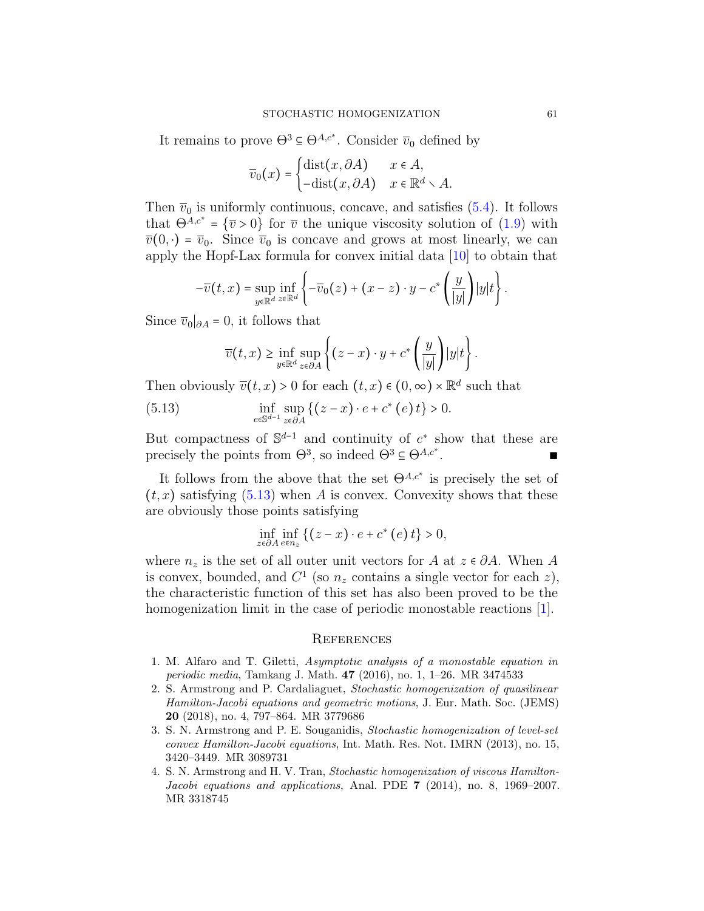It remains to prove  $\Theta^3 \subseteq \Theta^{A,c^*}$ . Consider  $\overline{v}_0$  defined by

$$
\overline{v}_0(x) = \begin{cases} \text{dist}(x, \partial A) & x \in A, \\ -\text{dist}(x, \partial A) & x \in \mathbb{R}^d \setminus A. \end{cases}
$$

Then  $\overline{v}_0$  is uniformly continuous, concave, and satisfies [\(5.4\)](#page-53-0). It follows that  $\Theta^{A,c^*} = {\overline{v} > 0}$  for  $\overline{v}$  the unique viscosity solution of [\(1.9\)](#page-8-0) with  $\overline{v}(0, \cdot) = \overline{v}_0$ . Since  $\overline{v}_0$  is concave and grows at most linearly, we can apply the Hopf-Lax formula for convex initial data [\[10\]](#page-61-16) to obtain that

$$
-\overline{v}(t,x)=\sup_{y\in\mathbb{R}^d}\inf_{z\in\mathbb{R}^d}\left\{-\overline{v}_0(z)+(x-z)\cdot y-c^*\left(\frac{y}{|y|}\right)|y|t\right\}.
$$

Since  $\overline{v}_0|_{\partial A} = 0$ , it follows that

<span id="page-60-4"></span>
$$
\overline{v}(t,x) \geq \inf_{y \in \mathbb{R}^d} \sup_{z \in \partial A} \left\{ (z-x) \cdot y + c^* \left( \frac{y}{|y|} \right) |y| t \right\}.
$$

Then obviously  $\overline{v}(t, x) > 0$  for each  $(t, x) \in (0, \infty) \times \mathbb{R}^d$  such that

(5.13) 
$$
\inf_{e \in \mathbb{S}^{d-1}} \sup_{z \in \partial A} \left\{ (z - x) \cdot e + c^* \left( e \right) t \right\} > 0.
$$

But compactness of  $\mathbb{S}^{d-1}$  and continuity of  $c^*$  show that these are precisely the points from  $\Theta^3$ , so indeed  $\Theta^3 \subseteq \Theta^{A,c^*}$ . ∎ ∎ ∎ ∎ ∎ ∎ ∎

It follows from the above that the set  $\Theta^{A,c^*}$  is precisely the set of  $(t, x)$  satisfying  $(5.13)$  when A is convex. Convexity shows that these are obviously those points satisfying

$$
\inf_{z \in \partial A} \inf_{e \in n_z} \left\{ \left( z - x \right) \cdot e + c^* \left( e \right) t \right\} > 0,
$$

where  $n_z$  is the set of all outer unit vectors for A at  $z \in \partial A$ . When A is convex, bounded, and  $C^1$  (so  $n_z$  contains a single vector for each  $z$ ), the characteristic function of this set has also been proved to be the homogenization limit in the case of periodic monostable reactions [\[1\]](#page-60-0).

#### **REFERENCES**

- <span id="page-60-0"></span>1. M. Alfaro and T. Giletti, Asymptotic analysis of a monostable equation in periodic media, Tamkang J. Math. 47 (2016), no. 1, 1–26. MR 3474533
- <span id="page-60-3"></span>2. S. Armstrong and P. Cardaliaguet, Stochastic homogenization of quasilinear Hamilton-Jacobi equations and geometric motions, J. Eur. Math. Soc. (JEMS) 20 (2018), no. 4, 797–864. MR 3779686
- <span id="page-60-1"></span>3. S. N. Armstrong and P. E. Souganidis, Stochastic homogenization of level-set convex Hamilton-Jacobi equations, Int. Math. Res. Not. IMRN (2013), no. 15, 3420–3449. MR 3089731
- <span id="page-60-2"></span>4. S. N. Armstrong and H. V. Tran, Stochastic homogenization of viscous Hamilton-Jacobi equations and applications, Anal. PDE 7 (2014), no. 8, 1969–2007. MR 3318745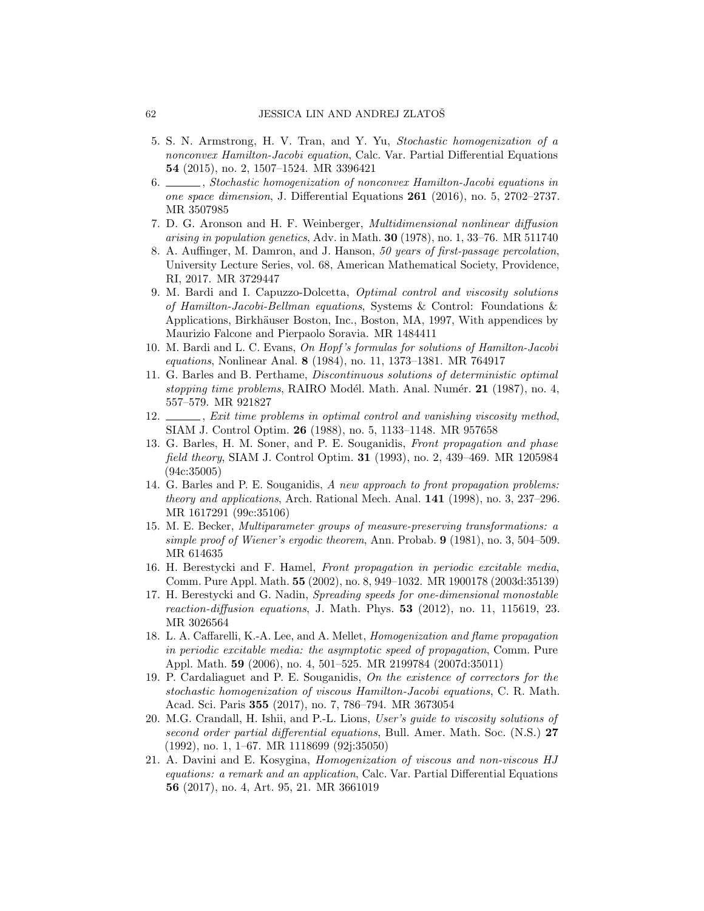- <span id="page-61-5"></span>5. S. N. Armstrong, H. V. Tran, and Y. Yu, Stochastic homogenization of a nonconvex Hamilton-Jacobi equation, Calc. Var. Partial Differential Equations 54 (2015), no. 2, 1507–1524. MR 3396421
- <span id="page-61-6"></span>6. Stochastic homogenization of nonconvex Hamilton-Jacobi equations in one space dimension, J. Differential Equations 261 (2016), no. 5, 2702–2737. MR 3507985
- <span id="page-61-9"></span>7. D. G. Aronson and H. F. Weinberger, Multidimensional nonlinear diffusion arising in population genetics, Adv. in Math.  $30$  (1978), no. 1, 33–76. MR 511740
- <span id="page-61-11"></span>8. A. Auffinger, M. Damron, and J. Hanson, 50 years of first-passage percolation, University Lecture Series, vol. 68, American Mathematical Society, Providence, RI, 2017. MR 3729447
- <span id="page-61-12"></span>9. M. Bardi and I. Capuzzo-Dolcetta, Optimal control and viscosity solutions of Hamilton-Jacobi-Bellman equations, Systems & Control: Foundations & Applications, Birkhäuser Boston, Inc., Boston, MA, 1997, With appendices by Maurizio Falcone and Pierpaolo Soravia. MR 1484411
- <span id="page-61-16"></span>10. M. Bardi and L. C. Evans, On Hopf 's formulas for solutions of Hamilton-Jacobi equations, Nonlinear Anal. 8 (1984), no. 11, 1373–1381. MR 764917
- <span id="page-61-14"></span>11. G. Barles and B. Perthame, Discontinuous solutions of deterministic optimal stopping time problems, RAIRO Modél. Math. Anal. Numér.  $21$  (1987), no. 4, 557–579. MR 921827
- <span id="page-61-15"></span>12.  $\frac{1}{12}$ , Exit time problems in optimal control and vanishing viscosity method, SIAM J. Control Optim. 26 (1988), no. 5, 1133–1148. MR 957658
- <span id="page-61-4"></span>13. G. Barles, H. M. Soner, and P. E. Souganidis, Front propagation and phase field theory, SIAM J. Control Optim. 31 (1993), no. 2, 439–469. MR 1205984 (94c:35005)
- <span id="page-61-2"></span>14. G. Barles and P. E. Souganidis, A new approach to front propagation problems: theory and applications, Arch. Rational Mech. Anal. 141 (1998), no. 3, 237–296. MR 1617291 (99c:35106)
- <span id="page-61-10"></span>15. M. E. Becker, Multiparameter groups of measure-preserving transformations: a simple proof of Wiener's ergodic theorem, Ann. Probab. 9 (1981), no. 3, 504–509. MR 614635
- <span id="page-61-1"></span>16. H. Berestycki and F. Hamel, Front propagation in periodic excitable media, Comm. Pure Appl. Math. 55 (2002), no. 8, 949–1032. MR 1900178 (2003d:35139)
- <span id="page-61-0"></span>17. H. Berestycki and G. Nadin, Spreading speeds for one-dimensional monostable reaction-diffusion equations, J. Math. Phys. 53 (2012), no. 11, 115619, 23. MR 3026564
- <span id="page-61-3"></span>18. L. A. Caffarelli, K.-A. Lee, and A. Mellet, Homogenization and flame propagation in periodic excitable media: the asymptotic speed of propagation, Comm. Pure Appl. Math. 59 (2006), no. 4, 501–525. MR 2199784 (2007d:35011)
- <span id="page-61-7"></span>19. P. Cardaliaguet and P. E. Souganidis, On the existence of correctors for the stochastic homogenization of viscous Hamilton-Jacobi equations, C. R. Math. Acad. Sci. Paris 355 (2017), no. 7, 786–794. MR 3673054
- <span id="page-61-13"></span>20. M.G. Crandall, H. Ishii, and P.-L. Lions, User's guide to viscosity solutions of second order partial differential equations, Bull. Amer. Math. Soc. (N.S.) 27 (1992), no. 1, 1–67. MR 1118699 (92j:35050)
- <span id="page-61-8"></span>21. A. Davini and E. Kosygina, Homogenization of viscous and non-viscous HJ equations: a remark and an application, Calc. Var. Partial Differential Equations 56 (2017), no. 4, Art. 95, 21. MR 3661019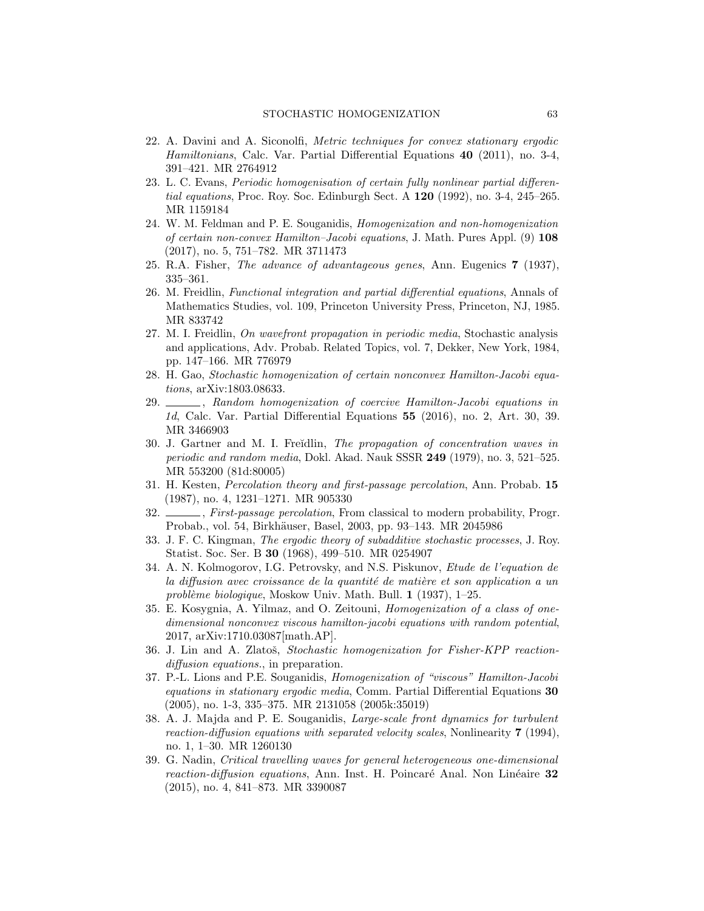- <span id="page-62-13"></span>22. A. Davini and A. Siconolfi, Metric techniques for convex stationary ergodic Hamiltonians, Calc. Var. Partial Differential Equations 40 (2011), no. 3-4, 391–421. MR 2764912
- <span id="page-62-14"></span>23. L. C. Evans, Periodic homogenisation of certain fully nonlinear partial differential equations, Proc. Roy. Soc. Edinburgh Sect. A 120 (1992), no. 3-4, 245–265. MR 1159184
- <span id="page-62-9"></span>24. W. M. Feldman and P. E. Souganidis, Homogenization and non-homogenization of certain non-convex Hamilton–Jacobi equations, J. Math. Pures Appl. (9) 108 (2017), no. 5, 751–782. MR 3711473
- <span id="page-62-5"></span>25. R.A. Fisher, The advance of advantageous genes, Ann. Eugenics 7 (1937), 335–361.
- <span id="page-62-0"></span>26. M. Freidlin, Functional integration and partial differential equations, Annals of Mathematics Studies, vol. 109, Princeton University Press, Princeton, NJ, 1985. MR 833742
- <span id="page-62-7"></span>27. M. I. Freidlin, On wavefront propagation in periodic media, Stochastic analysis and applications, Adv. Probab. Related Topics, vol. 7, Dekker, New York, 1984, pp. 147–166. MR 776979
- <span id="page-62-10"></span>28. H. Gao, Stochastic homogenization of certain nonconvex Hamilton-Jacobi equations, arXiv:1803.08633.
- <span id="page-62-11"></span>29. , Random homogenization of coercive Hamilton-Jacobi equations in 1d, Calc. Var. Partial Differential Equations 55 (2016), no. 2, Art. 30, 39. MR 3466903
- <span id="page-62-1"></span>30. J. Gartner and M. I. Freidlin, The propagation of concentration waves in periodic and random media, Dokl. Akad. Nauk SSSR 249 (1979), no. 3, 521–525. MR 553200 (81d:80005)
- <span id="page-62-16"></span>31. H. Kesten, Percolation theory and first-passage percolation, Ann. Probab. 15 (1987), no. 4, 1231–1271. MR 905330
- <span id="page-62-17"></span>32.  $\frac{1}{100}$ , First-passage percolation, From classical to modern probability, Progr. Probab., vol. 54, Birkhäuser, Basel, 2003, pp. 93-143. MR 2045986
- <span id="page-62-15"></span>33. J. F. C. Kingman, The ergodic theory of subadditive stochastic processes, J. Roy. Statist. Soc. Ser. B 30 (1968), 499–510. MR 0254907
- <span id="page-62-4"></span>34. A. N. Kolmogorov, I.G. Petrovsky, and N.S. Piskunov, Etude de l'equation de la diffusion avec croissance de la quantité de matière et son application a un problème biologique, Moskow Univ. Math. Bull.  $1$  (1937), 1–25.
- <span id="page-62-12"></span>35. E. Kosygnia, A. Yilmaz, and O. Zeitouni, Homogenization of a class of onedimensional nonconvex viscous hamilton-jacobi equations with random potential, 2017, arXiv:1710.03087[math.AP].
- <span id="page-62-8"></span>36. J. Lin and A. Zlatoš, Stochastic homogenization for Fisher-KPP reactiondiffusion equations., in preparation.
- <span id="page-62-3"></span>37. P.-L. Lions and P.E. Souganidis, Homogenization of "viscous" Hamilton-Jacobi equations in stationary ergodic media, Comm. Partial Differential Equations 30 (2005), no. 1-3, 335–375. MR 2131058 (2005k:35019)
- <span id="page-62-6"></span>38. A. J. Majda and P. E. Souganidis, Large-scale front dynamics for turbulent reaction-diffusion equations with separated velocity scales, Nonlinearity 7 (1994), no. 1, 1–30. MR 1260130
- <span id="page-62-2"></span>39. G. Nadin, Critical travelling waves for general heterogeneous one-dimensional reaction-diffusion equations, Ann. Inst. H. Poincaré Anal. Non Linéaire  $32$ (2015), no. 4, 841–873. MR 3390087